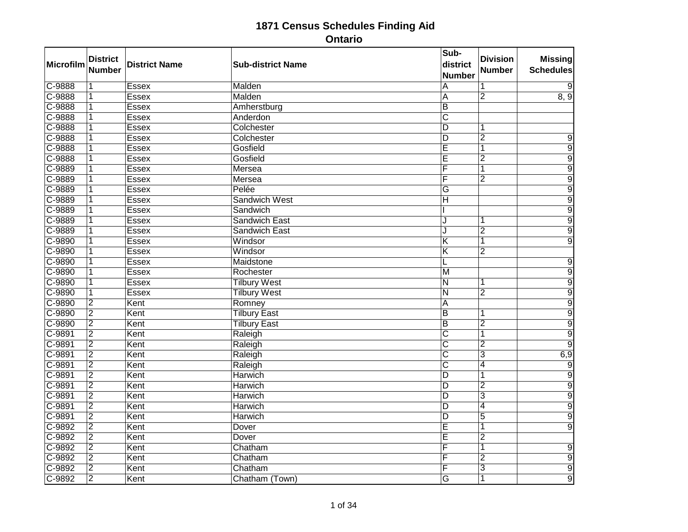| Microfilm  | <b>District</b><br><b>Number</b> | <b>District Name</b> | <b>Sub-district Name</b> | Sub-<br>district<br><b>Number</b> | <b>Division</b><br><b>Number</b> | <b>Missing</b><br><b>Schedules</b> |
|------------|----------------------------------|----------------------|--------------------------|-----------------------------------|----------------------------------|------------------------------------|
| C-9888     | 1                                | <b>Essex</b>         | Malden                   | A                                 |                                  | 9                                  |
| $C-9888$   | 1                                | <b>Essex</b>         | Malden                   | A                                 | $\overline{2}$                   | 8, 9                               |
| C-9888     | 1                                | Essex                | Amherstburg              | $\overline{B}$                    |                                  |                                    |
| C-9888     | $\overline{\mathbf{1}}$          | <b>Essex</b>         | Anderdon                 | $\overline{\text{c}}$             |                                  |                                    |
| C-9888     | 1                                | <b>Essex</b>         | Colchester               | $\overline{\mathsf{D}}$           |                                  |                                    |
| $C-9888$   | 1                                | <b>Essex</b>         | Colchester               | $\overline{\mathsf{D}}$           | $\overline{2}$                   | 9                                  |
| $C - 9888$ | 1                                | <b>Essex</b>         | Gosfield                 | Ē                                 | 1                                | $\overline{9}$                     |
| C-9888     | 1                                | Essex                | Gosfield                 | Ē                                 | $\overline{2}$                   | 9                                  |
| $C-9889$   | 1                                | <b>Essex</b>         | Mersea                   | F                                 | 1                                | $\overline{9}$                     |
| $C-9889$   | $\overline{1}$                   | <b>Essex</b>         | Mersea                   | F                                 | $\overline{2}$                   | $\overline{9}$                     |
| C-9889     | 1                                | <b>Essex</b>         | Pelée                    | G                                 |                                  | $\overline{9}$                     |
| C-9889     | 1                                | <b>Essex</b>         | <b>Sandwich West</b>     | $\overline{\mathsf{H}}$           |                                  | $\overline{9}$                     |
| $C-9889$   | $\overline{1}$                   | <b>Essex</b>         | Sandwich                 |                                   |                                  | $\overline{9}$                     |
| C-9889     | 1                                | <b>Essex</b>         | <b>Sandwich East</b>     | ا.                                |                                  | $\overline{9}$                     |
| C-9889     | 1                                | <b>Essex</b>         | <b>Sandwich East</b>     | ا.                                | 2                                | $\overline{9}$                     |
| $C - 9890$ | $\overline{1}$                   | <b>Essex</b>         | Windsor                  | $\overline{\mathsf{K}}$           | 1                                | $\overline{9}$                     |
| C-9890     | 1                                | <b>Essex</b>         | Windsor                  | $\overline{\mathsf{K}}$           | $\overline{2}$                   |                                    |
| C-9890     | 1                                | <b>Essex</b>         | Maidstone                |                                   |                                  | $\overline{9}$                     |
| $C-9890$   | 1                                | Essex                | Rochester                | $\overline{M}$                    |                                  | $\overline{9}$                     |
| C-9890     | $\overline{1}$                   | <b>Essex</b>         | <b>Tilbury West</b>      | $\overline{\mathsf{N}}$           | 1                                | $\overline{9}$                     |
| $C-9890$   | $\overline{1}$                   | <b>Essex</b>         | <b>Tilbury West</b>      | $\overline{\mathsf{N}}$           | $\overline{2}$                   | 9                                  |
| $C-9890$   | $\overline{2}$                   | Kent                 | Romney                   | A                                 |                                  | $\overline{9}$                     |
| $C-9890$   | $\overline{2}$                   | Kent                 | <b>Tilbury East</b>      | $\overline{\mathsf{B}}$           |                                  | $\overline{9}$                     |
| C-9890     | $\overline{2}$                   | Kent                 | <b>Tilbury East</b>      | B                                 | $\overline{2}$                   | $\overline{9}$                     |
| $C-9891$   | $\overline{2}$                   | Kent                 | Raleigh                  | $\overline{\text{c}}$             |                                  | $\overline{9}$                     |
| $C-9891$   | $\overline{2}$                   | Kent                 | Raleigh                  | $\overline{\text{c}}$             | $\overline{2}$                   | $\overline{9}$                     |
| C-9891     | $\overline{2}$                   | Kent                 | Raleigh                  | $\overline{\text{c}}$             | 3                                | 6,9                                |
| $C-9891$   | $\overline{2}$                   | Kent                 | Raleigh                  | $\overline{\text{c}}$             | 4                                | $\overline{9}$                     |
| C-9891     | $\overline{2}$                   | Kent                 | <b>Harwich</b>           | $\overline{D}$                    |                                  | $\overline{9}$                     |
| $C-9891$   | $\overline{2}$                   | Kent                 | <b>Harwich</b>           | $\overline{\mathsf{D}}$           | $\overline{2}$                   | $\overline{9}$                     |
| C-9891     | $\overline{2}$                   | Kent                 | <b>Harwich</b>           | D                                 | 3                                | $\overline{9}$                     |
| $C-9891$   | $\overline{2}$                   | Kent                 | <b>Harwich</b>           | D                                 | 4                                | $\overline{9}$                     |
| $C-9891$   | $\overline{2}$                   | Kent                 | <b>Harwich</b>           | $\overline{\mathsf{D}}$           | $\overline{5}$                   | $\overline{9}$                     |
| C-9892     | $\overline{2}$                   | Kent                 | Dover                    | Ē                                 |                                  | $\overline{9}$                     |
| $C-9892$   | $\overline{2}$                   | Kent                 | Dover                    | E                                 | $\overline{2}$                   |                                    |
| $C-9892$   | $\overline{2}$                   | Kent                 | Chatham                  | F                                 |                                  | $\overline{9}$                     |
| C-9892     | $\overline{2}$                   | Kent                 | Chatham                  | F                                 | 2                                | $\overline{9}$                     |
| $C-9892$   | $\overline{2}$                   | Kent                 | Chatham                  | F                                 | $\overline{3}$                   | $\overline{9}$                     |
| C-9892     | $\overline{2}$                   | Kent                 | Chatham (Town)           | G                                 |                                  | $\overline{9}$                     |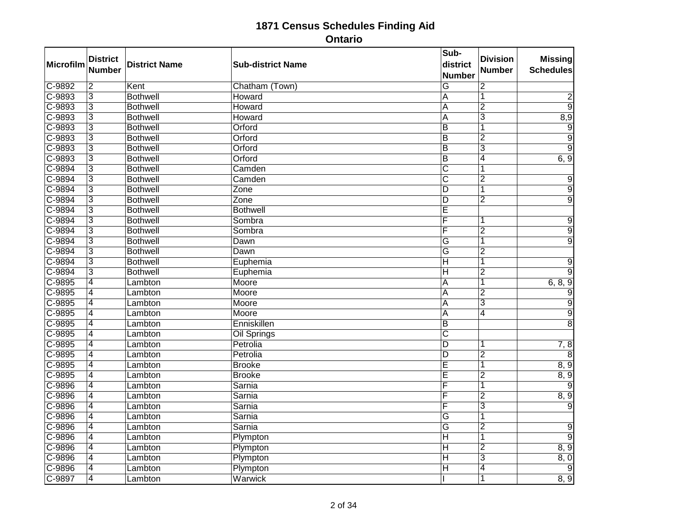| <b>Microfilm</b> | <b>District</b><br><b>Number</b> | <b>District Name</b> | <b>Sub-district Name</b> | Sub-<br>district<br><b>Number</b> | <b>Division</b><br>Number | <b>Missing</b><br><b>Schedules</b> |
|------------------|----------------------------------|----------------------|--------------------------|-----------------------------------|---------------------------|------------------------------------|
| $C-9892$         | $\overline{2}$                   | Kent                 | Chatham (Town)           | $\overline{G}$                    | $\overline{2}$            |                                    |
| $C-9893$         | 3                                | <b>Bothwell</b>      | Howard                   | A                                 | 1                         | 2                                  |
| $C-9893$         | $\overline{3}$                   | <b>Bothwell</b>      | Howard                   | A                                 | $\overline{2}$            | $\overline{9}$                     |
| $C-9893$         | $\overline{3}$                   | <b>Bothwell</b>      | Howard                   | $\overline{\mathsf{A}}$           | $\overline{3}$            | 8,9                                |
| C-9893           | $\overline{3}$                   | <b>Bothwell</b>      | Orford                   | $\overline{B}$                    | $\overline{\mathbf{1}}$   | $\overline{9}$                     |
| $C-9893$         | $\overline{3}$                   | <b>Bothwell</b>      | Orford                   | $\overline{B}$                    | $\overline{2}$            | $\overline{9}$                     |
| $C-9893$         | $\overline{3}$                   | <b>Bothwell</b>      | Orford                   | $\overline{B}$                    | $\overline{3}$            | $\overline{9}$                     |
| $C-9893$         | 3                                | <b>Bothwell</b>      | Orford                   | $\overline{B}$                    | 4                         | 6, 9                               |
| $C-9894$         | $\overline{3}$                   | <b>Bothwell</b>      | Camden                   | $\overline{\text{C}}$             |                           |                                    |
| $C-9894$         | $\overline{3}$                   | <b>Bothwell</b>      | Camden                   | $\overline{\text{c}}$             | $\overline{2}$            | $\overline{9}$                     |
| $C-9894$         | $\overline{3}$                   | <b>Bothwell</b>      | Zone                     | $\overline{D}$                    |                           | $\overline{9}$                     |
| $C-9894$         | $\overline{3}$                   | <b>Bothwell</b>      | Zone                     | $\overline{D}$                    | $\overline{2}$            | $\overline{9}$                     |
| $C-9894$         | $\overline{3}$                   | <b>Bothwell</b>      | <b>Bothwell</b>          | Ē                                 |                           |                                    |
| C-9894           | $\overline{3}$                   | <b>Bothwell</b>      | Sombra                   | F                                 | 1                         | $\overline{9}$                     |
| $C-9894$         | $\overline{3}$                   | <b>Bothwell</b>      | Sombra                   | F                                 | $\overline{2}$            | $\overline{9}$                     |
| $C-9894$         | $\overline{3}$                   | <b>Bothwell</b>      | Dawn                     | $\overline{\mathsf{G}}$           | 1                         | 9                                  |
| $C-9894$         | $\overline{3}$                   | <b>Bothwell</b>      | Dawn                     | G                                 | $\overline{2}$            |                                    |
| C-9894           | $\overline{3}$                   | <b>Bothwell</b>      | Euphemia                 | $\overline{H}$                    | 1                         | 9                                  |
| $C-9894$         | $\overline{3}$                   | <b>Bothwell</b>      | Euphemia                 | H                                 | $\overline{2}$            | 9                                  |
| $C-9895$         | $\overline{4}$                   | Lambton              | Moore                    | A                                 | 1                         | 6, 8, 9                            |
| $C-9895$         | $\overline{4}$                   | Lambton              | Moore                    | A                                 | $\overline{2}$            | $\overline{9}$                     |
| $C-9895$         | $\overline{4}$                   | Lambton              | Moore                    | A                                 | $\overline{3}$            | $\overline{9}$                     |
| $C-9895$         | $\overline{4}$                   | Lambton              | Moore                    | A                                 | 4                         | $\overline{9}$                     |
| $C-9895$         | $\overline{\mathcal{A}}$         | Lambton              | Enniskillen              | $\overline{B}$                    |                           | $\overline{8}$                     |
| $C-9895$         | $\overline{4}$                   | Lambton              | <b>Oil Springs</b>       | $\overline{\mathsf{c}}$           |                           |                                    |
| $C-9895$         | $\overline{4}$                   | Lambton              | Petrolia                 | $\overline{\mathsf{D}}$           | 1                         | 7, 8                               |
| $C-9895$         | $\overline{4}$                   | Lambton              | Petrolia                 | D                                 | $\overline{2}$            | 8                                  |
| $C-9895$         | $\overline{4}$                   | Lambton              | <b>Brooke</b>            | Ē                                 | 1                         | 8, 9                               |
| $C-9895$         | $\overline{4}$                   | Lambton              | <b>Brooke</b>            | $\overline{E}$                    | $\overline{2}$            | 8, 9                               |
| $C-9896$         | $\overline{4}$                   | Lambton              | Sarnia                   | F                                 | 1                         |                                    |
| $C-9896$         | $\overline{4}$                   | Lambton              | Sarnia                   | F                                 | $\overline{2}$            | 8, 9                               |
| $C-9896$         | $\overline{4}$                   | Lambton              | Sarnia                   | F                                 | $\overline{3}$            |                                    |
| $C-9896$         | $\overline{4}$                   | Lambton              | Sarnia                   | G                                 | 1                         |                                    |
| $C-9896$         | $\overline{4}$                   | Lambton              | Sarnia                   | G                                 | $\overline{2}$            | $\overline{9}$                     |
| C-9896           | $\overline{4}$                   | Lambton              | Plympton                 | $\overline{H}$                    | 1                         | $\overline{9}$                     |
| $C-9896$         | $\overline{4}$                   | Lambton              | Plympton                 | $\overline{\sf H}$                | $\overline{2}$            | 8, 9                               |
| $C-9896$         | $\overline{4}$                   | Lambton              | Plympton                 | $\overline{H}$                    | $\overline{3}$            | 8, 0                               |
| $C-9896$         | $\overline{4}$                   | Lambton              | Plympton                 | $\overline{\mathsf{H}}$           | 4                         | 9                                  |
| C-9897           | $\overline{4}$                   | Lambton              | Warwick                  |                                   | 1                         | 8, 9                               |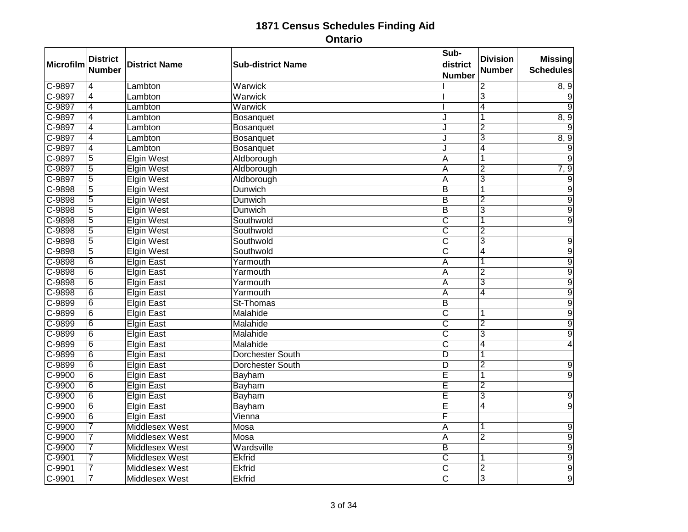| Microfilm | <b>District</b><br><b>Number</b> | <b>District Name</b>  | <b>Sub-district Name</b> | Sub-<br>district<br><b>Number</b> | <b>Division</b><br><b>Number</b> | <b>Missing</b><br><b>Schedules</b> |
|-----------|----------------------------------|-----------------------|--------------------------|-----------------------------------|----------------------------------|------------------------------------|
| C-9897    | $\overline{4}$                   | Lambton               | Warwick                  |                                   | $\overline{2}$                   | 8, 9                               |
| $C-9897$  | $\overline{4}$                   | Lambton               | Warwick                  |                                   | $\overline{3}$                   | 9                                  |
| $C-9897$  | $\overline{4}$                   | Lambton               | Warwick                  |                                   | $\overline{4}$                   |                                    |
| $C-9897$  | $\overline{4}$                   | Lambton               | Bosanquet                | J                                 | 1                                | 8, 9                               |
| C-9897    | $\overline{4}$                   | Lambton               | Bosanquet                | J                                 | $\overline{2}$                   |                                    |
| C-9897    | $\overline{4}$                   | Lambton               | Bosanquet                | J                                 | $\overline{3}$                   | 8, 9                               |
| $C-9897$  | $\overline{4}$                   | Lambton               | Bosanquet                | J                                 | $\overline{4}$                   | $\overline{9}$                     |
| $C-9897$  | $\overline{5}$                   | <b>Elgin West</b>     | Aldborough               | A                                 | 1                                | 9                                  |
| $C-9897$  | $\overline{5}$                   | <b>Elgin West</b>     | Aldborough               | A                                 | $\overline{2}$                   | 7, 9                               |
| C-9897    | $\overline{5}$                   | <b>Elgin West</b>     | Aldborough               | $\overline{\mathsf{A}}$           | $\overline{3}$                   | $\overline{9}$                     |
| $C-9898$  | $\overline{5}$                   | <b>Elgin West</b>     | Dunwich                  | $\overline{B}$                    |                                  | $\overline{9}$                     |
| $C-9898$  | $\overline{5}$                   | <b>Elgin West</b>     | <b>Dunwich</b>           | $\overline{B}$                    | $\overline{2}$                   | $\overline{9}$                     |
| $C-9898$  | $\overline{5}$                   | <b>Elgin West</b>     | <b>Dunwich</b>           | $\overline{B}$                    | 3                                | $\overline{9}$                     |
| $C-9898$  | $\overline{5}$                   | <b>Elgin West</b>     | Southwold                | $\overline{\text{c}}$             | 1                                | $\overline{9}$                     |
| $C-9898$  | $\overline{5}$                   | <b>Elgin West</b>     | Southwold                | $\overline{\text{c}}$             | $\overline{2}$                   |                                    |
| $C-9898$  | $\overline{5}$                   | <b>Elgin West</b>     | Southwold                | $\overline{\mathsf{c}}$           | $\overline{3}$                   | $\overline{9}$                     |
| C-9898    | $\overline{5}$                   | <b>Elgin West</b>     | Southwold                | $\overline{\text{c}}$             | 4                                | $\overline{9}$                     |
| C-9898    | $\overline{6}$                   | <b>Elgin East</b>     | Yarmouth                 | $\overline{A}$                    | 1                                | $\overline{9}$                     |
| $C-9898$  | $\overline{6}$                   | <b>Elgin East</b>     | Yarmouth                 | A                                 | $\overline{2}$                   | $\overline{9}$                     |
| $C-9898$  | $\overline{6}$                   | <b>Elgin East</b>     | Yarmouth                 | $\overline{A}$                    | $\overline{3}$                   | $\overline{9}$                     |
| C-9898    | $\overline{6}$                   | <b>Elgin East</b>     | Yarmouth                 | $\overline{A}$                    | 4                                | $\overline{9}$                     |
| C-9899    | $\overline{6}$                   | <b>Elgin East</b>     | St-Thomas                | $\overline{B}$                    |                                  | $\overline{9}$                     |
| $C-9899$  | $\overline{6}$                   | <b>Elgin East</b>     | Malahide                 | $\overline{\text{c}}$             | 1                                | $\overline{9}$                     |
| C-9899    | 6                                | <b>Elgin East</b>     | Malahide                 | $\overline{\text{c}}$             | $\overline{2}$                   | $\overline{9}$                     |
| $C-9899$  | $\overline{6}$                   | <b>Elgin East</b>     | Malahide                 | $\overline{\text{c}}$             | $\overline{3}$                   | $\overline{9}$                     |
| $C-9899$  | $\overline{6}$                   | <b>Elgin East</b>     | Malahide                 | $\overline{\mathsf{c}}$           | 4                                | 4                                  |
| C-9899    | $\overline{6}$                   | <b>Elgin East</b>     | <b>Dorchester South</b>  | D                                 |                                  |                                    |
| C-9899    | $\overline{6}$                   | <b>Elgin East</b>     | <b>Dorchester South</b>  | $\overline{D}$                    | $\overline{2}$                   | 9                                  |
| $C-9900$  | $\overline{6}$                   | <b>Elgin East</b>     | Bayham                   | E                                 | 1                                | $\overline{9}$                     |
| C-9900    | $\overline{6}$                   | <b>Elgin East</b>     | Bayham                   | Ē                                 | $\overline{2}$                   |                                    |
| $C-9900$  | $\overline{6}$                   | <b>Elgin East</b>     | Bayham                   | Ē                                 | 3                                | 9                                  |
| $C-9900$  | $\overline{6}$                   | <b>Elgin East</b>     | Bayham                   | Ē                                 | $\overline{4}$                   | $\overline{9}$                     |
| $C-9900$  | $\overline{6}$                   | <b>Elgin East</b>     | Vienna                   | F                                 |                                  |                                    |
| C-9900    | 7                                | Middlesex West        | Mosa                     | $\overline{A}$                    | 1                                | $\overline{9}$                     |
| $C-9900$  | $\overline{7}$                   | <b>Middlesex West</b> | Mosa                     | A                                 | $\overline{2}$                   | $\overline{9}$                     |
| $C-9900$  | 7                                | <b>Middlesex West</b> | Wardsville               | $\overline{B}$                    |                                  | $\overline{9}$                     |
| $C-9901$  | $\overline{7}$                   | Middlesex West        | <b>Ekfrid</b>            | $\overline{\text{c}}$             | 1                                | $\overline{9}$                     |
| $C-9901$  | 7                                | <b>Middlesex West</b> | <b>Ekfrid</b>            | $\overline{\mathsf{c}}$           | $\overline{2}$                   | $\overline{9}$                     |
| $C-9901$  | $\overline{7}$                   | <b>Middlesex West</b> | <b>Ekfrid</b>            | $\overline{\text{c}}$             | $\overline{3}$                   | $\overline{9}$                     |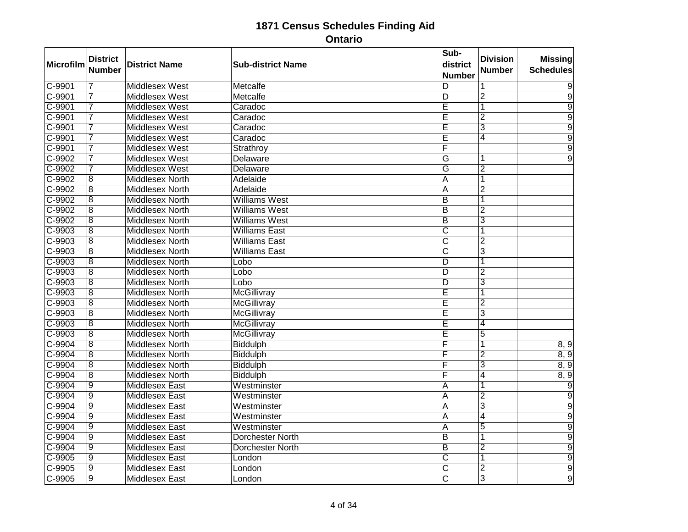| <b>Microfilm</b> | <b>District</b><br><b>Number</b> | <b>District Name</b>   | <b>Sub-district Name</b> | Sub-<br>district<br><b>Number</b> | <b>Division</b><br>Number | <b>Missing</b><br><b>Schedules</b> |
|------------------|----------------------------------|------------------------|--------------------------|-----------------------------------|---------------------------|------------------------------------|
| $C-9901$         | 7                                | <b>Middlesex West</b>  | Metcalfe                 | D                                 | 1                         | 9                                  |
| $C-9901$         | 7                                | Middlesex West         | Metcalfe                 | D                                 | $\overline{2}$            | $\overline{9}$                     |
| $C-9901$         | $\overline{7}$                   | Middlesex West         | Caradoc                  | Ē                                 | $\overline{1}$            | $\overline{9}$                     |
| $C-9901$         | 7                                | Middlesex West         | Caradoc                  | Ē                                 | $\overline{2}$            | $\overline{9}$                     |
| C-9901           | $\overline{7}$                   | <b>Middlesex West</b>  | Caradoc                  | Ē                                 | 3                         | 9                                  |
| $C-9901$         | $\overline{7}$                   | <b>Middlesex West</b>  | Caradoc                  | E                                 | 4                         | $\overline{9}$                     |
| $C-9901$         | $\overline{7}$                   | <b>Middlesex West</b>  | Strathroy                | F                                 |                           | $\overline{9}$                     |
| $C-9902$         | 7                                | Middlesex West         | <b>Delaware</b>          | G                                 | 1                         | $\overline{9}$                     |
| $C-9902$         | 7                                | <b>Middlesex West</b>  | <b>Delaware</b>          | G                                 | $\overline{2}$            |                                    |
| $C-9902$         | $\overline{8}$                   | <b>Middlesex North</b> | Adelaide                 | $\overline{\mathsf{A}}$           | 1                         |                                    |
| $C-9902$         | $\overline{8}$                   | <b>Middlesex North</b> | Adelaide                 | A                                 | $\overline{2}$            |                                    |
| $C-9902$         | $\overline{8}$                   | <b>Middlesex North</b> | <b>Williams West</b>     | $\overline{B}$                    | 1                         |                                    |
| $C-9902$         | $\overline{8}$                   | <b>Middlesex North</b> | <b>Williams West</b>     | $\overline{B}$                    | $\overline{2}$            |                                    |
| $C-9902$         | $\overline{8}$                   | <b>Middlesex North</b> | <b>Williams West</b>     | $\overline{B}$                    | $\overline{3}$            |                                    |
| $C-9903$         | $\overline{8}$                   | <b>Middlesex North</b> | <b>Williams East</b>     | $\overline{\text{c}}$             | 1                         |                                    |
| $C-9903$         | $\overline{8}$                   | <b>Middlesex North</b> | <b>Williams East</b>     | $\overline{\mathsf{c}}$           | $\overline{2}$            |                                    |
| C-9903           | $\overline{8}$                   | Middlesex North        | <b>Williams East</b>     | $\overline{\text{c}}$             | $\overline{3}$            |                                    |
| $C-9903$         | $\overline{8}$                   | <b>Middlesex North</b> | Lobo                     | D                                 | 1                         |                                    |
| $C-9903$         | $\overline{\bf 8}$               | <b>Middlesex North</b> | Lobo                     | D                                 | $\overline{2}$            |                                    |
| $C-9903$         | $\overline{8}$                   | <b>Middlesex North</b> | Lobo                     | D                                 | $\overline{3}$            |                                    |
| $C-9903$         | $\overline{8}$                   | <b>Middlesex North</b> | McGillivray              | Ē                                 | $\overline{\mathbf{1}}$   |                                    |
| $C-9903$         | $\overline{8}$                   | <b>Middlesex North</b> | McGillivray              | Ē                                 | $\overline{2}$            |                                    |
| $C-9903$         | $\overline{8}$                   | <b>Middlesex North</b> | <b>McGillivray</b>       | Ē                                 | $\overline{3}$            |                                    |
| $C-9903$         | $\overline{8}$                   | <b>Middlesex North</b> | McGillivray              | Ē                                 | $\overline{4}$            |                                    |
| $C-9903$         | $\overline{8}$                   | <b>Middlesex North</b> | <b>McGillivray</b>       | Ē                                 | $\overline{5}$            |                                    |
| $C-9904$         | $\overline{8}$                   | <b>Middlesex North</b> | <b>Biddulph</b>          | F                                 | 1                         | 8, 9                               |
| C-9904           | $\overline{8}$                   | <b>Middlesex North</b> | Biddulph                 | F                                 | $\overline{2}$            | 8, 9                               |
| $C-9904$         | 8                                | <b>Middlesex North</b> | Biddulph                 | F                                 | 3                         | 8, 9                               |
| $C-9904$         | $\overline{8}$                   | <b>Middlesex North</b> | <b>Biddulph</b>          | F                                 | $\overline{4}$            | 8, 9                               |
| $C-9904$         | $\overline{9}$                   | <b>Middlesex East</b>  | Westminster              | A                                 |                           | 9                                  |
| $C-9904$         | $\overline{9}$                   | <b>Middlesex East</b>  | Westminster              | A                                 | $\overline{2}$            | $\overline{9}$                     |
| $C-9904$         | $\overline{9}$                   | <b>Middlesex East</b>  | Westminster              | A                                 | $\overline{3}$            | $\overline{9}$                     |
| $C-9904$         | $\overline{9}$                   | <b>Middlesex East</b>  | Westminster              | $\overline{A}$                    | $\overline{4}$            | $\overline{9}$                     |
| $C-9904$         | $\overline{9}$                   | <b>Middlesex East</b>  | Westminster              | $\overline{A}$                    | 5                         | 9                                  |
| $C-9904$         | $\overline{9}$                   | <b>Middlesex East</b>  | Dorchester North         | B                                 | 1                         | $\overline{9}$                     |
| $C-9904$         | $\overline{9}$                   | <b>Middlesex East</b>  | <b>Dorchester North</b>  | $\overline{B}$                    | $\overline{2}$            | $\overline{9}$                     |
| $C-9905$         | $\overline{9}$                   | <b>Middlesex East</b>  | London                   | $\overline{\text{c}}$             | 1                         | $\overline{9}$                     |
| $C-9905$         | $\overline{9}$                   | <b>Middlesex East</b>  | London                   | $\overline{\mathsf{c}}$           | $\overline{2}$            | $\overline{9}$                     |
| $C-9905$         | $\overline{9}$                   | <b>Middlesex East</b>  | London                   | $\overline{\mathsf{c}}$           | $\overline{3}$            | $\overline{9}$                     |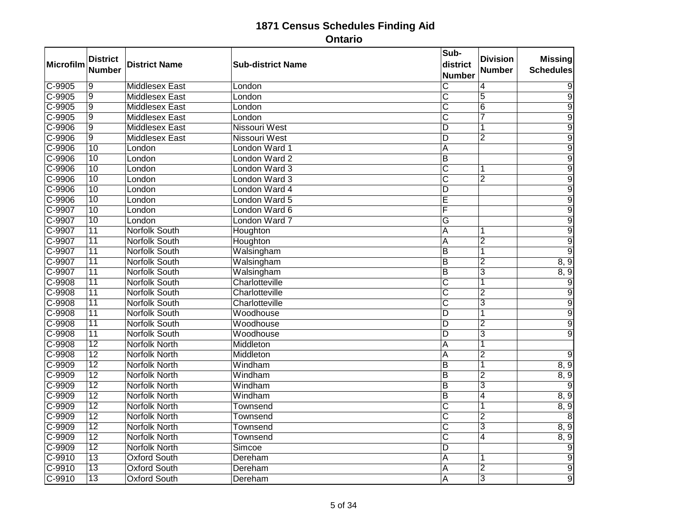| Microfilm | <b>District</b><br><b>Number</b> | <b>District Name</b>  | <b>Sub-district Name</b> | Sub-<br>district<br><b>Number</b> | <b>Division</b><br><b>Number</b> | <b>Missing</b><br><b>Schedules</b> |
|-----------|----------------------------------|-----------------------|--------------------------|-----------------------------------|----------------------------------|------------------------------------|
| C-9905    | $\overline{9}$                   | <b>Middlesex East</b> | London                   | $\overline{\text{c}}$             | 4                                | 9                                  |
| $C-9905$  | $\overline{9}$                   | <b>Middlesex East</b> | London                   | $\overline{\text{c}}$             | 5                                | $\overline{9}$                     |
| $C-9905$  | $\overline{9}$                   | <b>Middlesex East</b> | London                   | $\overline{\text{c}}$             | $\overline{6}$                   | $\overline{9}$                     |
| $C-9905$  | $\overline{9}$                   | <b>Middlesex East</b> | London                   | $\overline{\text{c}}$             | 7                                | $\overline{9}$                     |
| C-9906    | $\overline{9}$                   | <b>Middlesex East</b> | <b>Nissouri West</b>     | D                                 | 1                                | $\overline{9}$                     |
| $C-9906$  | $\overline{9}$                   | <b>Middlesex East</b> | <b>Nissouri West</b>     | D                                 | 2                                | $\overline{9}$                     |
| $C-9906$  | $\overline{10}$                  | London                | London Ward 1            | $\overline{A}$                    |                                  | $\overline{9}$                     |
| C-9906    | 10                               | London                | London Ward 2            | B                                 |                                  | 9                                  |
| $C-9906$  | $\overline{10}$                  | London                | London Ward 3            | $\overline{\text{c}}$             | 1                                | $\overline{9}$                     |
| $C-9906$  | 10                               | London                | London Ward 3            | $\overline{\text{c}}$             | $\overline{2}$                   | $\overline{9}$                     |
| C-9906    | 10                               | London                | London Ward 4            | $\overline{D}$                    |                                  | $\overline{9}$                     |
| $C-9906$  | 10                               | London                | London Ward 5            | Ē                                 |                                  | $\overline{9}$                     |
| $C-9907$  | $\overline{10}$                  | London                | London Ward 6            | F                                 |                                  | $\overline{9}$                     |
| C-9907    | 10                               | London                | <b>London Ward 7</b>     | G                                 |                                  | $\overline{9}$                     |
| $C-9907$  | $\overline{11}$                  | <b>Norfolk South</b>  | Houghton                 | A                                 | 1                                | $\overline{9}$                     |
| $C-9907$  | $\overline{11}$                  | <b>Norfolk South</b>  | Houghton                 | $\overline{A}$                    | $\overline{2}$                   | $\overline{9}$                     |
| C-9907    | 11                               | <b>Norfolk South</b>  | Walsingham               | $\overline{B}$                    | $\overline{1}$                   | $\overline{9}$                     |
| C-9907    | 11                               | <b>Norfolk South</b>  | Walsingham               | $\overline{B}$                    | $\overline{2}$                   | 8, 9                               |
| $C-9907$  | $\overline{11}$                  | <b>Norfolk South</b>  | Walsingham               | $\overline{B}$                    | $\overline{3}$                   | 8, 9                               |
| $C-9908$  | $\overline{11}$                  | <b>Norfolk South</b>  | Charlotteville           | $\overline{\text{c}}$             | $\overline{1}$                   | $\overline{9}$                     |
| C-9908    | 11                               | <b>Norfolk South</b>  | Charlotteville           | $\overline{\text{c}}$             | $\overline{2}$                   | 9                                  |
| $C-9908$  | $\overline{11}$                  | <b>Norfolk South</b>  | Charlotteville           | $\overline{\text{c}}$             | $\overline{3}$                   | $\overline{9}$                     |
| $C-9908$  | $\overline{11}$                  | <b>Norfolk South</b>  | Woodhouse                | $\overline{\mathsf{D}}$           | 1                                | $\overline{9}$                     |
| $C-9908$  | 11                               | <b>Norfolk South</b>  | Woodhouse                | D                                 | $\overline{2}$                   | $\overline{9}$                     |
| $C-9908$  | 11                               | <b>Norfolk South</b>  | Woodhouse                | $\overline{D}$                    | $\overline{3}$                   | $\overline{9}$                     |
| $C-9908$  | $\overline{12}$                  | <b>Norfolk North</b>  | Middleton                | $\overline{A}$                    | 1                                |                                    |
| $C-9908$  | 12                               | <b>Norfolk North</b>  | Middleton                | $\overline{A}$                    | $\overline{2}$                   | $\overline{9}$                     |
| $C-9909$  | $\overline{12}$                  | <b>Norfolk North</b>  | Windham                  | $\overline{B}$                    | 1                                | 8, 9                               |
| $C-9909$  | $\overline{12}$                  | <b>Norfolk North</b>  | Windham                  | B                                 | $\overline{2}$                   | 8, 9                               |
| $C-9909$  | $\overline{12}$                  | <b>Norfolk North</b>  | Windham                  | $\overline{B}$                    | $\overline{3}$                   | 9                                  |
| C-9909    | $\overline{12}$                  | <b>Norfolk North</b>  | Windham                  | $\overline{B}$                    | 4                                | 8, 9                               |
| C-9909    | $\overline{12}$                  | Norfolk North         | <b>Townsend</b>          | $\overline{\text{c}}$             | 1                                | 8, 9                               |
| $C-9909$  | $\overline{12}$                  | <b>Norfolk North</b>  | Townsend                 | $\overline{\mathsf{C}}$           | $\overline{2}$                   | $\overline{8}$                     |
| C-9909    | $\overline{12}$                  | <b>Norfolk North</b>  | Townsend                 | $\overline{\text{c}}$             | $\overline{3}$                   | 8, 9                               |
| $C-9909$  | $\overline{12}$                  | <b>Norfolk North</b>  | Townsend                 | $\overline{\text{c}}$             | $\overline{4}$                   | 8, 9                               |
| C-9909    | $\overline{12}$                  | <b>Norfolk North</b>  | Simcoe                   | $\overline{\mathsf{D}}$           |                                  | $\overline{9}$                     |
| C-9910    | 13                               | <b>Oxford South</b>   | Dereham                  | A                                 | 1                                | $\overline{9}$                     |
| $C-9910$  | $\overline{13}$                  | <b>Oxford South</b>   | Dereham                  | A                                 | $\overline{2}$                   | $\overline{9}$                     |
| $C-9910$  | $\overline{13}$                  | <b>Oxford South</b>   | Dereham                  | $\overline{A}$                    | $\overline{3}$                   | $\overline{9}$                     |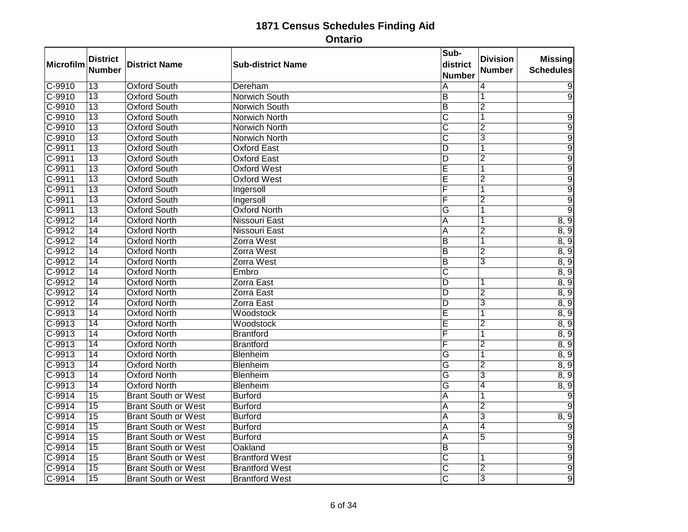| Microfilm           | <b>District</b> | <b>District Name</b>       | <b>Sub-district Name</b> | Sub-<br>district        | <b>Division</b>         | <b>Missing</b>   |
|---------------------|-----------------|----------------------------|--------------------------|-------------------------|-------------------------|------------------|
|                     | <b>Number</b>   |                            |                          | <b>Number</b>           | Number                  | <b>Schedules</b> |
| $C-9910$            | $\overline{13}$ | <b>Oxford South</b>        | Dereham                  | Α                       | 4                       | 9                |
| $C-9910$            | $\overline{13}$ | <b>Oxford South</b>        | Norwich South            | $\overline{B}$          |                         | $\overline{9}$   |
| $C-9910$            | $\overline{13}$ | <b>Oxford South</b>        | Norwich South            | $\overline{B}$          | $\overline{2}$          |                  |
| $C-9910$            | $\overline{13}$ | <b>Oxford South</b>        | Norwich North            | $\overline{\text{c}}$   | $\overline{\mathbf{1}}$ | $\overline{9}$   |
| C-9910              | $\overline{13}$ | <b>Oxford South</b>        | <b>Norwich North</b>     | $\overline{\text{C}}$   | $\overline{2}$          | $\overline{9}$   |
| C-9910              | $\overline{13}$ | <b>Oxford South</b>        | Norwich North            | C                       | 3                       | $\overline{9}$   |
| $C-9911$            | $\overline{13}$ | <b>Oxford South</b>        | <b>Oxford East</b>       | ΙD                      | $\overline{\mathbf{1}}$ | $\overline{9}$   |
| $C-9911$            | $\overline{13}$ | <b>Oxford South</b>        | <b>Oxford East</b>       | D                       | $\overline{2}$          | $\overline{9}$   |
| $C-9911$            | $\overline{13}$ | <b>Oxford South</b>        | <b>Oxford West</b>       | Ē                       |                         | $\overline{9}$   |
| $C-9911$            | $\overline{13}$ | <b>Oxford South</b>        | <b>Oxford West</b>       | Ε                       | $\overline{2}$          | $\overline{9}$   |
| $C-9911$            | $\overline{13}$ | <b>Oxford South</b>        | Ingersoll                | F                       | 1                       | $\overline{9}$   |
| $C-9911$            | 13              | <b>Oxford South</b>        | Ingersoll                | F                       | $\overline{2}$          | $\overline{9}$   |
| $C-9911$            | $\overline{13}$ | <b>Oxford South</b>        | <b>Oxford North</b>      | G                       | 1                       | $\overline{9}$   |
| $C-9912$            | 14              | <b>Oxford North</b>        | <b>Nissouri East</b>     | $\overline{A}$          | 1                       | 8, 9             |
| $C-9912$            | 14              | <b>Oxford North</b>        | Nissouri East            | A                       | $\overline{2}$          | 8, 9             |
| $C-9912$            | $\overline{14}$ | <b>Oxford North</b>        | Zorra West               | B                       | 1                       | 8, 9             |
| $C-9912$            | $\overline{14}$ | <b>Oxford North</b>        | Zorra West               | $\overline{B}$          | $\overline{2}$          | 8, 9             |
| $C-9912$            | 14              | <b>Oxford North</b>        | Zorra West               | B                       | $\overline{3}$          | 8, 9             |
| $C-9912$            | $\overline{14}$ | <b>Oxford North</b>        | Embro                    | C                       |                         | 8, 9             |
| $C-9912$            | 14              | <b>Oxford North</b>        | Zorra East               | ΙD                      | 1                       | 8, 9             |
| $C-9912$            | 14              | <b>Oxford North</b>        | Zorra East               | $\overline{D}$          | $\overline{2}$          | 8, 9             |
| $C-9912$            | $\overline{14}$ | <b>Oxford North</b>        | <b>Zorra East</b>        | D                       | 3                       | 8, 9             |
| $C-9913$            | $\overline{14}$ | <b>Oxford North</b>        | Woodstock                | Ē                       | $\overline{\mathbf{1}}$ | 8, 9             |
| $C-9913$            | 14              | <b>Oxford North</b>        | Woodstock                | Ē                       | $\overline{2}$          | 8, 9             |
| $C-9913$            | $\overline{14}$ | <b>Oxford North</b>        | <b>Brantford</b>         | F                       | 1                       | 8, 9             |
| $C-9913$            | $\overline{14}$ | <b>Oxford North</b>        | <b>Brantford</b>         | F                       | $\overline{2}$          | 8, 9             |
| $C-9913$            | 14              | <b>Oxford North</b>        | Blenheim                 | G                       | 1                       | 8, 9             |
| $C-9913$            | $\overline{14}$ | <b>Oxford North</b>        | Blenheim                 | G                       | $\overline{2}$          | 8, 9             |
| $C-9913$            | $\overline{14}$ | <b>Oxford North</b>        | <b>Blenheim</b>          | $\overline{G}$          | 3                       | 8, 9             |
| $C-9913$            | $\overline{14}$ | <b>Oxford North</b>        | Blenheim                 | $\overline{\mathsf{G}}$ | 4                       | 8, 9             |
| $C-9914$            | $\overline{15}$ | <b>Brant South or West</b> | <b>Burford</b>           | A                       | 1                       | $\overline{9}$   |
| $C-9914$            | $\overline{15}$ | <b>Brant South or West</b> | <b>Burford</b>           | A                       | $\overline{2}$          | 9                |
| $C-9914$            | 15              | <b>Brant South or West</b> | <b>Burford</b>           | $\overline{A}$          | $\overline{3}$          | 8, 9             |
| $C-9914$            | 15              | <b>Brant South or West</b> | <b>Burford</b>           | A                       | 4                       | $\overline{9}$   |
| $C-9914$            | $\overline{15}$ | <b>Brant South or West</b> | <b>Burford</b>           | A                       | $\overline{5}$          | $\overline{9}$   |
| $C-9914$            | 15              | <b>Brant South or West</b> | Oakland                  | $\overline{B}$          |                         | $\overline{9}$   |
| $C - 9914$          | 15              | <b>Brant South or West</b> | <b>Brantford West</b>    | $\overline{\text{C}}$   | 1                       | $\overline{9}$   |
| $\overline{C-9914}$ | $\overline{15}$ | <b>Brant South or West</b> | <b>Brantford West</b>    | $\overline{\mathsf{c}}$ | $\overline{2}$          | $\overline{9}$   |
| $C-9914$            | $\overline{15}$ | <b>Brant South or West</b> | <b>Brantford West</b>    | $\overline{\mathsf{c}}$ | $\overline{3}$          | $\overline{9}$   |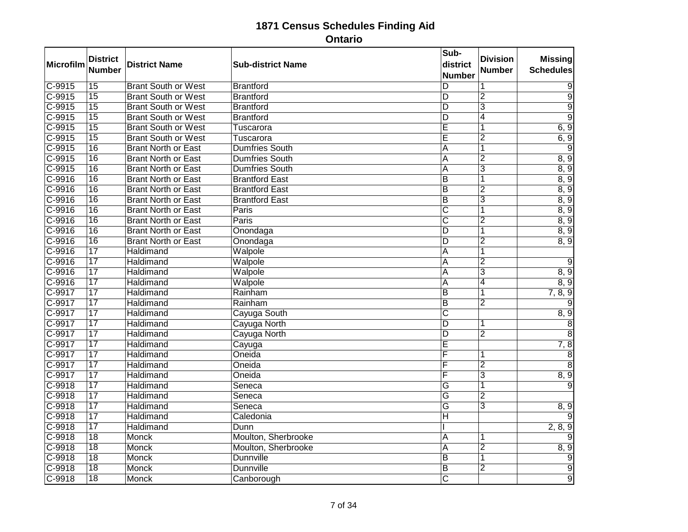| Microfilm           | <b>District</b><br><b>Number</b> | <b>District Name</b>       | <b>Sub-district Name</b> | Sub-<br>district<br><b>Number</b> | <b>Division</b><br><b>Number</b> | <b>Missing</b><br><b>Schedules</b> |
|---------------------|----------------------------------|----------------------------|--------------------------|-----------------------------------|----------------------------------|------------------------------------|
| $C-9915$            | $\overline{15}$                  | <b>Brant South or West</b> | <b>Brantford</b>         | D                                 | 1                                | 9                                  |
| $C-9915$            | 15                               | <b>Brant South or West</b> | <b>Brantford</b>         | $\overline{\mathsf{D}}$           | $\overline{2}$                   | $\overline{9}$                     |
| $C-9915$            | $\overline{15}$                  | <b>Brant South or West</b> | <b>Brantford</b>         | $\overline{\mathsf{D}}$           | $\overline{3}$                   | $\overline{9}$                     |
| $C-9915$            | $\overline{15}$                  | <b>Brant South or West</b> | <b>Brantford</b>         | $\overline{\mathsf{D}}$           | $\overline{4}$                   | $\overline{9}$                     |
| C-9915              | $\overline{15}$                  | <b>Brant South or West</b> | Tuscarora                | Ē                                 | 1                                | 6, 9                               |
| $C-9915$            | $\overline{15}$                  | <b>Brant South or West</b> | Tuscarora                | E                                 | 2                                | 6, 9                               |
| $C-9915$            | $\overline{16}$                  | <b>Brant North or East</b> | <b>Dumfries South</b>    | A                                 | 1                                | $\overline{9}$                     |
| $C-9915$            | 16                               | <b>Brant North or East</b> | <b>Dumfries South</b>    | $\overline{A}$                    | $\overline{2}$                   | 8, 9                               |
| C-9915              | $\overline{16}$                  | <b>Brant North or East</b> | <b>Dumfries South</b>    | A                                 | $\overline{3}$                   | 8, 9                               |
| $C-9916$            | $\overline{16}$                  | <b>Brant North or East</b> | <b>Brantford East</b>    | $\overline{\mathsf{B}}$           | 1                                | 8, 9                               |
| $C-9916$            | 16                               | <b>Brant North or East</b> | <b>Brantford East</b>    | $\overline{B}$                    | 2                                | 8, 9                               |
| $C-9916$            | 16                               | <b>Brant North or East</b> | <b>Brantford East</b>    | ĪΒ                                | $\overline{3}$                   | 8, 9                               |
| $\overline{C-9916}$ | $\overline{16}$                  | <b>Brant North or East</b> | Paris                    | $\overline{\text{c}}$             | 1                                | 8, 9                               |
| C-9916              | 16                               | <b>Brant North or East</b> | Paris                    | $\overline{\text{c}}$             | $\overline{2}$                   | 8, 9                               |
| $C-9916$            | 16                               | <b>Brant North or East</b> | Onondaga                 | D                                 | 1                                | 8, 9                               |
| $C-9916$            | $\overline{16}$                  | <b>Brant North or East</b> | Onondaga                 | $\overline{D}$                    | $\overline{2}$                   | 8, 9                               |
| $C-9916$            | $\overline{17}$                  | Haldimand                  | Walpole                  | $\overline{A}$                    | $\overline{1}$                   |                                    |
| C-9916              | 17                               | Haldimand                  | Walpole                  | $\overline{A}$                    | $\overline{2}$                   | 9                                  |
| $C-9916$            | $\overline{17}$                  | Haldimand                  | Walpole                  | A                                 | $\overline{\mathbf{3}}$          | 8, 9                               |
| $C-9916$            | $\overline{17}$                  | Haldimand                  | Walpole                  | $\overline{A}$                    | $\overline{4}$                   | 8, 9                               |
| C-9917              | 17                               | Haldimand                  | Rainham                  | $\overline{B}$                    | $\overline{1}$                   | 7, 8, 9                            |
| $C-9917$            | $\overline{17}$                  | Haldimand                  | Rainham                  | $\overline{B}$                    | $\overline{2}$                   |                                    |
| C-9917              | $\overline{17}$                  | <b>Haldimand</b>           | Cayuga South             | $\overline{\text{c}}$             |                                  | 8, 9                               |
| C-9917              | 17                               | Haldimand                  | Cayuga North             | $\overline{D}$                    | 1                                | $\overline{8}$                     |
| $C-9917$            | $\overline{17}$                  | Haldimand                  | Cayuga North             | $\overline{\mathsf{D}}$           | $\overline{2}$                   | $\overline{8}$                     |
| C-9917              | $\overline{17}$                  | Haldimand                  | Cayuga                   | Ē                                 |                                  | 7, 8                               |
| $C-9917$            | 17                               | Haldimand                  | Oneida                   | F                                 |                                  | $\overline{8}$                     |
| $C-9917$            | $\overline{17}$                  | Haldimand                  | Oneida                   | F                                 | $\overline{2}$                   | 8                                  |
| C-9917              | $\overline{17}$                  | Haldimand                  | Oneida                   | F                                 | $\overline{3}$                   | 8, 9                               |
| $C-9918$            | $\overline{17}$                  | Haldimand                  | Seneca                   | G                                 | $\overline{1}$                   | $\overline{9}$                     |
| $C-9918$            | 17                               | Haldimand                  | Seneca                   | G                                 | $\overline{2}$                   |                                    |
| $C-9918$            | $\overline{17}$                  | Haldimand                  | Seneca                   | $\overline{\mathsf{G}}$           | $\overline{3}$                   | 8, 9                               |
| $C-9918$            | 17                               | Haldimand                  | Caledonia                | $\overline{H}$                    |                                  |                                    |
| $C-9918$            | 17                               | Haldimand                  | Dunn                     |                                   |                                  | 2, 8, 9                            |
| $C-9918$            | $\overline{18}$                  | <b>Monck</b>               | Moulton, Sherbrooke      | A                                 | 1                                |                                    |
| $C-9918$            | $\overline{18}$                  | <b>Monck</b>               | Moulton, Sherbrooke      | $\overline{A}$                    | $\overline{2}$                   | 8, 9                               |
| $C-9918$            | 18                               | <b>Monck</b>               | <b>Dunnville</b>         | Ē                                 | $\overline{1}$                   | $\overline{9}$                     |
| $C-9918$            | $\overline{18}$                  | Monck                      | <b>Dunnville</b>         | $\overline{B}$                    | $\overline{2}$                   | $\overline{9}$                     |
| $C-9918$            | $\overline{18}$                  | <b>Monck</b>               | Canborough               | $\overline{\text{c}}$             |                                  | $\overline{9}$                     |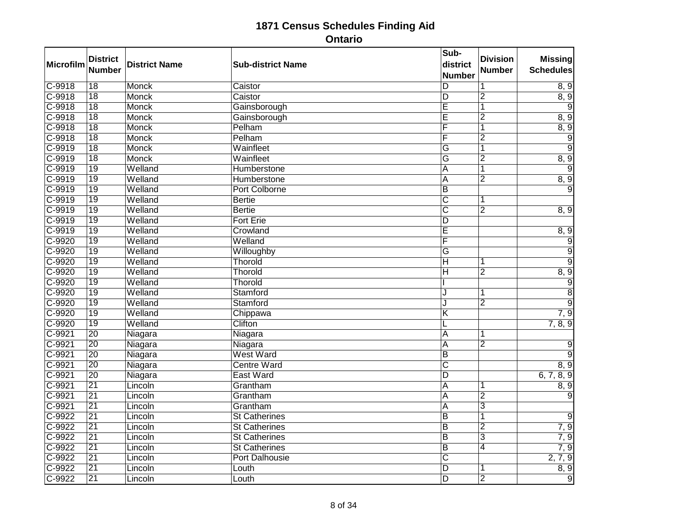| Microfilm | <b>District</b><br><b>Number</b> | <b>District Name</b> | <b>Sub-district Name</b> | Sub-<br>district<br><b>Number</b> | <b>Division</b><br><b>Number</b> | <b>Missing</b><br><b>Schedules</b> |
|-----------|----------------------------------|----------------------|--------------------------|-----------------------------------|----------------------------------|------------------------------------|
| $C-9918$  | $\overline{18}$                  | <b>Monck</b>         | Caistor                  | D                                 | 1                                | 8, 9                               |
| $C-9918$  | 18                               | <b>Monck</b>         | Caistor                  | ĪD                                | $\overline{2}$                   | 8, 9                               |
| $C-9918$  | $\overline{18}$                  | <b>Monck</b>         | Gainsborough             | E                                 | 1                                |                                    |
| $C-9918$  | $\overline{18}$                  | <b>Monck</b>         | Gainsborough             | $\overline{\mathsf{E}}$           | $\overline{2}$                   | 8, 9                               |
| C-9918    | $\overline{18}$                  | <b>Monck</b>         | Pelham                   | F                                 | 1                                | 8, 9                               |
| $C-9918$  | $\overline{18}$                  | Monck                | Pelham                   | F                                 | $\overline{2}$                   | $\overline{9}$                     |
| C-9919    | $\overline{18}$                  | Monck                | Wainfleet                | $\overline{\mathsf{G}}$           | $\overline{\mathbf{1}}$          | $\overline{9}$                     |
| $C-9919$  | 18                               | <b>Monck</b>         | Wainfleet                | G                                 | $\overline{2}$                   | 8, 9                               |
| $C-9919$  | $\overline{19}$                  | Welland              | Humberstone              | $\overline{A}$                    | 1                                | $\overline{9}$                     |
| $C-9919$  | $\overline{19}$                  | Welland              | Humberstone              | $\overline{\mathsf{A}}$           | $\overline{2}$                   | 8, 9                               |
| C-9919    | 19                               | Welland              | Port Colborne            | $\overline{B}$                    |                                  | 9                                  |
| C-9919    | $\overline{19}$                  | Welland              | <b>Bertie</b>            | $\overline{\text{C}}$             | 1                                |                                    |
| $C-9919$  | $\overline{19}$                  | Welland              | <b>Bertie</b>            | $\overline{\mathsf{c}}$           | $\overline{2}$                   | 8, 9                               |
| $C-9919$  | 19                               | Welland              | <b>Fort Erie</b>         | D                                 |                                  |                                    |
| $C-9919$  | 19                               | Welland              | Crowland                 | Ē                                 |                                  | 8, 9                               |
| $C-9920$  | $\overline{19}$                  | Welland              | Welland                  | F                                 |                                  | $\overline{9}$                     |
| $C-9920$  | $\overline{19}$                  | Welland              | Willoughby               | $\overline{\mathsf{G}}$           |                                  | $\overline{9}$                     |
| C-9920    | 19                               | Welland              | Thorold                  | $\overline{\mathsf{H}}$           | 1                                | $\overline{9}$                     |
| $C-9920$  | $\overline{19}$                  | Welland              | Thorold                  | Н                                 | $\overline{2}$                   | 8, 9                               |
| $C-9920$  | 19                               | Welland              | Thorold                  |                                   |                                  | $\overline{9}$                     |
| C-9920    | 19                               | Welland              | Stamford                 | J                                 | 1                                | $\overline{8}$                     |
| $C-9920$  | $\overline{19}$                  | Welland              | Stamford                 | J                                 | $\overline{2}$                   | $\overline{9}$                     |
| $C-9920$  | $\overline{19}$                  | Welland              | Chippawa                 | $\overline{\mathsf{K}}$           |                                  | 7, 9                               |
| $C-9920$  | $\overline{19}$                  | Welland              | Clifton                  |                                   |                                  | 7, 8, 9                            |
| $C-9921$  | $\overline{20}$                  | Niagara              | Niagara                  | $\overline{A}$                    | 1                                |                                    |
| $C-9921$  | $\overline{20}$                  | Niagara              | Niagara                  | $\overline{\mathsf{A}}$           | $\overline{2}$                   | 9                                  |
| $C-9921$  | 20                               | Niagara              | <b>West Ward</b>         | B                                 |                                  | $\overline{9}$                     |
| $C-9921$  | $\overline{20}$                  | Niagara              | <b>Centre Ward</b>       | $\overline{\mathsf{c}}$           |                                  | 8, 9                               |
| $C-9921$  | $\overline{20}$                  | Niagara              | <b>East Ward</b>         | D                                 |                                  | 6, 7, 8, 9                         |
| $C-9921$  | $\overline{21}$                  | Lincoln              | Grantham                 | A                                 |                                  | 8, 9                               |
| $C-9921$  | $\overline{21}$                  | Lincoln              | Grantham                 | A                                 | $\overline{2}$                   | 9                                  |
| $C-9921$  | $\overline{21}$                  | Lincoln              | Grantham                 | A                                 | $\overline{3}$                   |                                    |
| $C-9922$  | $\overline{21}$                  | Lincoln              | <b>St Catherines</b>     | $\overline{B}$                    | $\overline{1}$                   | $\overline{9}$                     |
| $C-9922$  | $\overline{21}$                  | Lincoln              | <b>St Catherines</b>     | $\overline{B}$                    | $\overline{2}$                   | 7, 9                               |
| $C-9922$  | $\overline{21}$                  | Lincoln              | <b>St Catherines</b>     | $\overline{B}$                    | $\overline{3}$                   | 7, 9                               |
| $C-9922$  | $\overline{21}$                  | Lincoln              | <b>St Catherines</b>     | $\overline{B}$                    | $\overline{4}$                   | 7, 9                               |
| $C-9922$  | $\overline{21}$                  | Lincoln              | <b>Port Dalhousie</b>    | $\overline{\text{c}}$             |                                  | 2, 7, 9                            |
| $C-9922$  | $\overline{21}$                  | Lincoln              | Louth                    | $\overline{\mathsf{D}}$           | 1                                | 8, 9                               |
| C-9922    | $\overline{21}$                  | Lincoln              | Louth                    | D                                 | $\overline{2}$                   | $\overline{9}$                     |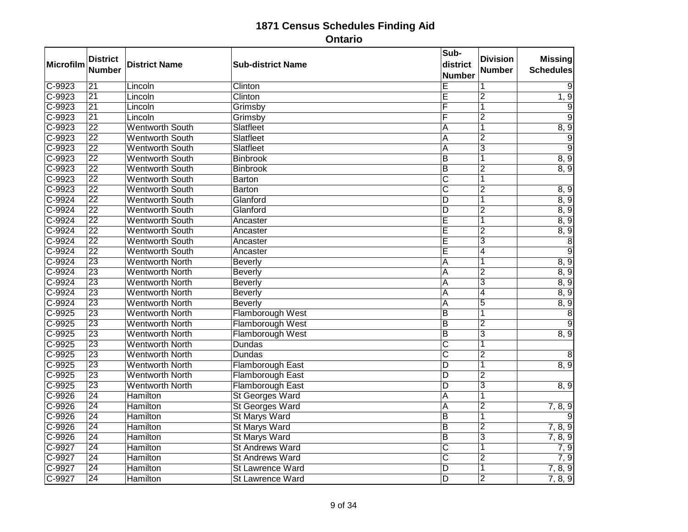| Microfilm  | <b>District</b><br><b>Number</b> | <b>District Name</b>   | <b>Sub-district Name</b> | Sub-<br>district<br><b>Number</b> | <b>Division</b><br><b>Number</b> | <b>Missing</b><br><b>Schedules</b> |
|------------|----------------------------------|------------------------|--------------------------|-----------------------------------|----------------------------------|------------------------------------|
| $C-9923$   | $\overline{21}$                  | Lincoln                | Clinton                  | E                                 | 1                                | 9                                  |
| $C-9923$   | $\overline{21}$                  | Lincoln                | Clinton                  | Ē                                 | $\overline{2}$                   | 1, 9                               |
| C-9923     | $\overline{21}$                  | Lincoln                | Grimsby                  | F                                 | 1                                | 9                                  |
| $C-9923$   | $\overline{21}$                  | Lincoln                | Grimsby                  | F                                 | $\overline{2}$                   | $\overline{9}$                     |
| C-9923     | $\overline{22}$                  | <b>Wentworth South</b> | Slatfleet                | A                                 | 1                                | 8, 9                               |
| $C-9923$   | $\overline{22}$                  | <b>Wentworth South</b> | Slatfleet                | A                                 | $\overline{2}$                   | $\overline{9}$                     |
| $C-9923$   | $\overline{22}$                  | <b>Wentworth South</b> | Slatfleet                | A                                 | $\overline{3}$                   | $\overline{9}$                     |
| C-9923     | $\overline{22}$                  | <b>Wentworth South</b> | <b>Binbrook</b>          | $\overline{B}$                    | 1                                | 8, 9                               |
| $C-9923$   | $\overline{22}$                  | <b>Wentworth South</b> | <b>Binbrook</b>          | $\overline{\mathsf{B}}$           | $\overline{2}$                   | 8, 9                               |
| $C-9923$   | $\overline{22}$                  | <b>Wentworth South</b> | <b>Barton</b>            | $\overline{\text{c}}$             | 1                                |                                    |
| $C-9923$   | $\overline{22}$                  | <b>Wentworth South</b> | <b>Barton</b>            | $\overline{\text{C}}$             | $\overline{2}$                   | 8, 9                               |
| C-9924     | $\overline{22}$                  | <b>Wentworth South</b> | Glanford                 | D                                 | 1                                | 8, 9                               |
| $C-9924$   | $\overline{22}$                  | <b>Wentworth South</b> | Glanford                 | $\overline{D}$                    | $\overline{2}$                   | 8, 9                               |
| $C-9924$   | $\overline{22}$                  | <b>Wentworth South</b> | Ancaster                 | Ē                                 | 1                                | 8, 9                               |
| $C-9924$   | $\overline{22}$                  | <b>Wentworth South</b> | Ancaster                 | E                                 | $\overline{2}$                   | 8, 9                               |
| $C-9924$   | $\overline{22}$                  | <b>Wentworth South</b> | Ancaster                 | Ē                                 | $\overline{3}$                   | $\overline{8}$                     |
| $C-9924$   | $\overline{22}$                  | <b>Wentworth South</b> | Ancaster                 | Ē                                 | 4                                | $\overline{9}$                     |
| C-9924     | $\overline{23}$                  | <b>Wentworth North</b> | <b>Beverly</b>           | $\overline{\mathsf{A}}$           | 1                                | 8, 9                               |
| $C-9924$   | $\overline{23}$                  | <b>Wentworth North</b> | <b>Beverly</b>           | A                                 | $\overline{2}$                   | 8, 9                               |
| $C - 9924$ | $\overline{23}$                  | <b>Wentworth North</b> | <b>Beverly</b>           | A                                 | $\overline{3}$                   | 8, 9                               |
| C-9924     | 23                               | <b>Wentworth North</b> | <b>Beverly</b>           | $\overline{A}$                    | $\overline{4}$                   | 8, 9                               |
| $C-9924$   | $\overline{23}$                  | <b>Wentworth North</b> | <b>Beverly</b>           | A                                 | $\overline{5}$                   | 8, 9                               |
| $C-9925$   | $\overline{23}$                  | <b>Wentworth North</b> | Flamborough West         | $\overline{B}$                    | 1                                | $\overline{8}$                     |
| $C-9925$   | 23                               | <b>Wentworth North</b> | Flamborough West         | $\overline{B}$                    | $\overline{2}$                   | 9                                  |
| $C-9925$   | $\overline{23}$                  | <b>Wentworth North</b> | Flamborough West         | $\overline{B}$                    | $\overline{3}$                   | 8, 9                               |
| $C-9925$   | $\overline{23}$                  | <b>Wentworth North</b> | <b>Dundas</b>            | $\overline{\text{c}}$             | 1                                |                                    |
| $C-9925$   | 23                               | <b>Wentworth North</b> | <b>Dundas</b>            | $\overline{\text{c}}$             | $\overline{2}$                   | 8                                  |
| $C-9925$   | $\overline{23}$                  | <b>Wentworth North</b> | <b>Flamborough East</b>  | D                                 | 1                                | 8, 9                               |
| $C-9925$   | $\overline{23}$                  | <b>Wentworth North</b> | Flamborough East         | ΙD                                | $\overline{2}$                   |                                    |
| $C-9925$   | $\overline{23}$                  | <b>Wentworth North</b> | Flamborough East         | $\overline{D}$                    | $\overline{\mathbf{3}}$          | 8, 9                               |
| C-9926     | $\overline{24}$                  | Hamilton               | <b>St Georges Ward</b>   | A                                 | 1                                |                                    |
| $C-9926$   | $\overline{24}$                  | <b>Hamilton</b>        | St Georges Ward          | A                                 | $\overline{2}$                   | 7, 8, 9                            |
| $C-9926$   | $\overline{24}$                  | <b>Hamilton</b>        | <b>St Marys Ward</b>     | $\overline{B}$                    | $\overline{1}$                   |                                    |
| C-9926     | $\overline{24}$                  | <b>Hamilton</b>        | <b>St Marys Ward</b>     | $\overline{B}$                    | $\overline{2}$                   | 7, 8, 9                            |
| $C-9926$   | $\overline{24}$                  | <b>Hamilton</b>        | <b>St Marys Ward</b>     | $\overline{B}$                    | $\overline{3}$                   | 7, 8, 9                            |
| $C-9927$   | $\overline{24}$                  | Hamilton               | <b>St Andrews Ward</b>   | $\overline{\text{c}}$             | $\overline{1}$                   | 7, 9                               |
| $C-9927$   | $\overline{24}$                  | <b>Hamilton</b>        | <b>St Andrews Ward</b>   | $\overline{\text{c}}$             | $\overline{2}$                   | 7, 9                               |
| $C-9927$   | $\overline{24}$                  | <b>Hamilton</b>        | <b>St Lawrence Ward</b>  | $\overline{\mathsf{D}}$           | 1                                | 7, 8, 9                            |
| C-9927     | $\overline{24}$                  | Hamilton               | St Lawrence Ward         | D                                 | $\overline{2}$                   | 7, 8, 9                            |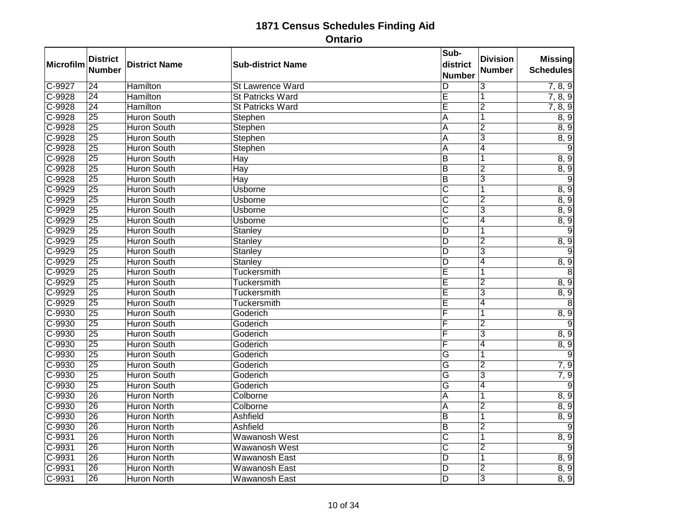| Microfilm | <b>District</b><br><b>Number</b> | <b>District Name</b> | <b>Sub-district Name</b> | Sub-<br>district<br><b>Number</b> | <b>Division</b><br>Number | <b>Missing</b><br><b>Schedules</b> |
|-----------|----------------------------------|----------------------|--------------------------|-----------------------------------|---------------------------|------------------------------------|
| $C-9927$  | $\overline{24}$                  | <b>Hamilton</b>      | St Lawrence Ward         | D                                 | 3                         | 7, 8, 9                            |
| $C-9928$  | $\overline{24}$                  | <b>Hamilton</b>      | <b>St Patricks Ward</b>  | Ē                                 | 1                         | 7, 8, 9                            |
| $C-9928$  | $\overline{24}$                  | <b>Hamilton</b>      | <b>St Patricks Ward</b>  | $\overline{\mathsf{E}}$           | $\overline{2}$            | 7, 8, 9                            |
| $C-9928$  | $\overline{25}$                  | <b>Huron South</b>   | Stephen                  | $\overline{A}$                    | $\overline{1}$            | 8, 9                               |
| C-9928    | $\overline{25}$                  | <b>Huron South</b>   | Stephen                  | A                                 | $\overline{2}$            | 8, 9                               |
| $C-9928$  | $\overline{25}$                  | <b>Huron South</b>   | Stephen                  | Α                                 | $\overline{3}$            | 8, 9                               |
| $C-9928$  | $\overline{25}$                  | <b>Huron South</b>   | Stephen                  | $\overline{\mathsf{A}}$           | $\overline{4}$            | $\overline{9}$                     |
| $C-9928$  | 25                               | <b>Huron South</b>   | Hay                      | $\overline{B}$                    | 1                         | 8, 9                               |
| $C-9928$  | $\overline{25}$                  | <b>Huron South</b>   | Hay                      | $\overline{B}$                    | $\overline{2}$            | 8, 9                               |
| $C-9928$  | $\overline{25}$                  | <b>Huron South</b>   | Hay                      | $\overline{B}$                    | 3                         | $\overline{9}$                     |
| $C-9929$  | $\overline{25}$                  | <b>Huron South</b>   | Usborne                  | $\overline{\text{c}}$             |                           | 8, 9                               |
| $C-9929$  | $\overline{25}$                  | <b>Huron South</b>   | <b>Usborne</b>           | $\overline{\text{c}}$             | $\overline{2}$            | 8, 9                               |
| $C-9929$  | $\overline{25}$                  | <b>Huron South</b>   | <b>Usborne</b>           | $\overline{\text{c}}$             | 3                         | 8, 9                               |
| C-9929    | $\overline{25}$                  | <b>Huron South</b>   | <b>Usborne</b>           | $\overline{\rm c}$                | 4                         | 8, 9                               |
| $C-9929$  | $\overline{25}$                  | <b>Huron South</b>   | <b>Stanley</b>           | $\overline{D}$                    | 1                         | $\overline{9}$                     |
| $C-9929$  | $\overline{25}$                  | <b>Huron South</b>   | Stanley                  | D                                 | $\overline{2}$            | 8, 9                               |
| $C-9929$  | $\overline{25}$                  | <b>Huron South</b>   | Stanley                  | $\overline{D}$                    | $\overline{3}$            | $\overline{9}$                     |
| C-9929    | $\overline{25}$                  | <b>Huron South</b>   | Stanley                  | D                                 | $\overline{4}$            | 8, 9                               |
| $C-9929$  | $\overline{25}$                  | <b>Huron South</b>   | <b>Tuckersmith</b>       | Ē                                 | 1                         | $\overline{8}$                     |
| $C-9929$  | $\overline{25}$                  | <b>Huron South</b>   | <b>Tuckersmith</b>       | $\overline{\mathsf{E}}$           | $\overline{2}$            | 8, 9                               |
| $C-9929$  | 25                               | <b>Huron South</b>   | Tuckersmith              | Ē                                 | $\overline{3}$            | 8, 9                               |
| $C-9929$  | $\overline{25}$                  | <b>Huron South</b>   | Tuckersmith              | Ē                                 | $\overline{4}$            | $\overline{8}$                     |
| $C-9930$  | $\overline{25}$                  | <b>Huron South</b>   | Goderich                 | F                                 | 1                         | 8, 9                               |
| $C-9930$  | $\overline{25}$                  | <b>Huron South</b>   | Goderich                 | F                                 | $\overline{2}$            | $\overline{9}$                     |
| $C-9930$  | $\overline{25}$                  | <b>Huron South</b>   | Goderich                 | F                                 | $\overline{3}$            | 8, 9                               |
| C-9930    | $\overline{25}$                  | <b>Huron South</b>   | Goderich                 | F                                 | 4                         | 8, 9                               |
| $C-9930$  | 25                               | <b>Huron South</b>   | Goderich                 | G                                 | 1                         | $\overline{9}$                     |
| $C-9930$  | $\overline{25}$                  | <b>Huron South</b>   | Goderich                 | $\overline{\mathsf{G}}$           | $\overline{2}$            | 7,9                                |
| $C-9930$  | $\overline{25}$                  | <b>Huron South</b>   | Goderich                 | $\overline{\mathsf{G}}$           | $\overline{3}$            | 7, 9                               |
| $C-9930$  | $\overline{25}$                  | <b>Huron South</b>   | Goderich                 | G                                 | 4                         | 9                                  |
| $C-9930$  | $\overline{26}$                  | <b>Huron North</b>   | Colborne                 | A                                 | 1                         | 8, 9                               |
| $C-9930$  | $\overline{26}$                  | <b>Huron North</b>   | Colborne                 | A                                 | $\overline{2}$            | 8, 9                               |
| $C-9930$  | $\overline{26}$                  | <b>Huron North</b>   | Ashfield                 | $\overline{B}$                    | 1                         | 8, 9                               |
| $C-9930$  | $\overline{26}$                  | <b>Huron North</b>   | Ashfield                 | $\overline{B}$                    | $\overline{2}$            | 9                                  |
| $C-9931$  | $\overline{26}$                  | <b>Huron North</b>   | Wawanosh West            | $\overline{\text{c}}$             | 1                         | 8, 9                               |
| $C-9931$  | $\overline{26}$                  | Huron North          | <b>Wawanosh West</b>     | $\overline{\text{c}}$             | $\overline{2}$            | $\overline{9}$                     |
| $C-9931$  | $\overline{26}$                  | <b>Huron North</b>   | <b>Wawanosh East</b>     | $\overline{D}$                    | 1                         | 8, 9                               |
| $C-9931$  | $\overline{26}$                  | Huron North          | Wawanosh East            | $\overline{D}$                    | $\overline{2}$            | 8, 9                               |
| $C-9931$  | $\overline{26}$                  | <b>Huron North</b>   | <b>Wawanosh East</b>     | D                                 | $\overline{3}$            | 8, 9                               |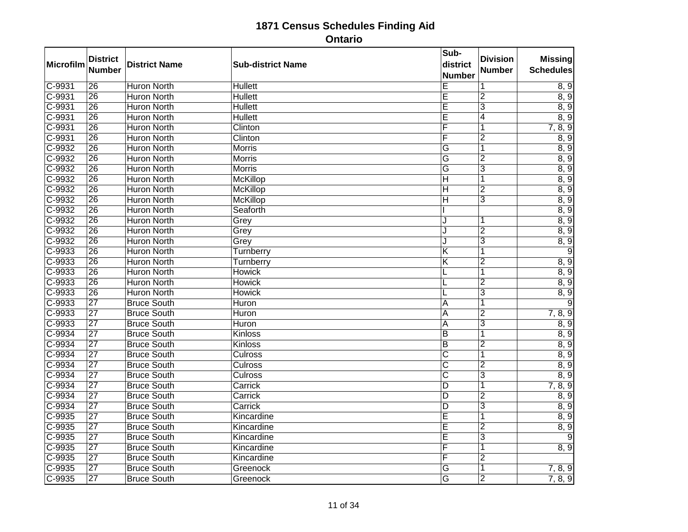| Microfilm  | <b>District</b><br><b>Number</b> | <b>District Name</b> | <b>Sub-district Name</b> | Sub-<br>district<br><b>Number</b> | <b>Division</b><br><b>Number</b> | <b>Missing</b><br><b>Schedules</b> |
|------------|----------------------------------|----------------------|--------------------------|-----------------------------------|----------------------------------|------------------------------------|
| $C-9931$   | $\overline{26}$                  | <b>Huron North</b>   | <b>Hullett</b>           | E                                 | 1                                | 8, 9                               |
| C-9931     | 26                               | <b>Huron North</b>   | <b>Hullett</b>           | E                                 | $\overline{2}$                   | 8, 9                               |
| C-9931     | $\overline{26}$                  | <b>Huron North</b>   | <b>Hullett</b>           | E                                 | $\overline{3}$                   | 8, 9                               |
| $C-9931$   | $\overline{26}$                  | <b>Huron North</b>   | <b>Hullett</b>           | Ε                                 | 4                                | 8, 9                               |
| C-9931     | 26                               | <b>Huron North</b>   | Clinton                  | F                                 | 1                                | 7, 8, 9                            |
| $C-9931$   | $\overline{26}$                  | <b>Huron North</b>   | Clinton                  | F                                 | $\overline{2}$                   | 8, 9                               |
| $C - 9932$ | $\overline{26}$                  | <b>Huron North</b>   | <b>Morris</b>            | $\overline{G}$                    | $\overline{1}$                   | 8, 9                               |
| C-9932     | 26                               | <b>Huron North</b>   | <b>Morris</b>            | G                                 | $\overline{2}$                   | 8, 9                               |
| C-9932     | $\overline{26}$                  | <b>Huron North</b>   | <b>Morris</b>            | G                                 | $\overline{3}$                   | 8, 9                               |
| $C-9932$   | $\overline{26}$                  | <b>Huron North</b>   | <b>McKillop</b>          | $\overline{\mathsf{H}}$           | $\overline{\mathbf{1}}$          | 8, 9                               |
| $C-9932$   | $\overline{26}$                  | <b>Huron North</b>   | <b>McKillop</b>          | H                                 | $\overline{2}$                   | 8, 9                               |
| $C-9932$   | $\overline{26}$                  | <b>Huron North</b>   | <b>McKillop</b>          | ΙH                                | $\overline{3}$                   | 8, 9                               |
| $C-9932$   | $\overline{26}$                  | <b>Huron North</b>   | Seaforth                 |                                   |                                  | 8, 9                               |
| $C-9932$   | $\overline{26}$                  | <b>Huron North</b>   | Grey                     | J                                 |                                  | 8, 9                               |
| $C-9932$   | $\overline{26}$                  | <b>Huron North</b>   | Grey                     | J.                                | $\overline{2}$                   | 8, 9                               |
| $C-9932$   | $\overline{26}$                  | <b>Huron North</b>   | Grey                     | J                                 | $\overline{3}$                   | 8, 9                               |
| $C-9933$   | $\overline{26}$                  | <b>Huron North</b>   | Turnberry                | $\overline{K}$                    |                                  | 9                                  |
| $C-9933$   | 26                               | <b>Huron North</b>   | Turnberry                | Κ                                 | $\overline{2}$                   | 8, 9                               |
| $C-9933$   | $\overline{26}$                  | <b>Huron North</b>   | <b>Howick</b>            |                                   | $\overline{1}$                   | 8, 9                               |
| $C-9933$   | $\overline{26}$                  | <b>Huron North</b>   | <b>Howick</b>            | L                                 | $\overline{2}$                   | 8, 9                               |
| C-9933     | $\overline{26}$                  | <b>Huron North</b>   | <b>Howick</b>            |                                   | $\overline{3}$                   | 8, 9                               |
| $C-9933$   | $\overline{27}$                  | <b>Bruce South</b>   | Huron                    | Α                                 | 1                                | 9                                  |
| $C-9933$   | $\overline{27}$                  | <b>Bruce South</b>   | Huron                    | A                                 | $\overline{2}$                   | 7, 8, 9                            |
| $C-9933$   | $\overline{27}$                  | <b>Bruce South</b>   | Huron                    | A                                 | $\overline{3}$                   | 8, 9                               |
| $C-9934$   | $\overline{27}$                  | <b>Bruce South</b>   | Kinloss                  | $\overline{B}$                    | 1                                | 8, 9                               |
| $C-9934$   | $\overline{27}$                  | <b>Bruce South</b>   | <b>Kinloss</b>           | $\overline{B}$                    | $\overline{2}$                   | 8, 9                               |
| $C-9934$   | $\overline{27}$                  | <b>Bruce South</b>   | <b>Culross</b>           | $\overline{\text{c}}$             | 1                                | 8, 9                               |
| $C - 9934$ | $\overline{27}$                  | <b>Bruce South</b>   | Culross                  | $\overline{\mathsf{c}}$           | $\overline{2}$                   | 8, 9                               |
| $C-9934$   | $\overline{27}$                  | <b>Bruce South</b>   | Culross                  | $\overline{\mathsf{c}}$           | $\overline{3}$                   | 8, 9                               |
| $C-9934$   | $\overline{27}$                  | <b>Bruce South</b>   | Carrick                  | D                                 | 1                                | 7, 8, 9                            |
| $C-9934$   | $\overline{27}$                  | <b>Bruce South</b>   | Carrick                  | D                                 | $\overline{2}$                   | 8, 9                               |
| $C - 9934$ | $\overline{27}$                  | <b>Bruce South</b>   | Carrick                  | D                                 | $\overline{3}$                   | 8, 9                               |
| $C-9935$   | $\overline{27}$                  | <b>Bruce South</b>   | Kincardine               | E                                 | 1                                | 8, 9                               |
| C-9935     | 27                               | <b>Bruce South</b>   | Kincardine               | Ē                                 | $\overline{2}$                   | 8, 9                               |
| $C-9935$   | $\overline{27}$                  | <b>Bruce South</b>   | Kincardine               | Ē                                 | 3                                | 9                                  |
| $C-9935$   | $\overline{27}$                  | <b>Bruce South</b>   | Kincardine               | F                                 | $\overline{\mathbf{1}}$          | 8, 9                               |
| C-9935     | $\overline{27}$                  | <b>Bruce South</b>   | Kincardine               | F                                 | $\overline{2}$                   |                                    |
| $C-9935$   | $\overline{27}$                  | <b>Bruce South</b>   | Greenock                 | G                                 | 1                                | 7, 8, 9                            |
| $C-9935$   | $\overline{27}$                  | <b>Bruce South</b>   | Greenock                 | $\overline{G}$                    | $\overline{2}$                   | 7, 8, 9                            |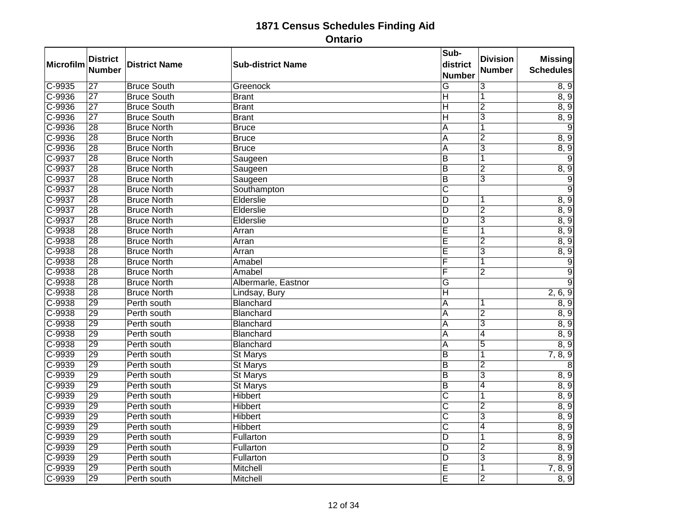| Microfilm  | <b>District</b> | <b>District Name</b> | <b>Sub-district Name</b> | Sub-<br>district        | <b>Division</b> | <b>Missing</b>   |
|------------|-----------------|----------------------|--------------------------|-------------------------|-----------------|------------------|
|            | <b>Number</b>   |                      |                          | <b>Number</b>           | Number          | <b>Schedules</b> |
| $C-9935$   | $\overline{27}$ | <b>Bruce South</b>   | Greenock                 | $\overline{G}$          | 3               | 8, 9             |
| C-9936     | $\overline{27}$ | <b>Bruce South</b>   | <b>Brant</b>             | $\overline{\mathsf{H}}$ | 1               | 8, 9             |
| $C - 9936$ | $\overline{27}$ | <b>Bruce South</b>   | <b>Brant</b>             | $\overline{\mathsf{H}}$ | $\overline{2}$  | 8, 9             |
| $C-9936$   | $\overline{27}$ | <b>Bruce South</b>   | <b>Brant</b>             | $\overline{\mathsf{H}}$ | $\overline{3}$  | 8, 9             |
| C-9936     | 28              | <b>Bruce North</b>   | <b>Bruce</b>             | A                       | $\overline{1}$  | 9                |
| $C-9936$   | $\overline{28}$ | <b>Bruce North</b>   | <b>Bruce</b>             | A                       | $\overline{2}$  | 8, 9             |
| $C - 9936$ | $\overline{28}$ | <b>Bruce North</b>   | <b>Bruce</b>             | $\overline{\mathsf{A}}$ | $\overline{3}$  | 8, 9             |
| C-9937     | 28              | <b>Bruce North</b>   | Saugeen                  | $\overline{B}$          | 1               | 9                |
| C-9937     | $\overline{28}$ | <b>Bruce North</b>   | Saugeen                  | $\overline{B}$          | $\overline{2}$  | 8, 9             |
| $C-9937$   | $\overline{28}$ | <b>Bruce North</b>   | Saugeen                  | $\overline{B}$          | 3               | $\overline{9}$   |
| $C - 9937$ | 28              | <b>Bruce North</b>   | Southampton              | $\overline{\text{C}}$   |                 | 9                |
| C-9937     | $\overline{28}$ | <b>Bruce North</b>   | Elderslie                | D                       | 1               | 8, 9             |
| $C-9937$   | $\overline{28}$ | <b>Bruce North</b>   | Elderslie                | $\overline{D}$          | $\overline{2}$  | 8, 9             |
| $C-9937$   | $\overline{28}$ | <b>Bruce North</b>   | Elderslie                | D                       | $\overline{3}$  | 8, 9             |
| C-9938     | $\overline{28}$ | <b>Bruce North</b>   | Arran                    | E                       | 1               | 8, 9             |
| C-9938     | $\overline{28}$ | <b>Bruce North</b>   | Arran                    | Ē                       | $\overline{2}$  | 8, 9             |
| $C-9938$   | 28              | <b>Bruce North</b>   | Arran                    | E                       | $\overline{3}$  | 8, 9             |
| C-9938     | $\overline{28}$ | <b>Bruce North</b>   | Amabel                   | Ē                       | 1               | $\overline{9}$   |
| $C-9938$   | $\overline{28}$ | <b>Bruce North</b>   | Amabel                   | F                       | $\overline{2}$  | 9                |
| $C - 9938$ | $\overline{28}$ | <b>Bruce North</b>   | Albermarle, Eastnor      | $\overline{\mathsf{G}}$ |                 | $\overline{9}$   |
| C-9938     | 28              | <b>Bruce North</b>   | Lindsay, Bury            | $\overline{\mathsf{H}}$ |                 | 2, 6, 9          |
| $C-9938$   | $\overline{29}$ | Perth south          | Blanchard                | A                       |                 | 8, 9             |
| $C-9938$   | 29              | Perth south          | Blanchard                | $\overline{\mathsf{A}}$ | $\overline{2}$  | 8, 9             |
| C-9938     | 29              | Perth south          | Blanchard                | A                       | $\overline{3}$  | 8, 9             |
| $C-9938$   | $\overline{29}$ | Perth south          | Blanchard                | $\overline{A}$          | $\overline{4}$  | 8, 9             |
| $C-9938$   | 29              | Perth south          | Blanchard                | $\overline{\mathsf{A}}$ | $\overline{5}$  | 8, 9             |
| C-9939     | 29              | Perth south          | <b>St Marys</b>          | $\overline{B}$          | 1               | 7, 8, 9          |
| $C-9939$   | $\overline{29}$ | Perth south          | St Marys                 | $\overline{B}$          | $\overline{2}$  | 8                |
| $C-9939$   | $\overline{29}$ | Perth south          | <b>St Marys</b>          | $\overline{B}$          | 3               | 8, 9             |
| $C-9939$   | 29              | Perth south          | St Marys                 | $\overline{\mathsf{B}}$ | 4               | 8, 9             |
| C-9939     | 29              | Perth south          | <b>Hibbert</b>           | $\overline{\text{c}}$   | 1               | 8, 9             |
| $C-9939$   | $\overline{29}$ | Perth south          | <b>Hibbert</b>           | $\overline{\text{c}}$   | $\overline{2}$  | 8, 9             |
| $C-9939$   | 29              | Perth south          | <b>Hibbert</b>           | $\overline{\text{c}}$   | $\overline{3}$  | 8, 9             |
| C-9939     | 29              | Perth south          | <b>Hibbert</b>           | $\overline{\text{c}}$   | 4               | 8, 9             |
| $C-9939$   | $\overline{29}$ | Perth south          | Fullarton                | D                       | 1               | 8, 9             |
| $C-9939$   | 29              | Perth south          | Fullarton                | $\overline{\mathsf{D}}$ | $\overline{2}$  | 8, 9             |
| $C - 9939$ | 29              | Perth south          | Fullarton                | D                       | 3               | 8, 9             |
| $C-9939$   | $\overline{29}$ | Perth south          | Mitchell                 | Ē                       | 1               | 7, 8, 9          |
| C-9939     | 29              | Perth south          | Mitchell                 | Ē                       | $\overline{2}$  | 8, 9             |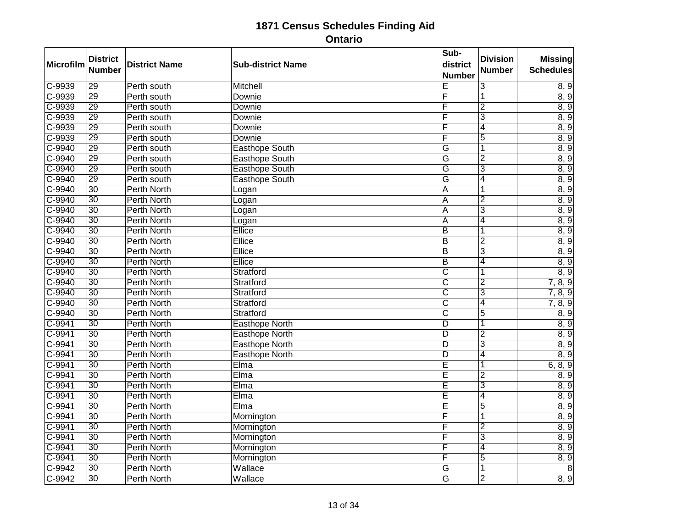| Microfilm  | <b>District</b><br><b>Number</b> | <b>District Name</b> | <b>Sub-district Name</b> | Sub-<br>district<br><b>Number</b> | <b>Division</b><br><b>Number</b> | <b>Missing</b><br><b>Schedules</b> |
|------------|----------------------------------|----------------------|--------------------------|-----------------------------------|----------------------------------|------------------------------------|
| C-9939     | $\overline{29}$                  | Perth south          | <b>Mitchell</b>          | Ε                                 | $\overline{3}$                   | 8, 9                               |
| $C-9939$   | 29                               | Perth south          | Downie                   | F                                 | 1                                | 8, 9                               |
| $C - 9939$ | $\overline{29}$                  | Perth south          | Downie                   | F                                 | $\overline{2}$                   | 8, 9                               |
| $C-9939$   | 29                               | Perth south          | Downie                   | F                                 | $\overline{3}$                   | 8, 9                               |
| C-9939     | 29                               | Perth south          | Downie                   | F                                 | 4                                | 8, 9                               |
| $C-9939$   | $\overline{29}$                  | Perth south          | Downie                   | F                                 | $\overline{5}$                   | 8, 9                               |
| $C-9940$   | 29                               | Perth south          | <b>Easthope South</b>    | $\overline{G}$                    | $\overline{1}$                   | 8, 9                               |
| C-9940     | 29                               | Perth south          | Easthope South           | G                                 | $\overline{2}$                   | 8, 9                               |
| $C-9940$   | $\overline{29}$                  | Perth south          | <b>Easthope South</b>    | G                                 | $\overline{3}$                   | 8, 9                               |
| $C-9940$   | $\overline{29}$                  | Perth south          | <b>Easthope South</b>    | G                                 | $\overline{4}$                   | 8, 9                               |
| C-9940     | 30                               | <b>Perth North</b>   | Logan                    | A                                 | 1                                | 8, 9                               |
| $C-9940$   | 30                               | <b>Perth North</b>   | Logan                    | $\overline{A}$                    | $\overline{2}$                   | 8, 9                               |
| $C-9940$   | $\overline{30}$                  | <b>Perth North</b>   | Logan                    | A                                 | 3                                | 8, 9                               |
| C-9940     | $\overline{30}$                  | <b>Perth North</b>   | Logan                    | Ā                                 | 4                                | 8, 9                               |
| $C-9940$   | $\overline{30}$                  | Perth North          | Ellice                   | B                                 | 1                                | 8, 9                               |
| $C-9940$   | $\overline{30}$                  | <b>Perth North</b>   | Ellice                   | $\overline{B}$                    | $\overline{2}$                   | 8, 9                               |
| $C-9940$   | $\overline{30}$                  | <b>Perth North</b>   | Ellice                   | $\overline{B}$                    | $\overline{3}$                   | 8, 9                               |
| C-9940     | 30                               | <b>Perth North</b>   | Ellice                   | $\overline{B}$                    | $\overline{4}$                   | 8, 9                               |
| $C-9940$   | $\overline{30}$                  | Perth North          | Stratford                | C                                 | 1                                | 8, 9                               |
| $C-9940$   | $\overline{30}$                  | <b>Perth North</b>   | Stratford                | $\overline{\text{c}}$             | $\overline{2}$                   | 7, 8, 9                            |
| C-9940     | $\overline{30}$                  | <b>Perth North</b>   | Stratford                | $\overline{\text{c}}$             | $\overline{3}$                   | 7, 8, 9                            |
| C-9940     | $\overline{30}$                  | <b>Perth North</b>   | Stratford                | $\overline{\text{c}}$             | $\overline{4}$                   | 7, 8, 9                            |
| $C-9940$   | $\overline{30}$                  | <b>Perth North</b>   | Stratford                | $\overline{\mathsf{c}}$           | $\overline{5}$                   | 8, 9                               |
| $C-9941$   | 30                               | Perth North          | <b>Easthope North</b>    | $\overline{D}$                    | 1                                | 8, 9                               |
| $C-9941$   | $\overline{30}$                  | <b>Perth North</b>   | <b>Easthope North</b>    | $\overline{D}$                    | $\overline{2}$                   | 8, 9                               |
| $C-9941$   | $\overline{30}$                  | <b>Perth North</b>   | <b>Easthope North</b>    | $\overline{D}$                    | $\overline{3}$                   | 8, 9                               |
| $C-9941$   | $\overline{30}$                  | <b>Perth North</b>   | Easthope North           | $\overline{D}$                    | $\overline{4}$                   | 8, 9                               |
| $C-9941$   | $\overline{30}$                  | <b>Perth North</b>   | Elma                     | Ē                                 | 1                                | 6, 8, 9                            |
| $C-9941$   | $\overline{30}$                  | <b>Perth North</b>   | Elma                     | $\overline{E}$                    | $\overline{2}$                   | 8, 9                               |
| $C-9941$   | $\overline{30}$                  | Perth North          | Elma                     | Ē                                 | $\overline{3}$                   | 8, 9                               |
| $C-9941$   | 30                               | <b>Perth North</b>   | Elma                     | Ē                                 | 4                                | 8, 9                               |
| $C-9941$   | $\overline{30}$                  | Perth North          | Elma                     | Ē                                 | $\overline{5}$                   | 8, 9                               |
| $C-9941$   | $\overline{30}$                  | <b>Perth North</b>   | Mornington               | F                                 | 1                                | 8, 9                               |
| C-9941     | $\overline{30}$                  | <b>Perth North</b>   | Mornington               | F                                 | $\overline{2}$                   | 8, 9                               |
| $C-9941$   | $\overline{30}$                  | <b>Perth North</b>   | Mornington               | F                                 | $\overline{3}$                   | 8, 9                               |
| $C-9941$   | $\overline{30}$                  | <b>Perth North</b>   | Mornington               | F                                 | $\overline{4}$                   | 8, 9                               |
| C-9941     | $\overline{30}$                  | <b>Perth North</b>   | Mornington               | F                                 | $\overline{5}$                   | 8, 9                               |
| $C-9942$   | $\overline{30}$                  | <b>Perth North</b>   | Wallace                  | G                                 | $\overline{\mathbf{1}}$          | $\overline{8}$                     |
| C-9942     | $\overline{30}$                  | <b>Perth North</b>   | Wallace                  | G                                 | $\overline{2}$                   | 8, 9                               |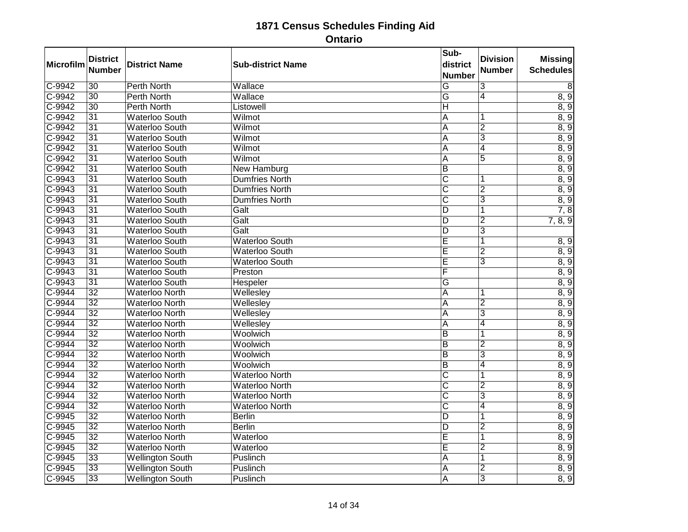| Microfilm | <b>District</b><br><b>Number</b> | <b>District Name</b>    | <b>Sub-district Name</b> | Sub-<br>district<br><b>Number</b> | <b>Division</b><br><b>Number</b> | <b>Missing</b><br><b>Schedules</b> |
|-----------|----------------------------------|-------------------------|--------------------------|-----------------------------------|----------------------------------|------------------------------------|
| $C-9942$  | $\overline{30}$                  | <b>Perth North</b>      | Wallace                  | G                                 | $\overline{3}$                   | 8                                  |
| $C-9942$  | $\overline{30}$                  | Perth North             | Wallace                  | G                                 | $\overline{4}$                   | 8, 9                               |
| $C-9942$  | $\overline{30}$                  | <b>Perth North</b>      | Listowell                | $\overline{H}$                    |                                  | 8, 9                               |
| $C-9942$  | $\overline{31}$                  | <b>Waterloo South</b>   | Wilmot                   | A                                 | 1                                | 8, 9                               |
| C-9942    | 31                               | <b>Waterloo South</b>   | Wilmot                   | A                                 | $\overline{2}$                   | 8, 9                               |
| $C-9942$  | $\overline{31}$                  | <b>Waterloo South</b>   | Wilmot                   | Α                                 | $\overline{3}$                   | 8, 9                               |
| $C-9942$  | $\overline{31}$                  | <b>Waterloo South</b>   | Wilmot                   | Α                                 | $\overline{4}$                   | 8, 9                               |
| C-9942    | 31                               | <b>Waterloo South</b>   | Wilmot                   | Α                                 | $\overline{5}$                   | 8, 9                               |
| $C-9942$  | $\overline{31}$                  | <b>Waterloo South</b>   | <b>New Hamburg</b>       | $\overline{B}$                    |                                  | 8, 9                               |
| $C-9943$  | $\overline{31}$                  | <b>Waterloo South</b>   | Dumfries North           | $\overline{\text{c}}$             |                                  | 8, 9                               |
| $C-9943$  | 31                               | <b>Waterloo South</b>   | Dumfries North           | $\overline{\text{C}}$             | $\overline{2}$                   | 8, 9                               |
| $C-9943$  | $\overline{31}$                  | <b>Waterloo South</b>   | <b>Dumfries North</b>    | $\overline{\mathsf{C}}$           | $\overline{3}$                   | 8, 9                               |
| $C-9943$  | $\overline{31}$                  | <b>Waterloo South</b>   | Galt                     | D                                 | 1                                | 7, 8                               |
| $C-9943$  | $\overline{31}$                  | <b>Waterloo South</b>   | Galt                     | D                                 | $\overline{2}$                   | 7, 8, 9                            |
| $C-9943$  | $\overline{31}$                  | <b>Waterloo South</b>   | Galt                     | $\overline{D}$                    | $\overline{3}$                   |                                    |
| $C-9943$  | $\overline{31}$                  | <b>Waterloo South</b>   | <b>Waterloo South</b>    | Ē                                 | 1                                | 8, 9                               |
| C-9943    | $\overline{31}$                  | <b>Waterloo South</b>   | <b>Waterloo South</b>    | Ē                                 | $\overline{2}$                   | 8, 9                               |
| C-9943    | 31                               | <b>Waterloo South</b>   | Waterloo South           | Ē                                 | 3                                | 8, 9                               |
| $C-9943$  | $\overline{31}$                  | <b>Waterloo South</b>   | Preston                  | F                                 |                                  | 8, 9                               |
| $C-9943$  | $\overline{31}$                  | <b>Waterloo South</b>   | <b>Hespeler</b>          | $\overline{\mathsf{G}}$           |                                  | 8, 9                               |
| C-9944    | $\overline{32}$                  | <b>Waterloo North</b>   | Wellesley                | A                                 | 1                                | 8, 9                               |
| $C-9944$  | $\overline{32}$                  | <b>Waterloo North</b>   | Wellesley                | Α                                 | $\overline{2}$                   | 8, 9                               |
| $C-9944$  | $\overline{32}$                  | <b>Waterloo North</b>   | Wellesley                | $\overline{\mathsf{A}}$           | $\overline{3}$                   | 8, 9                               |
| $C-9944$  | 32                               | <b>Waterloo North</b>   | Wellesley                | Α                                 | 4                                | 8, 9                               |
| $C-9944$  | $\overline{32}$                  | <b>Waterloo North</b>   | Woolwich                 | $\overline{B}$                    | 1                                | 8, 9                               |
| $C-9944$  | $\overline{32}$                  | <b>Waterloo North</b>   | Woolwich                 | $\overline{B}$                    | $\overline{2}$                   | 8, 9                               |
| C-9944    | 32                               | <b>Waterloo North</b>   | Woolwich                 | $\overline{B}$                    | $\overline{3}$                   | 8, 9                               |
| $C-9944$  | $\overline{32}$                  | <b>Waterloo North</b>   | Woolwich                 | B                                 | 4                                | 8, 9                               |
| $C-9944$  | $\overline{32}$                  | <b>Waterloo North</b>   | <b>Waterloo North</b>    | $\overline{\text{c}}$             | 1                                | 8, 9                               |
| $C-9944$  | $\overline{32}$                  | <b>Waterloo North</b>   | <b>Waterloo North</b>    | $\overline{\text{c}}$             | $\overline{2}$                   | 8, 9                               |
| $C-9944$  | 32                               | <b>Waterloo North</b>   | <b>Waterloo North</b>    | $\overline{\text{c}}$             | $\overline{3}$                   | 8, 9                               |
| $C-9944$  | $\overline{32}$                  | <b>Waterloo North</b>   | <b>Waterloo North</b>    | $\overline{\text{c}}$             | $\overline{4}$                   | 8, 9                               |
| $C-9945$  | $\overline{32}$                  | <b>Waterloo North</b>   | <b>Berlin</b>            | $\overline{D}$                    | 1                                | 8, 9                               |
| $C-9945$  | $\overline{32}$                  | <b>Waterloo North</b>   | <b>Berlin</b>            | $\overline{D}$                    | $\overline{2}$                   | 8, 9                               |
| $C-9945$  | $\overline{32}$                  | <b>Waterloo North</b>   | Waterloo                 | Ē                                 | 1                                | 8, 9                               |
| $C-9945$  | $\overline{32}$                  | <b>Waterloo North</b>   | Waterloo                 | Ē                                 | $\overline{2}$                   | 8, 9                               |
| $C-9945$  | $\overline{33}$                  | <b>Wellington South</b> | Puslinch                 | A                                 | $\overline{1}$                   | 8, 9                               |
| $C-9945$  | $\overline{33}$                  | <b>Wellington South</b> | Puslinch                 | A                                 | $\overline{2}$                   | 8, 9                               |
| $C-9945$  | $\overline{33}$                  | <b>Wellington South</b> | Puslinch                 | Α                                 | $\overline{3}$                   | 8, 9                               |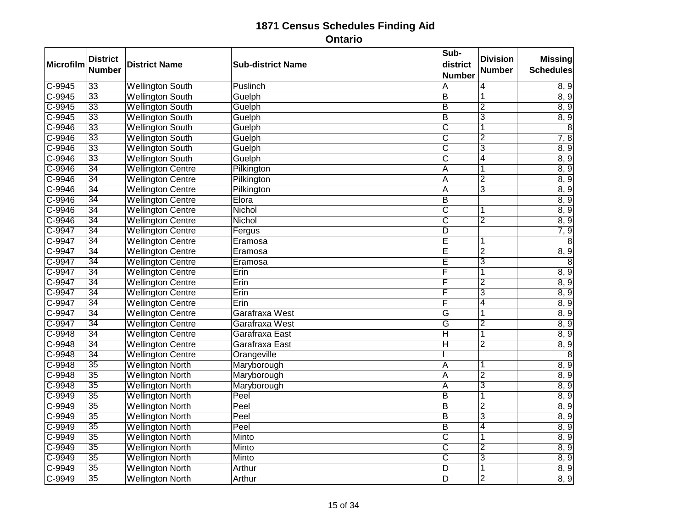| <b>Microfilm</b> | <b>District</b><br><b>Number</b> | <b>District Name</b>     | <b>Sub-district Name</b> | Sub-<br>district<br><b>Number</b> | <b>Division</b><br><b>Number</b> | <b>Missing</b><br><b>Schedules</b> |
|------------------|----------------------------------|--------------------------|--------------------------|-----------------------------------|----------------------------------|------------------------------------|
| $C-9945$         | $\overline{33}$                  | <b>Wellington South</b>  | <b>Puslinch</b>          | $\overline{\mathsf{A}}$           | 4                                | 8, 9                               |
| $C-9945$         | $\overline{33}$                  | <b>Wellington South</b>  | Guelph                   | $\overline{B}$                    | 1                                | 8, 9                               |
| $C-9945$         | $\overline{33}$                  | <b>Wellington South</b>  | Guelph                   | $\overline{\mathsf{B}}$           | $\overline{2}$                   | 8, 9                               |
| $C-9945$         | $\overline{33}$                  | <b>Wellington South</b>  | Guelph                   | $\overline{B}$                    | $\overline{3}$                   | 8, 9                               |
| C-9946           | $\overline{33}$                  | <b>Wellington South</b>  | Guelph                   | $\overline{\text{C}}$             | $\overline{1}$                   | 8                                  |
| $C-9946$         | $\overline{33}$                  | <b>Wellington South</b>  | Guelph                   | $\overline{\text{C}}$             | $\overline{2}$                   | 7, 8                               |
| $C-9946$         | $\overline{33}$                  | <b>Wellington South</b>  | Guelph                   | $\overline{\mathsf{C}}$           | $\overline{3}$                   | 8, 9                               |
| $C-9946$         | $\overline{33}$                  | <b>Wellington South</b>  | Guelph                   | $\overline{\text{C}}$             | $\overline{4}$                   | 8, 9                               |
| $C-9946$         | $\overline{34}$                  | <b>Wellington Centre</b> | Pilkington               | A                                 | 1                                | 8, 9                               |
| $C-9946$         | $\overline{34}$                  | <b>Wellington Centre</b> | Pilkington               | $\overline{\mathsf{A}}$           | $\overline{2}$                   | 8, 9                               |
| $C-9946$         | 34                               | <b>Wellington Centre</b> | Pilkington               | A                                 | $\overline{3}$                   | 8, 9                               |
| $C-9946$         | 34                               | <b>Wellington Centre</b> | Elora                    | $\overline{B}$                    |                                  | 8, 9                               |
| $C-9946$         | $\overline{34}$                  | <b>Wellington Centre</b> | Nichol                   | $\overline{\mathsf{c}}$           | 1                                | 8, 9                               |
| $C-9946$         | $\overline{34}$                  | <b>Wellington Centre</b> | Nichol                   | $\overline{\mathsf{C}}$           | $\overline{2}$                   | 8, 9                               |
| $C-9947$         | $\overline{34}$                  | <b>Wellington Centre</b> | Fergus                   | $\overline{D}$                    |                                  | 7, 9                               |
| $C-9947$         | $\overline{34}$                  | <b>Wellington Centre</b> | Eramosa                  | Ē                                 | 1                                | $\overline{8}$                     |
| C-9947           | $\overline{34}$                  | <b>Wellington Centre</b> | Eramosa                  | Ē                                 | $\overline{2}$                   | 8, 9                               |
| C-9947           | 34                               | <b>Wellington Centre</b> | Eramosa                  | Ē                                 | 3                                | $\overline{8}$                     |
| $C-9947$         | $\overline{34}$                  | <b>Wellington Centre</b> | Erin                     | F                                 | 1                                | 8, 9                               |
| $C-9947$         | $\overline{34}$                  | <b>Wellington Centre</b> | Erin                     | F                                 | $\overline{2}$                   | 8, 9                               |
| $C-9947$         | $\overline{34}$                  | <b>Wellington Centre</b> | Erin                     | F                                 | $\overline{3}$                   | 8, 9                               |
| C-9947           | $\overline{34}$                  | <b>Wellington Centre</b> | Erin                     | F                                 | 4                                | 8, 9                               |
| $C-9947$         | $\overline{34}$                  | <b>Wellington Centre</b> | Garafraxa West           | $\overline{G}$                    | $\overline{\mathbf{1}}$          | 8, 9                               |
| $C-9947$         | 34                               | <b>Wellington Centre</b> | Garafraxa West           | $\overline{\mathsf{G}}$           | $\overline{2}$                   | 8, 9                               |
| $C-9948$         | $\overline{34}$                  | <b>Wellington Centre</b> | Garafraxa East           | $\overline{H}$                    | 1                                | 8, 9                               |
| $C-9948$         | $\overline{34}$                  | <b>Wellington Centre</b> | Garafraxa East           | $\overline{\mathsf{H}}$           | $\overline{2}$                   | 8, 9                               |
| C-9948           | 34                               | <b>Wellington Centre</b> | Orangeville              |                                   |                                  | 8                                  |
| $C-9948$         | $\overline{35}$                  | <b>Wellington North</b>  | Maryborough              | A                                 | 1                                | 8, 9                               |
| $C-9948$         | $\overline{35}$                  | <b>Wellington North</b>  | Maryborough              | $\overline{A}$                    | $\overline{2}$                   | 8, 9                               |
| $C-9948$         | $\overline{35}$                  | <b>Wellington North</b>  | Maryborough              | $\overline{A}$                    | $\overline{3}$                   | 8, 9                               |
| $C-9949$         | 35                               | <b>Wellington North</b>  | Peel                     | $\overline{B}$                    | 1                                | 8, 9                               |
| $C-9949$         | $\overline{35}$                  | <b>Wellington North</b>  | Peel                     | $\overline{\mathsf{B}}$           | $\overline{2}$                   | 8, 9                               |
| $C-9949$         | $\overline{35}$                  | <b>Wellington North</b>  | Peel                     | $\overline{B}$                    | $\overline{3}$                   | 8, 9                               |
| C-9949           | $\overline{35}$                  | <b>Wellington North</b>  | Peel                     | $\overline{B}$                    | 4                                | 8, 9                               |
| $C-9949$         | $\overline{35}$                  | <b>Wellington North</b>  | Minto                    | $\overline{\text{C}}$             | 1                                | 8, 9                               |
| C-9949           | $\overline{35}$                  | <b>Wellington North</b>  | Minto                    | $\overline{\text{c}}$             | $\overline{2}$                   | 8, 9                               |
| $C-9949$         | $\overline{35}$                  | <b>Wellington North</b>  | Minto                    | $\overline{\mathsf{C}}$           | 3                                | 8, 9                               |
| $C-9949$         | $\overline{35}$                  | <b>Wellington North</b>  | Arthur                   | $\overline{\mathsf{D}}$           | 1                                | 8, 9                               |
| $C-9949$         | $\overline{35}$                  | <b>Wellington North</b>  | Arthur                   | $\overline{D}$                    | $\overline{2}$                   | 8, 9                               |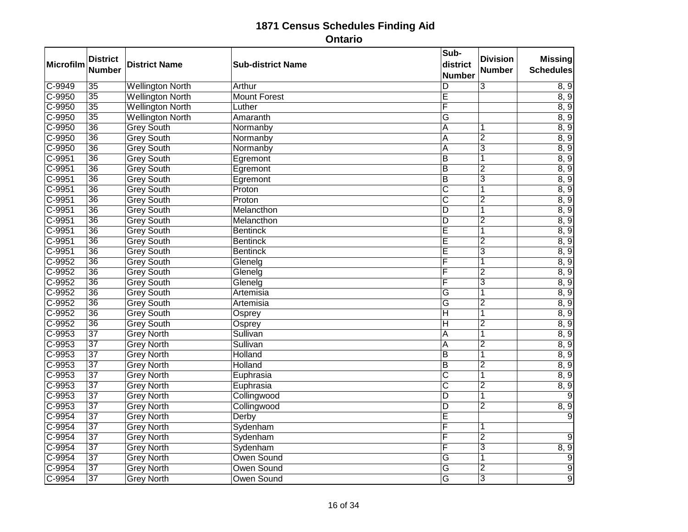| Microfilm | <b>District</b><br><b>Number</b> | <b>District Name</b>    | <b>Sub-district Name</b> | Sub-<br>district<br><b>Number</b> | <b>Division</b><br><b>Number</b> | <b>Missing</b><br><b>Schedules</b> |
|-----------|----------------------------------|-------------------------|--------------------------|-----------------------------------|----------------------------------|------------------------------------|
| $C-9949$  | $\overline{35}$                  | <b>Wellington North</b> | Arthur                   | D                                 | $\overline{3}$                   | 8, 9                               |
| $C-9950$  | $\overline{35}$                  | <b>Wellington North</b> | <b>Mount Forest</b>      | Ē                                 |                                  | 8, 9                               |
| $C-9950$  | $\overline{35}$                  | <b>Wellington North</b> | Luther                   | $\overline{\mathsf{F}}$           |                                  | 8, 9                               |
| $C-9950$  | $\overline{35}$                  | <b>Wellington North</b> | Amaranth                 | $\overline{G}$                    |                                  | 8, 9                               |
| C-9950    | $\overline{36}$                  | <b>Grey South</b>       | Normanby                 | A                                 |                                  | 8, 9                               |
| $C-9950$  | $\overline{36}$                  | <b>Grey South</b>       | Normanby                 | A                                 | $\overline{2}$                   | 8, 9                               |
| $C-9950$  | $\overline{36}$                  | <b>Grey South</b>       | Normanby                 | $\overline{\mathsf{A}}$           | $\overline{3}$                   | 8, 9                               |
| $C-9951$  | $\overline{36}$                  | <b>Grey South</b>       | Egremont                 | $\overline{B}$                    | 1                                | 8, 9                               |
| $C-9951$  | $\overline{36}$                  | <b>Grey South</b>       | Egremont                 | $\overline{B}$                    | $\overline{2}$                   | 8, 9                               |
| $C-9951$  | $\overline{36}$                  | <b>Grey South</b>       | Egremont                 | $\overline{B}$                    | $\overline{3}$                   | 8, 9                               |
| $C-9951$  | 36                               | <b>Grey South</b>       | Proton                   | $\overline{\text{c}}$             |                                  | 8, 9                               |
| $C-9951$  | $\overline{36}$                  | <b>Grey South</b>       | Proton                   | $\overline{\text{c}}$             | $\overline{2}$                   | 8, 9                               |
| $C-9951$  | $\overline{36}$                  | <b>Grey South</b>       | Melancthon               | $\overline{D}$                    | 1                                | 8, 9                               |
| $C-9951$  | 36                               | <b>Grey South</b>       | Melancthon               | $\overline{D}$                    | $\overline{2}$                   | 8, 9                               |
| $C-9951$  | $\overline{36}$                  | <b>Grey South</b>       | <b>Bentinck</b>          | E                                 | 1                                | 8, 9                               |
| $C-9951$  | $\overline{36}$                  | <b>Grey South</b>       | <b>Bentinck</b>          | Ē                                 | $\overline{2}$                   | 8, 9                               |
| $C-9951$  | $\overline{36}$                  | <b>Grey South</b>       | <b>Bentinck</b>          | Ē                                 | $\overline{3}$                   | 8, 9                               |
| C-9952    | 36                               | <b>Grey South</b>       | Glenelg                  | F                                 | 1                                | 8, 9                               |
| $C-9952$  | $\overline{36}$                  | <b>Grey South</b>       | Glenelg                  | F                                 | $\overline{2}$                   | 8, 9                               |
| $C-9952$  | $\overline{36}$                  | <b>Grey South</b>       | Glenelg                  | F                                 | $\overline{3}$                   | 8, 9                               |
| $C-9952$  | $\overline{36}$                  | <b>Grey South</b>       | Artemisia                | $\overline{\mathsf{G}}$           | $\overline{\mathbf{1}}$          | 8, 9                               |
| $C-9952$  | $\overline{36}$                  | <b>Grey South</b>       | Artemisia                | G                                 | $\overline{2}$                   | 8, 9                               |
| $C-9952$  | $\overline{36}$                  | <b>Grey South</b>       | Osprey                   | $\overline{\mathsf{H}}$           | $\overline{\mathbf{1}}$          | 8, 9                               |
| $C-9952$  | 36                               | <b>Grey South</b>       | Osprey                   | $\overline{H}$                    | $\overline{2}$                   | 8, 9                               |
| $C-9953$  | $\overline{37}$                  | <b>Grey North</b>       | Sullivan                 | A                                 | $\overline{\mathbf{1}}$          | 8, 9                               |
| $C-9953$  | $\overline{37}$                  | <b>Grey North</b>       | Sullivan                 | $\overline{\mathsf{A}}$           | $\overline{2}$                   | 8, 9                               |
| $C-9953$  | $\overline{37}$                  | <b>Grey North</b>       | <b>Holland</b>           | $\overline{B}$                    | 1                                | 8, 9                               |
| $C-9953$  | $\overline{37}$                  | <b>Grey North</b>       | Holland                  | $\overline{B}$                    | $\overline{2}$                   | 8, 9                               |
| $C-9953$  | $\overline{37}$                  | <b>Grey North</b>       | Euphrasia                | $\overline{\text{c}}$             | $\overline{1}$                   | 8, 9                               |
| $C-9953$  | $\overline{37}$                  | <b>Grey North</b>       | Euphrasia                | $\overline{\text{c}}$             | $\overline{2}$                   | 8, 9                               |
| $C-9953$  | $\overline{37}$                  | <b>Grey North</b>       | Collingwood              | D                                 | 1                                | $\mathbf{Q}$                       |
| $C-9953$  | $\overline{37}$                  | <b>Grey North</b>       | Collingwood              | $\overline{\mathsf{D}}$           | $\overline{2}$                   | 8, 9                               |
| $C-9954$  | $\overline{37}$                  | <b>Grey North</b>       | Derby                    | Ē                                 |                                  |                                    |
| $C-9954$  | $\overline{37}$                  | <b>Grey North</b>       | Sydenham                 | F                                 | 1                                |                                    |
| $C-9954$  | $\overline{37}$                  | <b>Grey North</b>       | Sydenham                 | F                                 | $\overline{2}$                   | 9                                  |
| $C-9954$  | $\overline{37}$                  | <b>Grey North</b>       | Sydenham                 | $\overline{\mathsf{F}}$           | $\overline{3}$                   | 8, 9                               |
| $C-9954$  | $\overline{37}$                  | <b>Grey North</b>       | <b>Owen Sound</b>        | G                                 | 1                                | $\overline{9}$                     |
| $C-9954$  | $\overline{37}$                  | <b>Grey North</b>       | Owen Sound               | $\overline{\mathsf{G}}$           | $\overline{2}$                   | $\overline{9}$                     |
| $C-9954$  | $\overline{37}$                  | <b>Grey North</b>       | Owen Sound               | G                                 | $\overline{3}$                   | $\overline{9}$                     |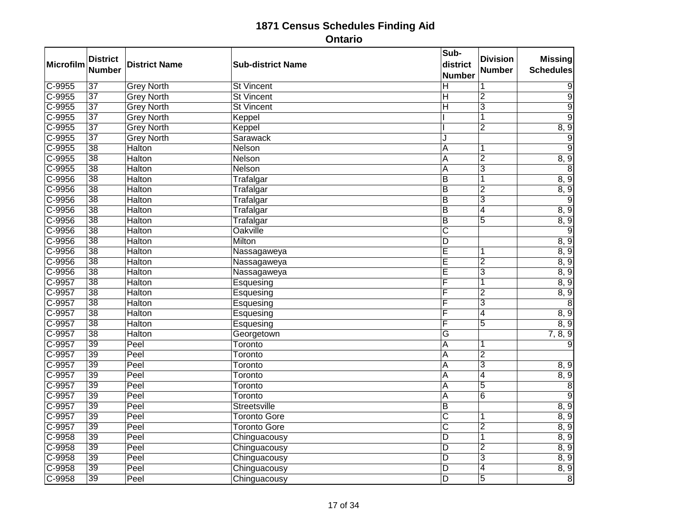| <b>Microfilm</b> | <b>District</b><br><b>Number</b> | <b>District Name</b> | <b>Sub-district Name</b> | Sub-<br>district<br><b>Number</b> | <b>Division</b><br><b>Number</b> | <b>Missing</b><br><b>Schedules</b> |
|------------------|----------------------------------|----------------------|--------------------------|-----------------------------------|----------------------------------|------------------------------------|
| $C-9955$         | $\overline{37}$                  | <b>Grey North</b>    | <b>St Vincent</b>        | $\overline{\mathsf{H}}$           | $\overline{1}$                   | $\overline{9}$                     |
| $C-9955$         | $\overline{37}$                  | <b>Grey North</b>    | <b>St Vincent</b>        | $\overline{\mathsf{H}}$           | $\overline{2}$                   | $\overline{9}$                     |
| $C-9955$         | $\overline{37}$                  | <b>Grey North</b>    | <b>St Vincent</b>        | $\overline{H}$                    | $\overline{3}$                   | $\overline{9}$                     |
| $C-9955$         | $\overline{37}$                  | <b>Grey North</b>    | Keppel                   |                                   | $\overline{\mathbf{1}}$          | $\overline{9}$                     |
| C-9955           | $\overline{37}$                  | <b>Grey North</b>    | Keppel                   |                                   | $\overline{2}$                   | 8, 9                               |
| $C-9955$         | $\overline{37}$                  | <b>Grey North</b>    | Sarawack                 | J                                 |                                  | $\overline{9}$                     |
| $C-9955$         | $\overline{38}$                  | <b>Halton</b>        | <b>Nelson</b>            | $\overline{A}$                    | 1                                | $\overline{9}$                     |
| $C-9955$         | $\overline{38}$                  | <b>Halton</b>        | Nelson                   | A                                 | $\overline{2}$                   | 8, 9                               |
| $C-9955$         | $\overline{38}$                  | <b>Halton</b>        | Nelson                   | A                                 | $\overline{\mathsf{3}}$          | 8                                  |
| $C-9956$         | $\overline{38}$                  | <b>Halton</b>        | Trafalgar                | $\overline{B}$                    | 1                                | 8, 9                               |
| $C-9956$         | 38                               | <b>Halton</b>        | Trafalgar                | $\overline{B}$                    | $\overline{2}$                   | 8, 9                               |
| $C-9956$         | $\overline{38}$                  | <b>Halton</b>        | Trafalgar                | $\overline{B}$                    | $\overline{3}$                   | 9                                  |
| $C-9956$         | $\overline{38}$                  | <b>Halton</b>        | Trafalgar                | $\overline{B}$                    | $\overline{4}$                   | 8, 9                               |
| $C-9956$         | $\overline{38}$                  | <b>Halton</b>        | Trafalgar                | $\overline{B}$                    | $\overline{5}$                   | 8, 9                               |
| $C-9956$         | $\overline{38}$                  | <b>Halton</b>        | <b>Oakville</b>          | $\overline{\text{C}}$             |                                  | $\overline{9}$                     |
| $C-9956$         | $\overline{38}$                  | <b>Halton</b>        | <b>Milton</b>            | $\overline{\mathsf{D}}$           |                                  | 8, 9                               |
| C-9956           | $\overline{38}$                  | <b>Halton</b>        | Nassagaweya              | E                                 | 1                                | 8, 9                               |
| C-9956           | 38                               | <b>Halton</b>        | Nassagaweya              | Ē                                 | $\overline{2}$                   | 8, 9                               |
| $C-9956$         | $\overline{38}$                  | <b>Halton</b>        | Nassagaweya              | Ē                                 | $\overline{3}$                   | 8, 9                               |
| $C-9957$         | $\overline{38}$                  | <b>Halton</b>        | Esquesing                | F                                 | $\overline{\mathbf{1}}$          | 8, 9                               |
| C-9957           | $\overline{38}$                  | <b>Halton</b>        | Esquesing                | F                                 | $\overline{2}$                   | 8, 9                               |
| $C-9957$         | $\overline{38}$                  | <b>Halton</b>        | Esquesing                | F                                 | 3                                | 8                                  |
| $C-9957$         | $\overline{38}$                  | <b>Halton</b>        | Esquesing                | F                                 | $\overline{4}$                   | 8, 9                               |
| $C-9957$         | 38                               | <b>Halton</b>        | Esquesing                | F                                 | 5                                | 8, 9                               |
| $C-9957$         | $\overline{38}$                  | <b>Halton</b>        | Georgetown               | G                                 |                                  | 7, 8, 9                            |
| $C-9957$         | 39                               | Peel                 | Toronto                  | $\overline{\mathsf{A}}$           |                                  | 9                                  |
| $C-9957$         | 39                               | Peel                 | Toronto                  | A                                 | $\overline{2}$                   |                                    |
| $C-9957$         | $\overline{39}$                  | Peel                 | Toronto                  | A                                 | 3                                | 8, 9                               |
| $C-9957$         | $\overline{39}$                  | Peel                 | Toronto                  | $\overline{\mathsf{A}}$           | $\overline{4}$                   | $\overline{8,9}$                   |
| $C-9957$         | 39                               | Peel                 | Toronto                  | $\overline{A}$                    | $\overline{5}$                   | $\bf 8$                            |
| $C-9957$         | 39                               | Peel                 | Toronto                  | A                                 | $\overline{6}$                   | $\overline{9}$                     |
| $C-9957$         | $\overline{39}$                  | Peel                 | <b>Streetsville</b>      | $\overline{\mathsf{B}}$           |                                  | 8, 9                               |
| $C-9957$         | 39                               | Peel                 | <b>Toronto Gore</b>      | $\overline{\text{c}}$             | 1                                | 8, 9                               |
| C-9957           | 39                               | Peel                 | <b>Toronto Gore</b>      | $\overline{\text{c}}$             | $\overline{2}$                   | 8, 9                               |
| $C-9958$         | $\overline{39}$                  | Peel                 | Chinguacousy             | $\overline{D}$                    | 1                                | 8, 9                               |
| $C-9958$         | 39                               | Peel                 | Chinguacousy             | $\overline{D}$                    | $\overline{2}$                   | 8, 9                               |
| $C-9958$         | 39                               | Peel                 | Chinguacousy             | $\overline{D}$                    | 3                                | 8, 9                               |
| $C-9958$         | $\overline{39}$                  | Peel                 | Chinguacousy             | $\overline{\mathsf{D}}$           | $\overline{4}$                   | 8, 9                               |
| $C-9958$         | 39                               | Peel                 | Chinguacousy             | $\overline{\mathsf{D}}$           | $\overline{5}$                   | $\overline{8}$                     |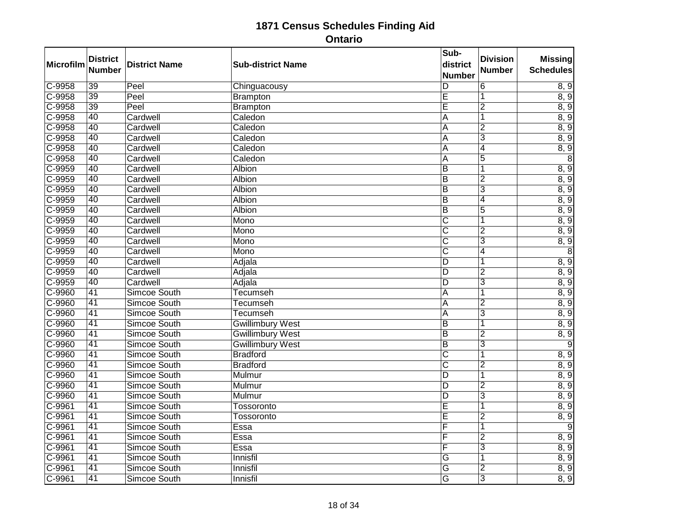| Microfilm  | <b>District</b> | <b>District Name</b> | <b>Sub-district Name</b> | Sub-<br>district        | <b>Division</b> | <b>Missing</b>   |
|------------|-----------------|----------------------|--------------------------|-------------------------|-----------------|------------------|
|            | <b>Number</b>   |                      |                          | <b>Number</b>           | <b>Number</b>   | <b>Schedules</b> |
| $C-9958$   | $\overline{39}$ | Peel                 | Chinguacousy             | D                       | $\overline{6}$  | 8, 9             |
| $C-9958$   | 39              | Peel                 | <b>Brampton</b>          | Ē                       | 1               | 8, 9             |
| $C-9958$   | $\overline{39}$ | Peel                 | <b>Brampton</b>          | $\overline{\mathsf{E}}$ | $\overline{2}$  | 8, 9             |
| $C-9958$   | 40              | Cardwell             | Caledon                  | A                       | $\overline{1}$  | 8, 9             |
| C-9958     | 40              | Cardwell             | Caledon                  | A                       | $\overline{2}$  | 8, 9             |
| $C-9958$   | $\overline{40}$ | Cardwell             | Caledon                  | A                       | $\overline{3}$  | 8, 9             |
| $C - 9958$ | 40              | Cardwell             | Caledon                  | $\overline{A}$          | $\overline{4}$  | 8, 9             |
| C-9958     | 40              | Cardwell             | Caledon                  | A                       | $\overline{5}$  | 8                |
| $C-9959$   | 40              | Cardwell             | <b>Albion</b>            | $\overline{B}$          | 1               | 8, 9             |
| $C-9959$   | $\overline{40}$ | Cardwell             | <b>Albion</b>            | $\overline{B}$          | $\overline{2}$  | 8, 9             |
| $C-9959$   | 40              | Cardwell             | <b>Albion</b>            | $\overline{B}$          | 3               | 8, 9             |
| C-9959     | 40              | Cardwell             | <b>Albion</b>            | B                       | 4               | 8, 9             |
| $C-9959$   | $\overline{40}$ | Cardwell             | Albion                   | $\overline{B}$          | $\overline{5}$  | 8, 9             |
| $C-9959$   | 40              | Cardwell             | Mono                     | $\overline{\text{c}}$   | 1               | 8, 9             |
| $C-9959$   | 40              | Cardwell             | Mono                     | C                       | $\overline{2}$  | 8, 9             |
| C-9959     | 40              | Cardwell             | Mono                     | C                       | $\overline{3}$  | 8, 9             |
| C-9959     | 40              | Cardwell             | Mono                     | $\overline{\text{c}}$   | $\overline{4}$  | 8                |
| C-9959     | 40              | Cardwell             | Adjala                   | $\overline{D}$          | 1               | 8, 9             |
| $C-9959$   | $\overline{40}$ | Cardwell             | Adjala                   | D                       | $\overline{2}$  | 8, 9             |
| C-9959     | 40              | Cardwell             | Adjala                   | $\overline{D}$          | $\overline{3}$  | 8, 9             |
| C-9960     | 41              | Simcoe South         | Tecumseh                 | A                       | $\overline{1}$  | 8, 9             |
| $C-9960$   | $\overline{41}$ | Simcoe South         | <b>Tecumseh</b>          | A                       | $\overline{2}$  | 8, 9             |
| C-9960     | $\overline{41}$ | Simcoe South         | <b>Tecumseh</b>          | A                       | 3               | 8, 9             |
| C-9960     | 41              | Simcoe South         | <b>Gwillimbury West</b>  | $\overline{B}$          | $\overline{1}$  | 8, 9             |
| C-9960     | $\overline{41}$ | Simcoe South         | <b>Gwillimbury West</b>  | $\overline{B}$          | $\overline{2}$  | 8, 9             |
| $C-9960$   | $\overline{41}$ | Simcoe South         | <b>Gwillimbury West</b>  | $\overline{B}$          | $\overline{3}$  | $\overline{9}$   |
| C-9960     | 41              | Simcoe South         | <b>Bradford</b>          | C                       | 1               | 8, 9             |
| $C - 9960$ | $\overline{41}$ | Simcoe South         | <b>Bradford</b>          | $\overline{\mathsf{C}}$ | $\overline{2}$  | 8, 9             |
| C-9960     | $\overline{41}$ | Simcoe South         | Mulmur                   | $\overline{D}$          | 1               | 8, 9             |
| C-9960     | $\overline{41}$ | Simcoe South         | Mulmur                   | $\overline{D}$          | $\overline{2}$  | 8, 9             |
| C-9960     | 41              | Simcoe South         | Mulmur                   | $\overline{D}$          | 3               | 8, 9             |
| $C-9961$   | $\overline{41}$ | Simcoe South         | Tossoronto               | Ē                       | 1               | 8, 9             |
| $C-9961$   | $\overline{41}$ | Simcoe South         | Tossoronto               | E                       | $\overline{2}$  | 8, 9             |
| $C-9961$   | 41              | Simcoe South         | Essa                     | F                       | 1               | 9                |
| $C-9961$   | $\overline{41}$ | Simcoe South         | Essa                     | F                       | $\overline{2}$  | 8, 9             |
| $C-9961$   | $\overline{41}$ | Simcoe South         | Essa                     | F                       | $\overline{3}$  | 8, 9             |
| C-9961     | 41              | Simcoe South         | Innisfil                 | G                       | 1               | 8, 9             |
| $C-9961$   | $\overline{41}$ | Simcoe South         | Innisfil                 | G                       | $\overline{2}$  | 8, 9             |
| $C-9961$   | $\overline{41}$ | Simcoe South         | Innisfil                 | G                       | $\overline{3}$  | 8, 9             |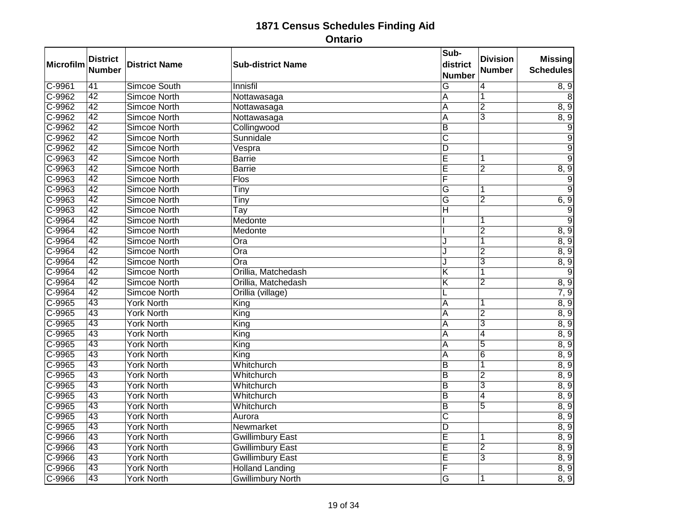| <b>Microfilm</b> | <b>District</b><br><b>Number</b> | <b>District Name</b> | <b>Sub-district Name</b> | Sub-<br>district<br><b>Number</b> | <b>Division</b><br><b>Number</b> | <b>Missing</b><br><b>Schedules</b> |
|------------------|----------------------------------|----------------------|--------------------------|-----------------------------------|----------------------------------|------------------------------------|
| $C-9961$         | 41                               | Simcoe South         | Innisfil                 | G                                 | 4                                | 8, 9                               |
| $C-9962$         | 42                               | <b>Simcoe North</b>  | Nottawasaga              | A                                 | 1                                | 8                                  |
| $C-9962$         | $\overline{42}$                  | <b>Simcoe North</b>  | Nottawasaga              | A                                 | $\overline{2}$                   | 8, 9                               |
| $C-9962$         | 42                               | <b>Simcoe North</b>  | Nottawasaga              | $\overline{\mathsf{A}}$           | 3                                | 8, 9                               |
| $C-9962$         | 42                               | <b>Simcoe North</b>  | Collingwood              | B                                 |                                  | $\overline{9}$                     |
| $C-9962$         | $\overline{42}$                  | <b>Simcoe North</b>  | Sunnidale                | $\overline{\text{C}}$             |                                  | $\overline{9}$                     |
| $C-9962$         | 42                               | <b>Simcoe North</b>  | Vespra                   | $\overline{D}$                    |                                  | $\overline{9}$                     |
| $C-9963$         | 42                               | <b>Simcoe North</b>  | <b>Barrie</b>            | Ē                                 | 1                                | $\overline{9}$                     |
| C-9963           | $\overline{42}$                  | <b>Simcoe North</b>  | <b>Barrie</b>            | Ē                                 | $\overline{2}$                   | 8, 9                               |
| C-9963           | 42                               | <b>Simcoe North</b>  | <b>Flos</b>              | F                                 |                                  | $\overline{9}$                     |
| $C-9963$         | 42                               | <b>Simcoe North</b>  | Tiny                     | G                                 |                                  | 9                                  |
| C-9963           | $\overline{42}$                  | <b>Simcoe North</b>  | Tiny                     | $\overline{\mathsf{G}}$           | $\overline{2}$                   | 6, 9                               |
| $C-9963$         | $\overline{42}$                  | <b>Simcoe North</b>  | Tay                      | $\overline{\mathsf{H}}$           |                                  | 9                                  |
| $C-9964$         | 42                               | <b>Simcoe North</b>  | Medonte                  |                                   |                                  | $\overline{9}$                     |
| $C-9964$         | 42                               | <b>Simcoe North</b>  | Medonte                  |                                   | $\overline{2}$                   | 8, 9                               |
| $C-9964$         | $\overline{42}$                  | <b>Simcoe North</b>  | $\overline{O}$ ra        | J                                 | 1                                | 8, 9                               |
| $C-9964$         | 42                               | <b>Simcoe North</b>  | $\overline{O}$ ra        | J                                 | $\overline{2}$                   | 8, 9                               |
| C-9964           | 42                               | <b>Simcoe North</b>  | Ora                      | J                                 | $\overline{3}$                   | 8, 9                               |
| $C-9964$         | $\overline{42}$                  | <b>Simcoe North</b>  | Orillia, Matchedash      | Κ                                 | 1                                | 9                                  |
| $C-9964$         | 42                               | <b>Simcoe North</b>  | Orillia, Matchedash      | $\overline{\mathsf{K}}$           | $\overline{2}$                   | 8, 9                               |
| $C-9964$         | 42                               | <b>Simcoe North</b>  | Orillia (village)        | L                                 |                                  | 7, 9                               |
| C-9965           | $\overline{43}$                  | <b>York North</b>    | King                     | A                                 |                                  | 8, 9                               |
| $C-9965$         | 43                               | <b>York North</b>    | King                     | A                                 | $\overline{2}$                   | 8, 9                               |
| $C-9965$         | 43                               | <b>York North</b>    | King                     | A                                 | $\overline{3}$                   | 8, 9                               |
| $C-9965$         | $\overline{43}$                  | <b>York North</b>    | King                     | A                                 | $\overline{4}$                   | 8, 9                               |
| $C-9965$         | 43                               | <b>York North</b>    | King                     | A                                 | $\overline{5}$                   | 8, 9                               |
| $C-9965$         | 43                               | <b>York North</b>    | King                     | A                                 | $\overline{6}$                   | 8, 9                               |
| $C-9965$         | $\overline{43}$                  | <b>York North</b>    | Whitchurch               | $\overline{B}$                    | 1                                | 8, 9                               |
| $C-9965$         | 43                               | <b>York North</b>    | Whitchurch               | $\overline{B}$                    | $\overline{2}$                   | 8, 9                               |
| $C-9965$         | 43                               | <b>York North</b>    | Whitchurch               | $\overline{B}$                    | $\overline{3}$                   | 8, 9                               |
| C-9965           | 43                               | <b>York North</b>    | Whitchurch               | B                                 | $\overline{4}$                   | 8, 9                               |
| $C-9965$         | $\overline{43}$                  | <b>York North</b>    | Whitchurch               | $\overline{B}$                    | $\overline{5}$                   | 8, 9                               |
| $C-9965$         | 43                               | <b>York North</b>    | Aurora                   | $\overline{\text{c}}$             |                                  | 8, 9                               |
| $C-9965$         | 43                               | <b>York North</b>    | Newmarket                | $\overline{D}$                    |                                  | 8, 9                               |
| C-9966           | $\overline{43}$                  | <b>York North</b>    | <b>Gwillimbury East</b>  | Ē                                 | 1                                | 8, 9                               |
| C-9966           | 43                               | <b>York North</b>    | <b>Gwillimbury East</b>  | Ē                                 | $\overline{2}$                   | 8, 9                               |
| C-9966           | 43                               | <b>York North</b>    | <b>Gwillimbury East</b>  | Ē                                 | 3                                | 8, 9                               |
| $C-9966$         | $\overline{43}$                  | <b>York North</b>    | <b>Holland Landing</b>   | F                                 |                                  | 8, 9                               |
| C-9966           | 43                               | <b>York North</b>    | <b>Gwillimbury North</b> | $\overline{G}$                    |                                  | 8, 9                               |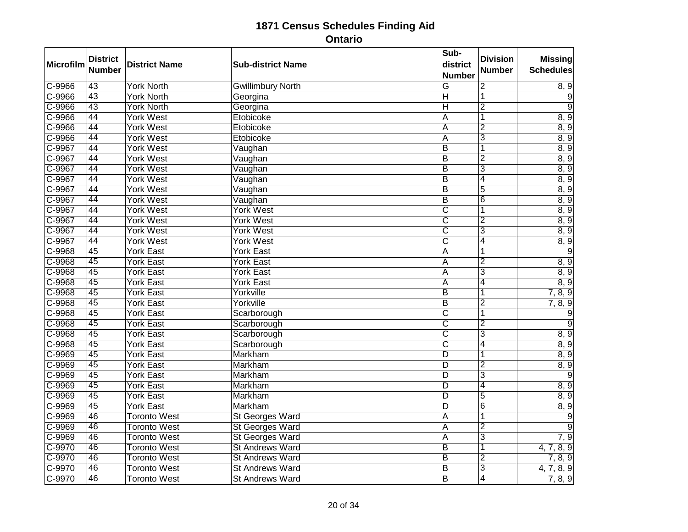| Microfilm  | <b>District</b><br><b>Number</b> | <b>District Name</b> | <b>Sub-district Name</b> | Sub-<br>district<br><b>Number</b> | <b>Division</b><br>Number | <b>Missing</b><br><b>Schedules</b> |
|------------|----------------------------------|----------------------|--------------------------|-----------------------------------|---------------------------|------------------------------------|
| $C-9966$   | 43                               | <b>York North</b>    | <b>Gwillimbury North</b> | $\overline{G}$                    | $\overline{2}$            | 8, 9                               |
| C-9966     | 43                               | <b>York North</b>    | Georgina                 | H                                 | 1                         | 9                                  |
| $C - 9966$ | $\overline{43}$                  | <b>York North</b>    | Georgina                 | $\overline{\mathsf{H}}$           | $\overline{2}$            | 9                                  |
| $C-9966$   | 44                               | <b>York West</b>     | Etobicoke                | $\overline{\mathsf{A}}$           | $\overline{1}$            | 8, 9                               |
| C-9966     | 44                               | <b>York West</b>     | Etobicoke                | A                                 | $\overline{2}$            | 8, 9                               |
| $C-9966$   | 44                               | <b>York West</b>     | Etobicoke                | A                                 | 3                         | 8, 9                               |
| $C-9967$   | 44                               | <b>York West</b>     | Vaughan                  | $\overline{B}$                    | 1                         | 8, 9                               |
| C-9967     | 44                               | <b>York West</b>     | Vaughan                  | $\overline{B}$                    | $\overline{2}$            | 8, 9                               |
| C-9967     | 44                               | <b>York West</b>     | Vaughan                  | $\overline{B}$                    | $\overline{3}$            | 8, 9                               |
| $C-9967$   | 44                               | <b>York West</b>     | Vaughan                  | $\overline{B}$                    | 4                         | 8, 9                               |
| $C-9967$   | 44                               | <b>York West</b>     | Vaughan                  | $\overline{B}$                    | $\overline{5}$            | 8, 9                               |
| C-9967     | 44                               | <b>York West</b>     | Vaughan                  | $\overline{B}$                    | $\overline{6}$            | 8, 9                               |
| C-9967     | 44                               | <b>York West</b>     | York West                | $\overline{\text{c}}$             | 1                         | 8, 9                               |
| C-9967     | 44                               | <b>York West</b>     | <b>York West</b>         | $\overline{\text{c}}$             | $\overline{2}$            | 8, 9                               |
| $C-9967$   | 44                               | <b>York West</b>     | <b>York West</b>         | $\overline{\text{C}}$             | 3                         | 8, 9                               |
| $C-9967$   | 44                               | <b>York West</b>     | <b>York West</b>         | $\overline{\text{c}}$             | $\overline{4}$            | 8, 9                               |
| C-9968     | 45                               | <b>York East</b>     | <b>York East</b>         | $\overline{A}$                    | $\overline{1}$            | $\overline{9}$                     |
| C-9968     | 45                               | <b>York East</b>     | <b>York East</b>         | A                                 | $\overline{2}$            | 8, 9                               |
| $C-9968$   | $\overline{45}$                  | <b>York East</b>     | <b>York East</b>         | A                                 | $\overline{3}$            | 8, 9                               |
| $C-9968$   | 45                               | <b>York East</b>     | <b>York East</b>         | A                                 | $\overline{4}$            | 8, 9                               |
| C-9968     | 45                               | <b>York East</b>     | Yorkville                | $\overline{B}$                    | 1                         | 7, 8, 9                            |
| C-9968     | $\overline{45}$                  | <b>York East</b>     | Yorkville                | $\overline{\mathsf{B}}$           | $\overline{2}$            | 7, 8, 9                            |
| $C-9968$   | 45                               | <b>York East</b>     | Scarborough              | $\overline{\text{c}}$             | $\overline{\mathbf{1}}$   | $\overline{9}$                     |
| C-9968     | 45                               | <b>York East</b>     | Scarborough              | $\overline{\text{c}}$             | $\overline{2}$            | $\overline{9}$                     |
| $C-9968$   | 45                               | <b>York East</b>     | Scarborough              | C                                 | $\overline{3}$            | 8, 9                               |
| C-9968     | $\overline{45}$                  | <b>York East</b>     | Scarborough              | $\overline{\text{c}}$             | 4                         | 8, 9                               |
| C-9969     | 45                               | <b>York East</b>     | Markham                  | D                                 | 1                         | 8, 9                               |
| $C-9969$   | 45                               | <b>York East</b>     | Markham                  | D                                 | $\overline{2}$            | 8, 9                               |
| C-9969     | $\overline{45}$                  | <b>York East</b>     | Markham                  | D                                 | $\overline{3}$            | 9                                  |
| C-9969     | 45                               | <b>York East</b>     | Markham                  | $\overline{D}$                    | 4                         | 8, 9                               |
| C-9969     | 45                               | <b>York East</b>     | Markham                  | D                                 | 5                         | 8, 9                               |
| C-9969     | $\overline{45}$                  | <b>York East</b>     | Markham                  | D                                 | $\overline{6}$            | 8, 9                               |
| C-9969     | 46                               | <b>Toronto West</b>  | <b>St Georges Ward</b>   | $\overline{A}$                    | 1                         | $\overline{9}$                     |
| C-9969     | 46                               | <b>Toronto West</b>  | <b>St Georges Ward</b>   | $\overline{A}$                    | $\overline{2}$            | $\overline{9}$                     |
| C-9969     | 46                               | <b>Toronto West</b>  | <b>St Georges Ward</b>   | A                                 | $\overline{3}$            | 7, 9                               |
| $C-9970$   | 46                               | <b>Toronto West</b>  | <b>St Andrews Ward</b>   | $\overline{B}$                    | $\overline{\mathbf{1}}$   | 4, 7, 8, 9                         |
| C-9970     | 46                               | <b>Toronto West</b>  | <b>St Andrews Ward</b>   | B                                 | $\overline{2}$            | 7, 8, 9                            |
| $C-9970$   | 46                               | <b>Toronto West</b>  | <b>St Andrews Ward</b>   | $\overline{\mathsf{B}}$           | $\overline{3}$            | 4, 7, 8, 9                         |
| C-9970     | 46                               | <b>Toronto West</b>  | <b>St Andrews Ward</b>   | B                                 | $\overline{4}$            | 7, 8, 9                            |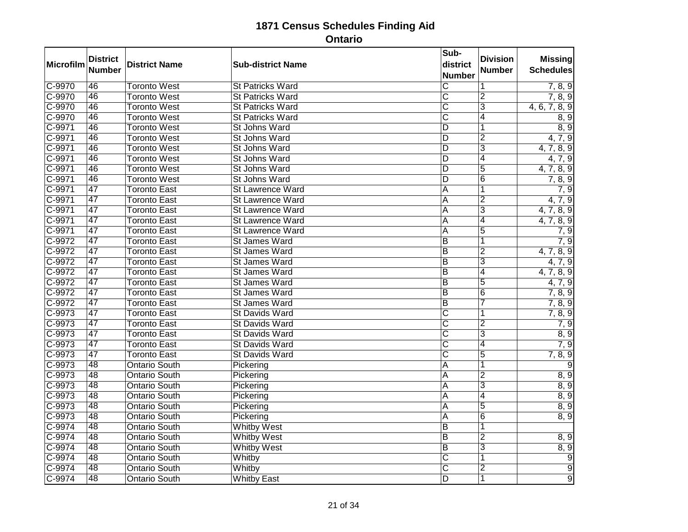| Microfilm | <b>District</b><br><b>Number</b> | <b>District Name</b> | <b>Sub-district Name</b> | Sub-<br>district<br><b>Number</b> | <b>Division</b><br><b>Number</b> | <b>Missing</b><br><b>Schedules</b> |
|-----------|----------------------------------|----------------------|--------------------------|-----------------------------------|----------------------------------|------------------------------------|
| $C-9970$  | 46                               | <b>Toronto West</b>  | <b>St Patricks Ward</b>  | $\overline{\text{c}}$             | 1                                | 7, 8, 9                            |
| $C-9970$  | 46                               | <b>Toronto West</b>  | <b>St Patricks Ward</b>  | $\overline{\text{c}}$             | $\overline{2}$                   | 7, 8, 9                            |
| $C-9970$  | 46                               | <b>Toronto West</b>  | <b>St Patricks Ward</b>  | $\overline{\text{c}}$             | $\overline{3}$                   | 4, 6, 7, 8, 9                      |
| C-9970    | 46                               | <b>Toronto West</b>  | <b>St Patricks Ward</b>  | $\overline{\text{c}}$             | $\overline{4}$                   | 8, 9                               |
| C-9971    | 46                               | <b>Toronto West</b>  | St Johns Ward            | $\overline{D}$                    | $\overline{1}$                   | 8, 9                               |
| $C-9971$  | 46                               | <b>Toronto West</b>  | St Johns Ward            | D                                 | $\overline{2}$                   | 4, 7, 9                            |
| $C-9971$  | 46                               | <b>Toronto West</b>  | St Johns Ward            | $\overline{D}$                    | $\overline{3}$                   | 4, 7, 8, 9                         |
| $C-9971$  | 46                               | <b>Toronto West</b>  | St Johns Ward            | $\overline{D}$                    | 4                                | 4, 7, 9                            |
| $C-9971$  | 46                               | <b>Toronto West</b>  | St Johns Ward            | $\overline{D}$                    | $\overline{5}$                   | 4, 7, 8, 9                         |
| $C-9971$  | 46                               | <b>Toronto West</b>  | St Johns Ward            | D                                 | $\overline{6}$                   | 7, 8, 9                            |
| $C-9971$  | 47                               | <b>Toronto East</b>  | <b>St Lawrence Ward</b>  | A                                 | 1                                | 7, 9                               |
| C-9971    | 47                               | <b>Toronto East</b>  | St Lawrence Ward         | A                                 | $\overline{2}$                   | 4, 7, 9                            |
| $C-9971$  | $\overline{47}$                  | <b>Toronto East</b>  | <b>St Lawrence Ward</b>  | A                                 | $\overline{3}$                   | 4, 7, 8, 9                         |
| $C-9971$  | 47                               | <b>Toronto East</b>  | St Lawrence Ward         | A                                 | $\overline{4}$                   | 4, 7, 8, 9                         |
| $C-9971$  | 47                               | <b>Toronto East</b>  | <b>St Lawrence Ward</b>  | A                                 | $\overline{5}$                   | 7, 9                               |
| $C-9972$  | $\overline{47}$                  | <b>Toronto East</b>  | St James Ward            | $\overline{\mathsf{B}}$           | $\overline{1}$                   | 7, 9                               |
| $C-9972$  | $\overline{47}$                  | <b>Toronto East</b>  | St James Ward            | $\overline{B}$                    | $\overline{2}$                   | 4, 7, 8, 9                         |
| C-9972    | 47                               | <b>Toronto East</b>  | St James Ward            | ĪΒ                                | $\overline{3}$                   | 4, 7, 9                            |
| $C-9972$  | $\overline{47}$                  | <b>Toronto East</b>  | St James Ward            | $\overline{\mathsf{B}}$           | $\overline{4}$                   | 4, 7, 8, 9                         |
| $C-9972$  | 47                               | <b>Toronto East</b>  | St James Ward            | ĪΒ                                | $\overline{5}$                   | 4, 7, 9                            |
| $C-9972$  | 47                               | <b>Toronto East</b>  | St James Ward            | ĪΒ                                | $\overline{6}$                   | 7, 8, 9                            |
| $C-9972$  | $\overline{47}$                  | <b>Toronto East</b>  | St James Ward            | ĪΒ                                | 7                                | 7, 8, 9                            |
| $C-9973$  | $\overline{47}$                  | <b>Toronto East</b>  | <b>St Davids Ward</b>    | $\overline{\text{c}}$             | 1                                | 7, 8, 9                            |
| $C-9973$  | 47                               | <b>Toronto East</b>  | <b>St Davids Ward</b>    | $\overline{\text{c}}$             | $\overline{2}$                   | 7, 9                               |
| C-9973    | 47                               | <b>Toronto East</b>  | St Davids Ward           | $\overline{\text{c}}$             | $\overline{3}$                   | 8, 9                               |
| $C-9973$  | 47                               | <b>Toronto East</b>  | <b>St Davids Ward</b>    | $\overline{\text{c}}$             | 4                                | 7, 9                               |
| $C-9973$  | 47                               | <b>Toronto East</b>  | <b>St Davids Ward</b>    | $\overline{\text{c}}$             | $\overline{5}$                   | 7, 8, 9                            |
| $C-9973$  | 48                               | <b>Ontario South</b> | Pickering                | $\overline{A}$                    | 1                                | $\overline{9}$                     |
| C-9973    | $\overline{48}$                  | <b>Ontario South</b> | Pickering                | $\overline{A}$                    | $\overline{2}$                   | 8, 9                               |
| $C-9973$  | 48                               | <b>Ontario South</b> | Pickering                | $\overline{A}$                    | $\overline{3}$                   | 8, 9                               |
| $C-9973$  | 48                               | <b>Ontario South</b> | Pickering                | A                                 | $\overline{4}$                   | 8, 9                               |
| $C-9973$  | $\overline{48}$                  | <b>Ontario South</b> | Pickering                | A                                 | $\overline{5}$                   | 8, 9                               |
| $C-9973$  | 48                               | <b>Ontario South</b> | Pickering                | $\overline{A}$                    | $\overline{6}$                   | 8, 9                               |
| C-9974    | 48                               | <b>Ontario South</b> | <b>Whitby West</b>       | $\overline{B}$                    | $\overline{\mathbf{1}}$          |                                    |
| $C-9974$  | $\overline{48}$                  | <b>Ontario South</b> | <b>Whitby West</b>       | ĪΒ                                | $\overline{2}$                   | 8, 9                               |
| $C-9974$  | 48                               | <b>Ontario South</b> | <b>Whitby West</b>       | $\overline{B}$                    | $\overline{3}$                   | 8, 9                               |
| $C-9974$  | 48                               | <b>Ontario South</b> | Whitby                   | $\overline{\text{C}}$             | $\overline{1}$                   | $\overline{9}$                     |
| $C-9974$  | $\overline{48}$                  | <b>Ontario South</b> | Whitby                   | $\overline{\text{c}}$             | $\overline{2}$                   | $\overline{9}$                     |
| C-9974    | 48                               | <b>Ontario South</b> | <b>Whitby East</b>       | $\overline{D}$                    | $\overline{1}$                   | $\overline{9}$                     |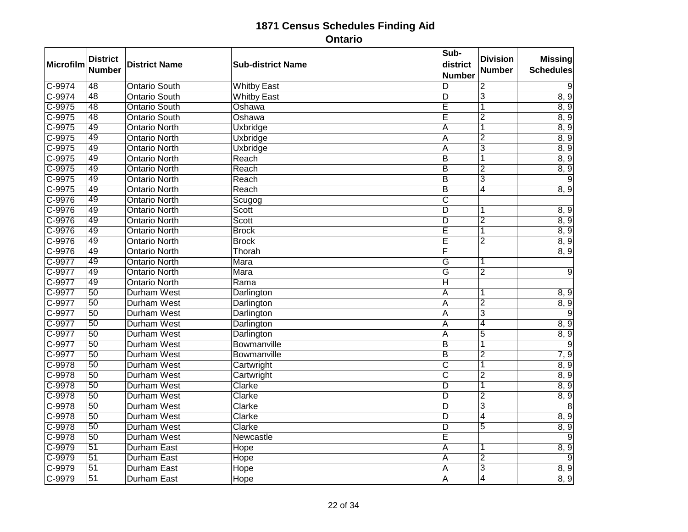| <b>Microfilm</b> | <b>District</b><br><b>Number</b> | <b>District Name</b> | <b>Sub-district Name</b> | Sub-<br>district<br><b>Number</b> | <b>Division</b><br><b>Number</b> | <b>Missing</b><br><b>Schedules</b> |
|------------------|----------------------------------|----------------------|--------------------------|-----------------------------------|----------------------------------|------------------------------------|
| $C-9974$         | 48                               | <b>Ontario South</b> | <b>Whitby East</b>       | D                                 | $\overline{2}$                   | 9                                  |
| $C-9974$         | 48                               | <b>Ontario South</b> | <b>Whitby East</b>       | $\overline{D}$                    | $\overline{3}$                   | 8, 9                               |
| $C-9975$         | $\overline{48}$                  | <b>Ontario South</b> | Oshawa                   | Ē                                 | 1                                | 8, 9                               |
| $C-9975$         | 48                               | <b>Ontario South</b> | Oshawa                   | Ē                                 | $\overline{2}$                   | 8, 9                               |
| C-9975           | 49                               | <b>Ontario North</b> | <b>Uxbridge</b>          | A                                 | $\overline{1}$                   | 8, 9                               |
| $C-9975$         | 49                               | <b>Ontario North</b> | <b>Uxbridge</b>          | A                                 | $\overline{2}$                   | 8, 9                               |
| $C-9975$         | 49                               | <b>Ontario North</b> | <b>Uxbridge</b>          | $\overline{\mathsf{A}}$           | $\overline{3}$                   | 8, 9                               |
| C-9975           | 49                               | <b>Ontario North</b> | Reach                    | B                                 | 1                                | 8, 9                               |
| $C-9975$         | 49                               | <b>Ontario North</b> | Reach                    | $\overline{B}$                    | $\overline{2}$                   | 8, 9                               |
| $C-9975$         | 49                               | <b>Ontario North</b> | Reach                    | $\overline{B}$                    | $\overline{3}$                   | $\overline{9}$                     |
| $C-9975$         | 49                               | <b>Ontario North</b> | Reach                    | $\overline{B}$                    | $\overline{4}$                   | 8, 9                               |
| $C-9976$         | 49                               | <b>Ontario North</b> | Scugog                   | $\overline{\mathsf{c}}$           |                                  |                                    |
| $C-9976$         | 49                               | <b>Ontario North</b> | Scott                    | $\overline{D}$                    | 1                                | 8, 9                               |
| $C-9976$         | 49                               | <b>Ontario North</b> | Scott                    | $\overline{D}$                    | $\overline{2}$                   | 8, 9                               |
| $C-9976$         | 49                               | <b>Ontario North</b> | <b>Brock</b>             | E                                 | 1                                | 8, 9                               |
| $C-9976$         | 49                               | <b>Ontario North</b> | <b>Brock</b>             | Ē                                 | $\overline{2}$                   | 8, 9                               |
| C-9976           | 49                               | <b>Ontario North</b> | Thorah                   | F                                 |                                  | 8, 9                               |
| C-9977           | 49                               | <b>Ontario North</b> | Mara                     | G                                 | 1                                |                                    |
| C-9977           | 49                               | <b>Ontario North</b> | Mara                     | $\overline{\mathsf{G}}$           | $\overline{2}$                   | 9                                  |
| $C-9977$         | 49                               | <b>Ontario North</b> | Rama                     | $\overline{H}$                    |                                  |                                    |
| C-9977           | 50                               | <b>Durham West</b>   | Darlington               | A                                 | 1                                | 8, 9                               |
| $C-9977$         | $\overline{50}$                  | <b>Durham West</b>   | Darlington               | A                                 | $\overline{2}$                   | 8, 9                               |
| $C-9977$         | 50                               | <b>Durham West</b>   | Darlington               | $\overline{\mathsf{A}}$           | $\overline{3}$                   | $\overline{9}$                     |
| C-9977           | 50                               | <b>Durham West</b>   | Darlington               | A                                 | 4                                | 8, 9                               |
| $C-9977$         | $\overline{50}$                  | <b>Durham West</b>   | Darlington               | $\overline{A}$                    | $\overline{5}$                   | 8, 9                               |
| C-9977           | $\overline{50}$                  | <b>Durham West</b>   | Bowmanville              | $\overline{B}$                    | 1                                | 9                                  |
| $C-9977$         | 50                               | <b>Durham West</b>   | Bowmanville              | $\overline{B}$                    | $\overline{2}$                   | 7, 9                               |
| $C-9978$         | $\overline{50}$                  | <b>Durham West</b>   | Cartwright               | $\overline{\text{C}}$             | 1                                | 8, 9                               |
| $C-9978$         | $\overline{50}$                  | <b>Durham West</b>   | Cartwright               | $\overline{\text{c}}$             | $\overline{2}$                   | 8, 9                               |
| C-9978           | 50                               | <b>Durham West</b>   | Clarke                   | $\overline{D}$                    | $\overline{1}$                   | 8, 9                               |
| C-9978           | 50                               | <b>Durham West</b>   | Clarke                   | D                                 | $\overline{2}$                   | 8, 9                               |
| $C-9978$         | $\overline{50}$                  | <b>Durham West</b>   | Clarke                   | $\overline{\mathsf{D}}$           | $\overline{3}$                   | $\overline{8}$                     |
| $C-9978$         | 50                               | <b>Durham West</b>   | Clarke                   | $\overline{D}$                    | $\overline{4}$                   | 8, 9                               |
| C-9978           | 50                               | <b>Durham West</b>   | Clarke                   | $\overline{D}$                    | 5                                | 8, 9                               |
| $C-9978$         | $\overline{50}$                  | <b>Durham West</b>   | Newcastle                | Ē                                 |                                  | 9                                  |
| C-9979           | $\overline{51}$                  | <b>Durham East</b>   | Hope                     | $\overline{\mathsf{A}}$           | 1                                | 8, 9                               |
| C-9979           | 51                               | <b>Durham East</b>   | Hope                     | A                                 | $\overline{2}$                   | $\overline{9}$                     |
| $C-9979$         | $\overline{51}$                  | <b>Durham East</b>   | Hope                     | A                                 | $\overline{3}$                   | 8, 9                               |
| C-9979           | 51                               | <b>Durham East</b>   | Hope                     | A                                 | $\overline{4}$                   | 8, 9                               |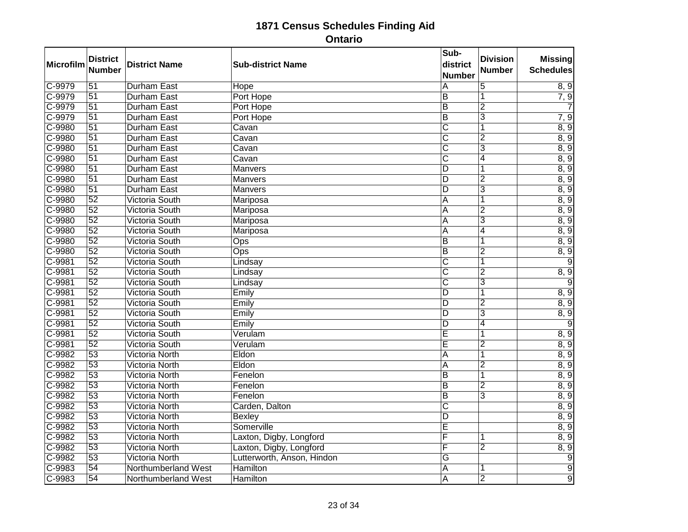| Microfilm | <b>District</b><br>Number | <b>District Name</b>  | <b>Sub-district Name</b>   | Sub-<br>district<br><b>Number</b> | <b>Division</b><br><b>Number</b> | <b>Missing</b><br><b>Schedules</b> |
|-----------|---------------------------|-----------------------|----------------------------|-----------------------------------|----------------------------------|------------------------------------|
| C-9979    | $\overline{51}$           | <b>Durham East</b>    | Hope                       | Α                                 | $\overline{5}$                   | 8, 9                               |
| $C-9979$  | $\overline{51}$           | <b>Durham East</b>    | Port Hope                  | $\overline{\mathsf{B}}$           | 1                                | 7, 9                               |
| $C-9979$  | $\overline{51}$           | <b>Durham East</b>    | Port Hope                  | $\overline{B}$                    | $\overline{2}$                   |                                    |
| $C-9979$  | 51                        | <b>Durham East</b>    | Port Hope                  | $\overline{B}$                    | $\overline{3}$                   | 7, 9                               |
| C-9980    | 51                        | <b>Durham East</b>    | Cavan                      | $\overline{\text{C}}$             | 1                                | 8, 9                               |
| $C-9980$  | $\overline{51}$           | Durham East           | Cavan                      | $\overline{\text{c}}$             | $\overline{2}$                   | 8, 9                               |
| $C-9980$  | 51                        | <b>Durham East</b>    | Cavan                      | $\overline{\text{c}}$             | $\overline{3}$                   | 8, 9                               |
| C-9980    | $\overline{51}$           | Durham East           | Cavan                      | $\overline{\text{C}}$             | $\overline{4}$                   | 8, 9                               |
| $C-9980$  | $\overline{51}$           | <b>Durham East</b>    | Manvers                    | D                                 |                                  | 8, 9                               |
| C-9980    | $\overline{51}$           | <b>Durham East</b>    | Manvers                    | $\overline{D}$                    | $\overline{2}$                   | 8, 9                               |
| $C-9980$  | 51                        | <b>Durham East</b>    | Manvers                    | ΙD                                | 3                                | 8, 9                               |
| C-9980    | $\overline{52}$           | <b>Victoria South</b> | Mariposa                   | A                                 | 1                                | 8, 9                               |
| $C-9980$  | $\overline{52}$           | <b>Victoria South</b> | Mariposa                   | A                                 | $\overline{2}$                   | 8, 9                               |
| C-9980    | 52                        | <b>Victoria South</b> | Mariposa                   | A                                 | $\overline{3}$                   | 8, 9                               |
| $C-9980$  | $\overline{52}$           | Victoria South        | Mariposa                   | A                                 | 4                                | 8, 9                               |
| $C-9980$  | $\overline{52}$           | Victoria South        | Ops                        | $\overline{\mathsf{B}}$           | 1                                | 8, 9                               |
| $C-9980$  | $\overline{52}$           | Victoria South        | Ops                        | $\overline{B}$                    | $\overline{2}$                   | 8, 9                               |
| C-9981    | $\overline{52}$           | Victoria South        | Lindsay                    | $\overline{\text{C}}$             | 1                                | 9                                  |
| $C-9981$  | $\overline{52}$           | <b>Victoria South</b> | Lindsay                    | С                                 | $\overline{2}$                   | 8, 9                               |
| $C-9981$  | 52                        | <b>Victoria South</b> | Lindsay                    | $\overline{\text{c}}$             | $\overline{3}$                   | 9                                  |
| C-9981    | 52                        | <b>Victoria South</b> | Emily                      | $\overline{D}$                    | $\overline{1}$                   | 8, 9                               |
| $C-9981$  | $\overline{52}$           | <b>Victoria South</b> | Emily                      | D                                 | $\overline{2}$                   | 8, 9                               |
| $C-9981$  | 52                        | <b>Victoria South</b> | Emily                      | D                                 | $\overline{3}$                   | 8, 9                               |
| $C-9981$  | 52                        | <b>Victoria South</b> | Emily                      | D                                 | $\overline{4}$                   | $\overline{9}$                     |
| $C-9981$  | $\overline{52}$           | Victoria South        | Verulam                    | Ē                                 | 1                                | 8, 9                               |
| $C-9981$  | $\overline{52}$           | <b>Victoria South</b> | Verulam                    | Ε                                 | $\overline{2}$                   | 8, 9                               |
| C-9982    | 53                        | <b>Victoria North</b> | Eldon                      | A                                 | 1                                | 8, 9                               |
| $C-9982$  | $\overline{53}$           | <b>Victoria North</b> | Eldon                      | A                                 | $\overline{2}$                   | 8, 9                               |
| $C-9982$  | $\overline{53}$           | <b>Victoria North</b> | Fenelon                    | $\overline{B}$                    | 1                                | 8, 9                               |
| $C-9982$  | $\overline{53}$           | Victoria North        | Fenelon                    | B                                 | $\overline{2}$                   | 8, 9                               |
| $C-9982$  | 53                        | <b>Victoria North</b> | Fenelon                    | B                                 | $\overline{3}$                   | 8, 9                               |
| $C-9982$  | $\overline{53}$           | Victoria North        | Carden, Dalton             | $\overline{\text{c}}$             |                                  | 8, 9                               |
| $C-9982$  | 53                        | Victoria North        | <b>Bexley</b>              | D                                 |                                  | 8, 9                               |
| C-9982    | $\overline{53}$           | <b>Victoria North</b> | Somerville                 | Ē                                 |                                  | 8, 9                               |
| $C-9982$  | $\overline{53}$           | <b>Victoria North</b> | Laxton, Digby, Longford    | F                                 | 1                                | 8, 9                               |
| $C-9982$  | 53                        | <b>Victoria North</b> | Laxton, Digby, Longford    | F                                 | $\overline{2}$                   | 8, 9                               |
| $C-9982$  | 53                        | <b>Victoria North</b> | Lutterworth, Anson, Hindon | G                                 |                                  | $\overline{9}$                     |
| $C-9983$  | $\overline{54}$           | Northumberland West   | <b>Hamilton</b>            | A                                 | 1                                | $\overline{9}$                     |
| C-9983    | $\overline{54}$           | Northumberland West   | Hamilton                   | $\overline{\mathsf{A}}$           | $\overline{2}$                   | $\overline{9}$                     |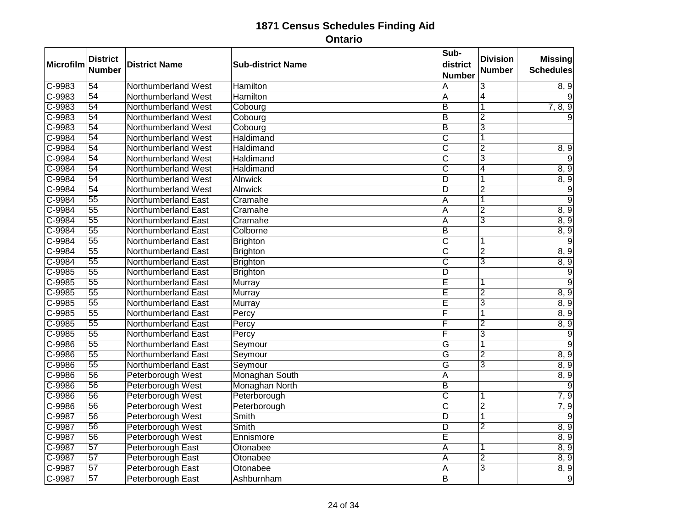| Microfilm  | <b>District</b><br><b>Number</b> | <b>District Name</b>       | <b>Sub-district Name</b> | Sub-<br>district<br><b>Number</b> | <b>Division</b><br><b>Number</b> | <b>Missing</b><br><b>Schedules</b> |
|------------|----------------------------------|----------------------------|--------------------------|-----------------------------------|----------------------------------|------------------------------------|
| $C-9983$   | 54                               | Northumberland West        | Hamilton                 | $\overline{A}$                    | 3                                | 8, 9                               |
| C-9983     | 54                               | Northumberland West        | Hamilton                 | A                                 | $\overline{4}$                   | 9                                  |
| $C - 9983$ | $\overline{54}$                  | Northumberland West        | Cobourg                  | $\overline{\mathsf{B}}$           | $\overline{1}$                   | 7, 8, 9                            |
| $C-9983$   | 54                               | Northumberland West        | Cobourg                  | $\overline{\mathsf{B}}$           | $\overline{2}$                   |                                    |
| C-9983     | 54                               | Northumberland West        | Cobourg                  | $\overline{\mathsf{B}}$           | $\overline{3}$                   |                                    |
| C-9984     | $\overline{54}$                  | Northumberland West        | Haldimand                | $\overline{\text{c}}$             | $\overline{1}$                   |                                    |
| $C-9984$   | 54                               | Northumberland West        | Haldimand                | $\overline{\text{c}}$             | $\overline{2}$                   | 8, 9                               |
| $C-9984$   | 54                               | Northumberland West        | Haldimand                | $\overline{\text{c}}$             | $\overline{3}$                   | 9                                  |
| $C-9984$   | $\overline{54}$                  | Northumberland West        | Haldimand                | $\overline{\text{c}}$             | 4                                | 8, 9                               |
| $C-9984$   | 54                               | Northumberland West        | <b>Alnwick</b>           | $\overline{\mathsf{D}}$           | $\overline{1}$                   | 8, 9                               |
| C-9984     | 54                               | Northumberland West        | <b>Alnwick</b>           | D                                 | $\overline{2}$                   | $\overline{9}$                     |
| $C-9984$   | $\overline{55}$                  | Northumberland East        | Cramahe                  | $\overline{A}$                    | $\overline{\mathbf{1}}$          | $\overline{9}$                     |
| $C-9984$   | $\overline{55}$                  | Northumberland East        | Cramahe                  | A                                 | $\overline{2}$                   | 8, 9                               |
| C-9984     | 55                               | Northumberland East        | Cramahe                  | $\overline{A}$                    | $\overline{3}$                   | 8, 9                               |
| $C-9984$   | $\overline{55}$                  | Northumberland East        | Colborne                 | $\overline{B}$                    |                                  | 8, 9                               |
| $C-9984$   | $\overline{55}$                  | Northumberland East        | <b>Brighton</b>          | $\overline{\text{c}}$             | 1                                | $\overline{9}$                     |
| $C-9984$   | $\overline{55}$                  | Northumberland East        | <b>Brighton</b>          | $\overline{\text{c}}$             | $\overline{2}$                   | 8, 9                               |
| C-9984     | 55                               | Northumberland East        | <b>Brighton</b>          | $\overline{\text{c}}$             | $\overline{3}$                   | 8, 9                               |
| $C-9985$   | $\overline{55}$                  | Northumberland East        | <b>Brighton</b>          | D                                 |                                  | $\overline{9}$                     |
| $C-9985$   | 55                               | <b>Northumberland East</b> | Murray                   | $\overline{E}$                    | 1                                | $\overline{9}$                     |
| $C-9985$   | 55                               | Northumberland East        | Murray                   | Ē                                 | $\overline{2}$                   | 8, 9                               |
| $C-9985$   | $\overline{55}$                  | Northumberland East        | Murray                   | Ē                                 | $\overline{3}$                   | 8, 9                               |
| $C-9985$   | 55                               | <b>Northumberland East</b> | Percy                    | F                                 | $\overline{1}$                   | 8, 9                               |
| $C-9985$   | 55                               | Northumberland East        | Percy                    | F                                 | $\overline{2}$                   | 8, 9                               |
| $C-9985$   | $\overline{55}$                  | Northumberland East        | Percy                    | F                                 | $\overline{3}$                   | $\overline{9}$                     |
| $C-9986$   | 55                               | Northumberland East        | Seymour                  | G                                 | 1                                | $\overline{9}$                     |
| $C-9986$   | $\overline{55}$                  | Northumberland East        | Seymour                  | G                                 | $\overline{2}$                   | 8, 9                               |
| $C - 9986$ | $\overline{55}$                  | Northumberland East        | Seymour                  | $\overline{\mathsf{G}}$           | $\overline{3}$                   | 8, 9                               |
| $C-9986$   | $\overline{56}$                  | Peterborough West          | Monaghan South           | $\overline{A}$                    |                                  | 8, 9                               |
| C-9986     | 56                               | Peterborough West          | Monaghan North           | ĪΒ                                |                                  | 9                                  |
| C-9986     | 56                               | Peterborough West          | Peterborough             | $\overline{\text{c}}$             | 1                                | 7, 9                               |
| $C-9986$   | $\overline{56}$                  | Peterborough West          | Peterborough             | $\overline{\text{c}}$             | $\overline{2}$                   | 7, 9                               |
| C-9987     | 56                               | Peterborough West          | <b>Smith</b>             | $\overline{D}$                    | $\overline{1}$                   | $\overline{9}$                     |
| C-9987     | 56                               | Peterborough West          | Smith                    | $\overline{D}$                    | $\overline{2}$                   | 8, 9                               |
| C-9987     | $\overline{56}$                  | Peterborough West          | Ennismore                | Ē                                 |                                  | 8, 9                               |
| C-9987     | 57                               | Peterborough East          | Otonabee                 | $\overline{A}$                    | 1                                | 8, 9                               |
| $C - 9987$ | 57                               | Peterborough East          | Otonabee                 | A                                 | $\overline{2}$                   | 8, 9                               |
| $C-9987$   | $\overline{57}$                  | Peterborough East          | Otonabee                 | A                                 | $\overline{3}$                   | 8, 9                               |
| C-9987     | 57                               | Peterborough East          | Ashburnham               | $\overline{\mathsf{B}}$           |                                  | $\overline{9}$                     |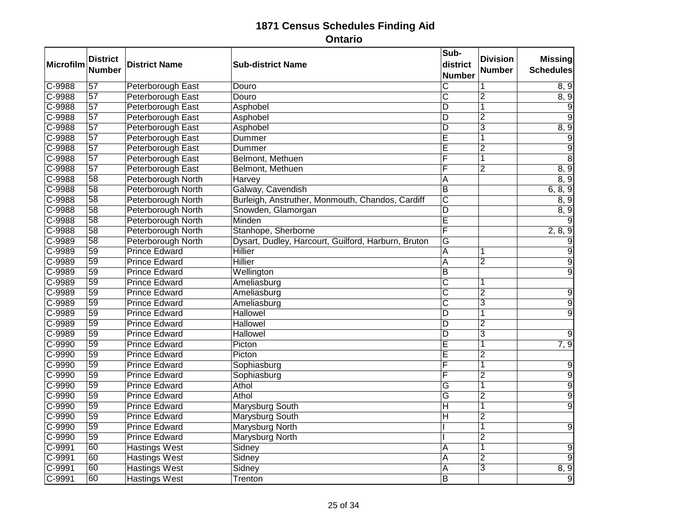| Microfilm | <b>District</b><br><b>Number</b> | <b>District Name</b>     | <b>Sub-district Name</b>                            | Sub-<br>district<br><b>Number</b> | <b>Division</b><br><b>Number</b> | <b>Missing</b><br><b>Schedules</b> |
|-----------|----------------------------------|--------------------------|-----------------------------------------------------|-----------------------------------|----------------------------------|------------------------------------|
| C-9988    | $\overline{57}$                  | Peterborough East        | Douro                                               | $\overline{\text{c}}$             |                                  | 8, 9                               |
| C-9988    | $\overline{57}$                  | Peterborough East        | Douro                                               | $\overline{\text{c}}$             | $\overline{2}$                   | $\overline{8,9}$                   |
| $C-9988$  | $\overline{57}$                  | Peterborough East        | Asphobel                                            | D                                 | 1                                | 9                                  |
| C-9988    | 57                               | <b>Peterborough East</b> | Asphobel                                            | $\overline{\mathsf{D}}$           | $\overline{2}$                   | $\overline{9}$                     |
| C-9988    | 57                               | Peterborough East        | Asphobel                                            | D                                 | 3                                | 8, 9                               |
| $C-9988$  | $\overline{57}$                  | Peterborough East        | Dummer                                              | Ē                                 | 1                                | 9                                  |
| $C-9988$  | $\overline{57}$                  | Peterborough East        | Dummer                                              | Ē                                 | $\overline{2}$                   | 9                                  |
| C-9988    | 57                               | <b>Peterborough East</b> | Belmont, Methuen                                    | F                                 | 1                                | $\overline{8}$                     |
| $C-9988$  | $\overline{57}$                  | Peterborough East        | Belmont, Methuen                                    | F                                 | $\overline{2}$                   | 8, 9                               |
| C-9988    | $\overline{58}$                  | Peterborough North       | Harvey                                              | $\overline{\mathsf{A}}$           |                                  | 8, 9                               |
| $C-9988$  | 58                               | Peterborough North       | Galway, Cavendish                                   | ĪΒ                                |                                  | 6, 8, 9                            |
| $C-9988$  | $\overline{58}$                  | Peterborough North       | Burleigh, Anstruther, Monmouth, Chandos, Cardiff    | $\overline{\text{c}}$             |                                  | 8, 9                               |
| $C-9988$  | $\overline{58}$                  | Peterborough North       | Snowden, Glamorgan                                  | D                                 |                                  | 8, 9                               |
| C-9988    | 58                               | Peterborough North       | Minden                                              | $\overline{\mathsf{E}}$           |                                  |                                    |
| $C-9988$  | 58                               | Peterborough North       | Stanhope, Sherborne                                 | F                                 |                                  | 2, 8, 9                            |
| $C-9989$  | $\overline{58}$                  | Peterborough North       | Dysart, Dudley, Harcourt, Guilford, Harburn, Bruton | G                                 |                                  |                                    |
| C-9989    | 59                               | <b>Prince Edward</b>     | <b>Hillier</b>                                      | $\overline{A}$                    | 1                                | $\overline{9}$                     |
| C-9989    | 59                               | <b>Prince Edward</b>     | Hillier                                             | $\overline{A}$                    | $\overline{2}$                   | $\overline{9}$                     |
| $C-9989$  | $\overline{59}$                  | <b>Prince Edward</b>     | Wellington                                          | $\overline{\mathsf{B}}$           |                                  | $\overline{9}$                     |
| $C-9989$  | 59                               | <b>Prince Edward</b>     | Ameliasburg                                         | $\overline{\text{c}}$             | 1                                |                                    |
| C-9989    | 59                               | <b>Prince Edward</b>     | Ameliasburg                                         | $\overline{\text{c}}$             | $\overline{2}$                   | 9                                  |
| $C-9989$  | $\overline{59}$                  | <b>Prince Edward</b>     | Ameliasburg                                         | $\overline{\text{C}}$             | 3                                | 9                                  |
| C-9989    | 59                               | <b>Prince Edward</b>     | <b>Hallowel</b>                                     | $\overline{D}$                    |                                  | $\overline{9}$                     |
| $C-9989$  | 59                               | <b>Prince Edward</b>     | <b>Hallowel</b>                                     | D                                 | $\overline{2}$                   |                                    |
| $C-9989$  | 59                               | <b>Prince Edward</b>     | <b>Hallowel</b>                                     | $\overline{D}$                    | $\overline{3}$                   | 9                                  |
| $C-9990$  | 59                               | <b>Prince Edward</b>     | Picton                                              | $\overline{\mathsf{E}}$           | 1                                | 7, 9                               |
| C-9990    | 59                               | <b>Prince Edward</b>     | Picton                                              | E                                 | $\overline{2}$                   |                                    |
| $C-9990$  | $\overline{59}$                  | <b>Prince Edward</b>     | Sophiasburg                                         | F                                 | 1                                | 9                                  |
| $C-9990$  | $\overline{59}$                  | <b>Prince Edward</b>     | Sophiasburg                                         | F                                 | $\overline{2}$                   | $\overline{9}$                     |
| C-9990    | 59                               | <b>Prince Edward</b>     | <b>Athol</b>                                        | G                                 | $\overline{1}$                   | $\overline{9}$                     |
| C-9990    | 59                               | <b>Prince Edward</b>     | Athol                                               | G                                 | $\overline{2}$                   | $\overline{9}$                     |
| $C-9990$  | $\overline{59}$                  | <b>Prince Edward</b>     | <b>Marysburg South</b>                              | H                                 | 1                                | $\overline{9}$                     |
| C-9990    | 59                               | <b>Prince Edward</b>     | <b>Marysburg South</b>                              | $\overline{\mathsf{H}}$           | $\overline{2}$                   |                                    |
| $C-9990$  | 59                               | <b>Prince Edward</b>     | Marysburg North                                     |                                   | 1                                | 9                                  |
| C-9990    | 59                               | <b>Prince Edward</b>     | <b>Marysburg North</b>                              |                                   | $\overline{2}$                   |                                    |
| $C-9991$  | 60                               | <b>Hastings West</b>     | Sidney                                              | A                                 | 1                                | 9                                  |
| $C-9991$  | 60                               | <b>Hastings West</b>     | Sidney                                              | A                                 | $\overline{2}$                   | $\overline{9}$                     |
| $C-9991$  | $\overline{60}$                  | <b>Hastings West</b>     | Sidney                                              | A                                 | $\overline{3}$                   | 8, 9                               |
| $C-9991$  | 60                               | <b>Hastings West</b>     | Trenton                                             | $\overline{\mathsf{B}}$           |                                  | $\overline{9}$                     |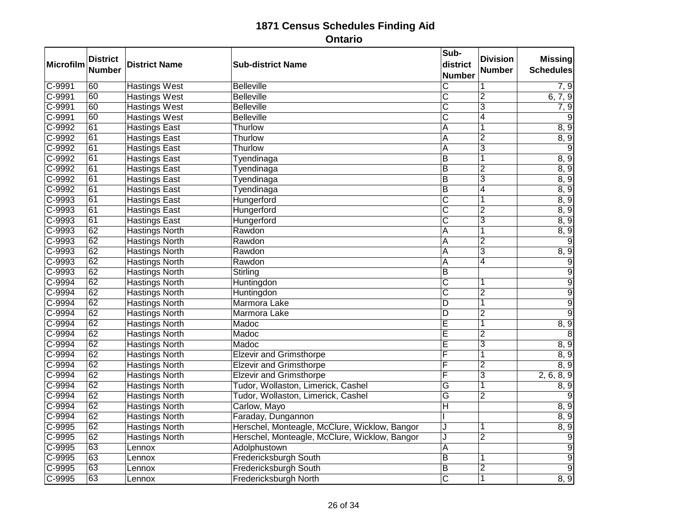| Microfilm  | <b>District</b><br><b>Number</b> | <b>District Name</b>  | <b>Sub-district Name</b>                      | Sub-<br>district<br><b>Number</b> | <b>Division</b><br><b>Number</b> | <b>Missing</b><br><b>Schedules</b> |
|------------|----------------------------------|-----------------------|-----------------------------------------------|-----------------------------------|----------------------------------|------------------------------------|
| $C-9991$   | 60                               | <b>Hastings West</b>  | <b>Belleville</b>                             | $\overline{\text{c}}$             | 1                                | 7, 9                               |
| C-9991     | 60                               | <b>Hastings West</b>  | <b>Belleville</b>                             | $\overline{\text{c}}$             | $\overline{2}$                   | $\overline{6}$ , 7, 9              |
| $C - 9991$ | 60                               | <b>Hastings West</b>  | <b>Belleville</b>                             | $\overline{\text{C}}$             | $\overline{3}$                   | 7, 9                               |
| $C-9991$   | 60                               | <b>Hastings West</b>  | <b>Belleville</b>                             | $\overline{\text{c}}$             | 4                                | 9                                  |
| C-9992     | 61                               | <b>Hastings East</b>  | Thurlow                                       | A                                 | 1                                | 8, 9                               |
| $C-9992$   | $\overline{61}$                  | <b>Hastings East</b>  | Thurlow                                       | A                                 | $\overline{2}$                   | 8, 9                               |
| $C-9992$   | 61                               | <b>Hastings East</b>  | Thurlow                                       | A                                 | $\overline{3}$                   | $\overline{9}$                     |
| $C-9992$   | 61                               | <b>Hastings East</b>  | Tyendinaga                                    | $\overline{B}$                    | 1                                | 8, 9                               |
| $C-9992$   | $\overline{61}$                  | <b>Hastings East</b>  | Tyendinaga                                    | $\overline{B}$                    | $\overline{2}$                   | 8, 9                               |
| $C-9992$   | 61                               | <b>Hastings East</b>  | Tyendinaga                                    | $\overline{B}$                    | $\overline{3}$                   | 8, 9                               |
| $C - 9992$ | 61                               | <b>Hastings East</b>  | Tyendinaga                                    | $\overline{B}$                    | 4                                | 8, 9                               |
| $C - 9993$ | 61                               | <b>Hastings East</b>  | Hungerford                                    | $\overline{\text{C}}$             | 1                                | 8, 9                               |
| $C-9993$   | $\overline{61}$                  | <b>Hastings East</b>  | Hungerford                                    | C                                 | $\overline{2}$                   | 8, 9                               |
| $C-9993$   | 61                               | <b>Hastings East</b>  | Hungerford                                    | $\overline{\text{c}}$             | $\overline{\mathbf{3}}$          | 8, 9                               |
| $C-9993$   | 62                               | <b>Hastings North</b> | Rawdon                                        | A                                 | 1                                | 8, 9                               |
| $C-9993$   | 62                               | <b>Hastings North</b> | Rawdon                                        | $\overline{A}$                    | $\overline{2}$                   | $\overline{9}$                     |
| C-9993     | 62                               | <b>Hastings North</b> | Rawdon                                        | A                                 | $\overline{\mathbf{3}}$          | 8, 9                               |
| C-9993     | 62                               | <b>Hastings North</b> | Rawdon                                        | A                                 | 4                                | $\overline{9}$                     |
| $C-9993$   | 62                               | <b>Hastings North</b> | Stirling                                      | $\overline{\mathsf{B}}$           |                                  | 9                                  |
| $C-9994$   | 62                               | <b>Hastings North</b> | Huntingdon                                    | $\overline{\text{c}}$             | 1                                | $\overline{9}$                     |
| $C-9994$   | 62                               | <b>Hastings North</b> | Huntingdon                                    | $\overline{\text{c}}$             | $\overline{2}$                   | $\overline{9}$                     |
| $C-9994$   | 62                               | <b>Hastings North</b> | Marmora Lake                                  | D                                 | 1                                | $\overline{9}$                     |
| $C-9994$   | 62                               | <b>Hastings North</b> | Marmora Lake                                  | $\overline{D}$                    | $\overline{2}$                   | $\overline{9}$                     |
| C-9994     | 62                               | <b>Hastings North</b> | Madoc                                         | Ē                                 | 1                                | 8, 9                               |
| $C-9994$   | 62                               | <b>Hastings North</b> | Madoc                                         | Ē                                 | $\overline{2}$                   | 8                                  |
| $C-9994$   | 62                               | <b>Hastings North</b> | Madoc                                         | $\overline{\mathsf{E}}$           | 3                                | 8, 9                               |
| $C-9994$   | 62                               | <b>Hastings North</b> | <b>Elzevir and Grimsthorpe</b>                | F                                 |                                  | 8, 9                               |
| $C-9994$   | 62                               | <b>Hastings North</b> | <b>Elzevir and Grimsthorpe</b>                | F                                 | $\overline{2}$                   | 8, 9                               |
| C-9994     | 62                               | <b>Hastings North</b> | <b>Elzevir and Grimsthorpe</b>                | F                                 | $\overline{3}$                   | 2, 6, 8, 9                         |
| C-9994     | 62                               | <b>Hastings North</b> | Tudor, Wollaston, Limerick, Cashel            | $\overline{G}$                    | 1                                | 8, 9                               |
| C-9994     | 62                               | <b>Hastings North</b> | Tudor, Wollaston, Limerick, Cashel            | G                                 | $\overline{2}$                   | 9                                  |
| $C-9994$   | $\overline{62}$                  | <b>Hastings North</b> | Carlow, Mayo                                  | $\overline{\mathsf{H}}$           |                                  | 8, 9                               |
| $C-9994$   | 62                               | <b>Hastings North</b> | Faraday, Dungannon                            |                                   |                                  | 8, 9                               |
| C-9995     | 62                               | <b>Hastings North</b> | Herschel, Monteagle, McClure, Wicklow, Bangor | J                                 | 1                                | 8, 9                               |
| $C-9995$   | 62                               | <b>Hastings North</b> | Herschel, Monteagle, McClure, Wicklow, Bangor | J                                 | $\overline{2}$                   | $\overline{9}$                     |
| $C-9995$   | 63                               | Lennox                | Adolphustown                                  | A                                 |                                  | $\overline{9}$                     |
| $C - 9995$ | 63                               | Lennox                | Fredericksburgh South                         | $\overline{B}$                    | 1                                | $\overline{9}$                     |
| $C-9995$   | 63                               | Lennox                | Fredericksburgh South                         | $\overline{\mathsf{B}}$           | $\overline{2}$                   | $\overline{9}$                     |
| C-9995     | 63                               | Lennox                | <b>Fredericksburgh North</b>                  | $\overline{\mathsf{c}}$           | 1                                | 8, 9                               |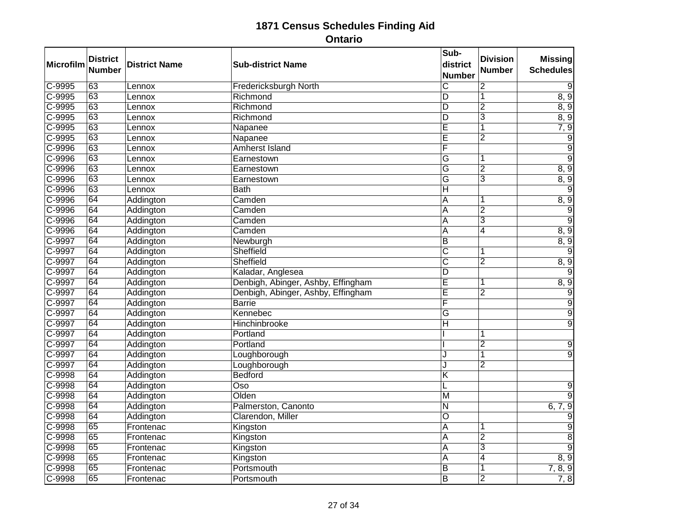| Microfilm  | <b>District</b><br><b>Number</b> | <b>District Name</b> | <b>Sub-district Name</b>           | Sub-<br>district<br><b>Number</b> | <b>Division</b><br><b>Number</b> | <b>Missing</b><br><b>Schedules</b> |
|------------|----------------------------------|----------------------|------------------------------------|-----------------------------------|----------------------------------|------------------------------------|
| $C-9995$   | 63                               | Lennox               | Fredericksburgh North              | $\overline{\mathsf{C}}$           | $\overline{2}$                   | 9                                  |
| $C-9995$   | 63                               | Lennox               | Richmond                           | D                                 | 1                                | 8, 9                               |
| $C - 9995$ | 63                               | Lennox               | Richmond                           | D                                 | $\overline{2}$                   | 8, 9                               |
| $C-9995$   | 63                               | Lennox               | Richmond                           | $\overline{D}$                    | $\overline{3}$                   | 8, 9                               |
| C-9995     | 63                               | Lennox               | Napanee                            | Ē                                 | 1                                | 7, 9                               |
| $C-9995$   | 63                               | Lennox               | Napanee                            | Ē                                 | $\overline{2}$                   | $\overline{9}$                     |
| C-9996     | 63                               | Lennox               | <b>Amherst Island</b>              | F                                 |                                  | $\overline{9}$                     |
| $C-9996$   | 63                               | Lennox               | Earnestown                         | G                                 |                                  | $\overline{9}$                     |
| $C-9996$   | 63                               | Lennox               | Earnestown                         | $\overline{\mathsf{G}}$           | $\overline{2}$                   | 8, 9                               |
| C-9996     | 63                               | Lennox               | Earnestown                         | G                                 | 3                                | 8, 9                               |
| C-9996     | 63                               | Lennox               | <b>Bath</b>                        | $\overline{\mathsf{H}}$           |                                  | 9                                  |
| C-9996     | 64                               | Addington            | Camden                             | A                                 | 1                                | 8, 9                               |
| $C-9996$   | 64                               | Addington            | Camden                             | $\overline{A}$                    | $\overline{2}$                   | $\overline{9}$                     |
| C-9996     | 64                               | Addington            | Camden                             | $\overline{A}$                    | $\overline{3}$                   | $\overline{9}$                     |
| $C-9996$   | 64                               | Addington            | Camden                             | A                                 | 4                                | 8, 9                               |
| $C-9997$   | 64                               | Addington            | Newburgh                           | $\overline{\mathsf{B}}$           |                                  | 8, 9                               |
| C-9997     | 64                               | Addington            | Sheffield                          | $\overline{\text{c}}$             | 1                                | 9                                  |
| C-9997     | 64                               | Addington            | Sheffield                          | $\overline{\text{c}}$             | $\overline{2}$                   | 8, 9                               |
| $C-9997$   | 64                               | Addington            | Kaladar, Anglesea                  | D                                 |                                  | $\overline{9}$                     |
| C-9997     | 64                               | Addington            | Denbigh, Abinger, Ashby, Effingham | $\overline{\mathsf{E}}$           | 1                                | 8, 9                               |
| C-9997     | 64                               | Addington            | Denbigh, Abinger, Ashby, Effingham | Ē                                 | $\overline{2}$                   | $\overline{9}$                     |
| C-9997     | 64                               | Addington            | <b>Barrie</b>                      | F                                 |                                  | $\overline{9}$                     |
| C-9997     | 64                               | Addington            | Kennebec                           | G                                 |                                  | $\overline{9}$                     |
| C-9997     | 64                               | Addington            | Hinchinbrooke                      | H                                 |                                  | 9                                  |
| $C-9997$   | 64                               | Addington            | Portland                           |                                   | 1                                |                                    |
| $C-9997$   | 64                               | Addington            | Portland                           |                                   | $\overline{2}$                   | $\overline{9}$                     |
| C-9997     | 64                               | Addington            | Loughborough                       | $\cdot$                           | 1                                | $\overline{9}$                     |
| $C-9997$   | 64                               | Addington            | Loughborough                       | ا.                                | $\overline{2}$                   |                                    |
| C-9998     | 64                               | Addington            | Bedford                            | $\overline{\mathsf{K}}$           |                                  |                                    |
| C-9998     | 64                               | Addington            | $\overline{\mathrm{Oso}}$          | L                                 |                                  | $\overline{9}$                     |
| C-9998     | 64                               | Addington            | Olden                              | M                                 |                                  | $\overline{9}$                     |
| $C-9998$   | 64                               | Addington            | Palmerston, Canonto                | $\overline{\mathsf{N}}$           |                                  | 6, 7, 9                            |
| C-9998     | 64                               | Addington            | Clarendon, Miller                  | $\overline{O}$                    |                                  | $\overline{9}$                     |
| C-9998     | 65                               | Frontenac            | Kingston                           | A                                 | 1                                | $\overline{9}$                     |
| $C-9998$   | 65                               | Frontenac            | Kingston                           | $\overline{A}$                    | $\overline{2}$                   | 8                                  |
| $C-9998$   | 65                               | Frontenac            | Kingston                           | A                                 | 3                                | $\overline{9}$                     |
| C-9998     | 65                               | Frontenac            | Kingston                           | A                                 | 4                                | 8, 9                               |
| $C-9998$   | 65                               | Frontenac            | Portsmouth                         | B                                 | 1                                | 7, 8, 9                            |
| C-9998     | 65                               | Frontenac            | Portsmouth                         | $\overline{\mathsf{B}}$           | $\overline{2}$                   | 7, 8                               |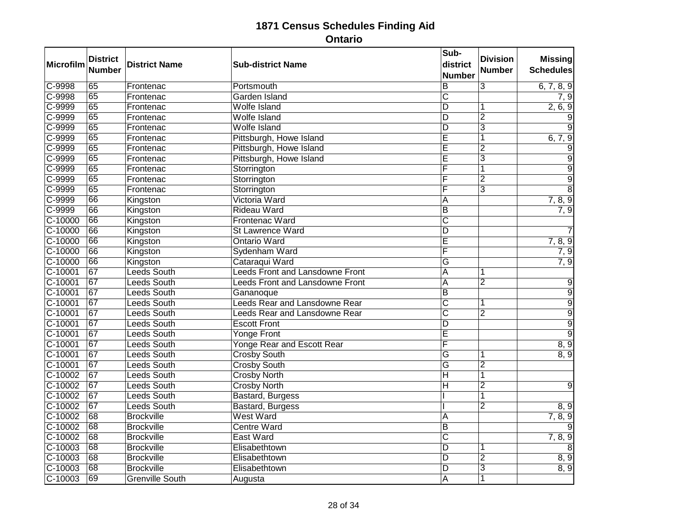| Microfilm | <b>District</b><br><b>Number</b> | <b>District Name</b>   | <b>Sub-district Name</b>               | Sub-<br>district<br><b>Number</b> | <b>Division</b><br><b>Number</b> | <b>Missing</b><br><b>Schedules</b> |
|-----------|----------------------------------|------------------------|----------------------------------------|-----------------------------------|----------------------------------|------------------------------------|
| $C-9998$  | 65                               | Frontenac              | Portsmouth                             | $\overline{B}$                    | $\overline{3}$                   | 6, 7, 8, 9                         |
| $C-9998$  | 65                               | Frontenac              | Garden Island                          | $\overline{\text{c}}$             |                                  | 7, 9                               |
| $C-9999$  | 65                               | Frontenac              | <b>Wolfe Island</b>                    | $\overline{\mathsf{D}}$           | 1                                | 2, 6, 9                            |
| C-9999    | 65                               | Frontenac              | <b>Wolfe Island</b>                    | $\overline{\mathsf{D}}$           | $\overline{2}$                   | $\overline{9}$                     |
| C-9999    | 65                               | Frontenac              | <b>Wolfe Island</b>                    | D                                 | 3                                | 9                                  |
| $C-9999$  | 65                               | Frontenac              | Pittsburgh, Howe Island                | Ē                                 | 1                                | 6, 7, 9                            |
| $C-9999$  | 65                               | Frontenac              | Pittsburgh, Howe Island                | Ē                                 | $\overline{2}$                   | 9                                  |
| C-9999    | 65                               | Frontenac              | Pittsburgh, Howe Island                | $\overline{\mathsf{E}}$           | $\overline{3}$                   | $\overline{9}$                     |
| $C-9999$  | 65                               | Frontenac              | Storrington                            | F                                 | 1                                | $\overline{9}$                     |
| C-9999    | 65                               | Frontenac              | Storrington                            | F                                 | $\overline{2}$                   | $\overline{9}$                     |
| C-9999    | 65                               | Frontenac              | Storrington                            | F                                 | $\overline{3}$                   | $\overline{8}$                     |
| $C-9999$  | 66                               | Kingston               | Victoria Ward                          | A                                 |                                  | 7, 8, 9                            |
| $C-9999$  | 66                               | Kingston               | <b>Rideau Ward</b>                     | $\overline{B}$                    |                                  | 7, 9                               |
| $C-10000$ | 66                               | Kingston               | <b>Frontenac Ward</b>                  | $\overline{\text{c}}$             |                                  |                                    |
| $C-10000$ | 66                               | Kingston               | <b>St Lawrence Ward</b>                | $\overline{D}$                    |                                  |                                    |
| $C-10000$ | 66                               | Kingston               | <b>Ontario Ward</b>                    | $\overline{\mathsf{E}}$           |                                  | 7, 8, 9                            |
| $C-10000$ | 66                               | Kingston               | Sydenham Ward                          | F                                 |                                  | 7, 9                               |
| C-10000   | 66                               | Kingston               | Cataraqui Ward                         | Ğ                                 |                                  | 7, 9                               |
| $C-10001$ | 67                               | <b>Leeds South</b>     | <b>Leeds Front and Lansdowne Front</b> | $\overline{A}$                    | 1                                |                                    |
| $C-10001$ | $\overline{67}$                  | <b>Leeds South</b>     | <b>Leeds Front and Lansdowne Front</b> | $\overline{A}$                    | $\overline{2}$                   | 9                                  |
| $C-10001$ | 67                               | <b>Leeds South</b>     | Gananoque                              | $\overline{B}$                    |                                  | $\overline{9}$                     |
| $C-10001$ | $\overline{67}$                  | <b>Leeds South</b>     | <b>Leeds Rear and Lansdowne Rear</b>   | $\overline{\text{c}}$             | 1                                | $\overline{9}$                     |
| $C-10001$ | 67                               | <b>Leeds South</b>     | <b>Leeds Rear and Lansdowne Rear</b>   | $\overline{\text{c}}$             | $\overline{2}$                   | $\overline{9}$                     |
| $C-10001$ | 67                               | Leeds South            | <b>Escott Front</b>                    | $\overline{\mathsf{D}}$           |                                  | $\overline{9}$                     |
| $C-10001$ | $\overline{67}$                  | <b>Leeds South</b>     | <b>Yonge Front</b>                     | Ē                                 |                                  | $\overline{9}$                     |
| $C-10001$ | 67                               | <b>Leeds South</b>     | <b>Yonge Rear and Escott Rear</b>      | F                                 |                                  | 8, 9                               |
| C-10001   | 67                               | <b>Leeds South</b>     | <b>Crosby South</b>                    | G                                 | 1                                | 8, 9                               |
| $C-10001$ | 67                               | <b>Leeds South</b>     | <b>Crosby South</b>                    | $\overline{\mathsf{G}}$           | $\overline{2}$                   |                                    |
| $C-10002$ | 67                               | Leeds South            | <b>Crosby North</b>                    | $\overline{\mathsf{H}}$           | $\overline{1}$                   |                                    |
| C-10002   | 67                               | <b>Leeds South</b>     | <b>Crosby North</b>                    | $\overline{\mathsf{H}}$           | $\overline{2}$                   | $\overline{9}$                     |
| $C-10002$ | 67                               | <b>Leeds South</b>     | Bastard, Burgess                       |                                   | 1                                |                                    |
| $C-10002$ | 67                               | <b>Leeds South</b>     | Bastard, Burgess                       |                                   | $\overline{2}$                   | 8, 9                               |
| $C-10002$ | 68                               | <b>Brockville</b>      | West Ward                              | A                                 |                                  | 7, 8, 9                            |
| $C-10002$ | 68                               | <b>Brockville</b>      | <b>Centre Ward</b>                     | $\overline{B}$                    |                                  | 9                                  |
| $C-10002$ | 68                               | <b>Brockville</b>      | <b>East Ward</b>                       | $\overline{\text{c}}$             |                                  | 7, 8, 9                            |
| $C-10003$ | 68                               | <b>Brockville</b>      | Elisabethtown                          | $\overline{D}$                    | 1                                | 8                                  |
| $C-10003$ | 68                               | <b>Brockville</b>      | Elisabethtown                          | $\overline{D}$                    | $\overline{2}$                   | 8, 9                               |
| $C-10003$ | 68                               | <b>Brockville</b>      | Elisabethtown                          | $\overline{D}$                    | $\overline{3}$                   | 8, 9                               |
| C-10003   | 69                               | <b>Grenville South</b> | Augusta                                | $\overline{A}$                    | $\overline{1}$                   |                                    |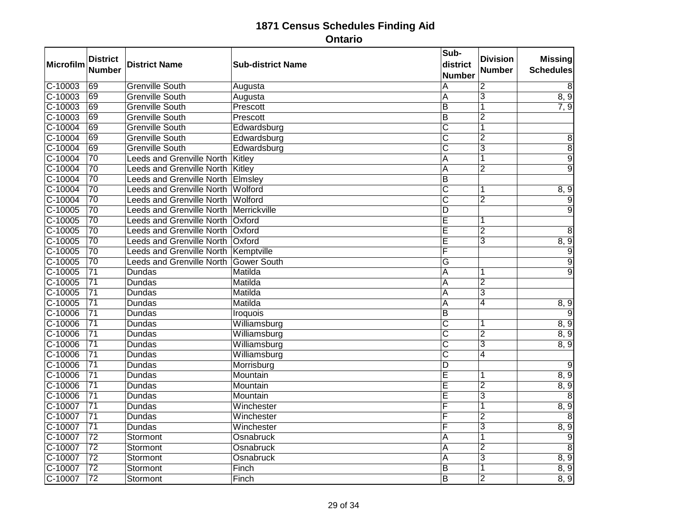| Microfilm | <b>District</b><br><b>Number</b> | <b>District Name</b>                   | <b>Sub-district Name</b> | Sub-<br>district<br>Number | <b>Division</b><br><b>Number</b> | <b>Missing</b><br><b>Schedules</b> |
|-----------|----------------------------------|----------------------------------------|--------------------------|----------------------------|----------------------------------|------------------------------------|
| $C-10003$ | 69                               | <b>Grenville South</b>                 | Augusta                  | $\overline{A}$             | $\overline{2}$                   | 8                                  |
| $C-10003$ | 69                               | <b>Grenville South</b>                 | Augusta                  | A                          | $\overline{3}$                   | 8, 9                               |
| $C-10003$ | 69                               | <b>Grenville South</b>                 | Prescott                 | ĪΒ                         | $\overline{1}$                   | 7, 9                               |
| $C-10003$ | 69                               | <b>Grenville South</b>                 | Prescott                 | $\overline{B}$             | $\overline{2}$                   |                                    |
| C-10004   | 69                               | <b>Grenville South</b>                 | Edwardsburg              | $\overline{\text{C}}$      | $\overline{1}$                   |                                    |
| $C-10004$ | 69                               | <b>Grenville South</b>                 | Edwardsburg              | $\overline{\text{c}}$      | $\overline{2}$                   | 8                                  |
| C-10004   | 69                               | <b>Grenville South</b>                 | Edwardsburg              | $\overline{\text{c}}$      | $\overline{3}$                   | $\overline{8}$                     |
| C-10004   | 70                               | <b>Leeds and Grenville North</b>       | Kitley                   | A                          | $\overline{1}$                   | $\overline{9}$                     |
| $C-10004$ | $\overline{70}$                  | <b>Leeds and Grenville North</b>       | Kitley                   | $\overline{A}$             | $\overline{2}$                   | $\overline{9}$                     |
| $C-10004$ | $\overline{70}$                  | <b>Leeds and Grenville North</b>       | Elmsley                  | $\overline{B}$             |                                  |                                    |
| C-10004   | 70                               | Leeds and Grenville North              | Wolford                  | $\overline{\text{c}}$      | 1                                | 8, 9                               |
| C-10004   | $\overline{70}$                  | Leeds and Grenville North              | Wolford                  | $\overline{\text{c}}$      | $\overline{2}$                   | 9                                  |
| $C-10005$ | $\overline{70}$                  | Leeds and Grenville North Merrickville |                          | $\overline{D}$             |                                  | $\overline{9}$                     |
| $C-10005$ | 70                               | <b>Leeds and Grenville North</b>       | Oxford                   | E                          | 1                                |                                    |
| $C-10005$ | 70                               | Leeds and Grenville North              | Oxford                   | E                          | $\overline{2}$                   | 8                                  |
| $C-10005$ | $\overline{70}$                  | <b>Leeds and Grenville North</b>       | Oxford                   | Ē                          | $\overline{3}$                   | 8, 9                               |
| $C-10005$ | $\overline{70}$                  | Leeds and Grenville North Kemptville   |                          | F                          |                                  | $\overline{9}$                     |
| $C-10005$ | 70                               | <b>Leeds and Grenville North</b>       | <b>Gower South</b>       | Ğ                          |                                  | $\overline{9}$                     |
| $C-10005$ | $\overline{71}$                  | <b>Dundas</b>                          | Matilda                  | A                          | 1                                | $\overline{9}$                     |
| $C-10005$ | $\overline{71}$                  | <b>Dundas</b>                          | Matilda                  | A                          | $\overline{2}$                   |                                    |
| $C-10005$ | $\overline{71}$                  | <b>Dundas</b>                          | Matilda                  | A                          | $\overline{3}$                   |                                    |
| $C-10005$ | $\overline{71}$                  | <b>Dundas</b>                          | Matilda                  | $\overline{A}$             | $\overline{4}$                   | $\frac{8,9}{9}$                    |
| $C-10006$ | $\overline{71}$                  | <b>Dundas</b>                          | <b>Iroquois</b>          | $\overline{\mathsf{B}}$    |                                  |                                    |
| C-10006   | $\overline{71}$                  | <b>Dundas</b>                          | Williamsburg             | $\overline{\text{c}}$      | 1                                | 8, 9                               |
| $C-10006$ | $\overline{71}$                  | <b>Dundas</b>                          | Williamsburg             | $\overline{\text{c}}$      | $\overline{2}$                   | 8, 9                               |
| $C-10006$ | $\overline{71}$                  | <b>Dundas</b>                          | Williamsburg             | $\overline{\text{c}}$      | $\overline{3}$                   | 8, 9                               |
| $C-10006$ | $\overline{71}$                  | Dundas                                 | Williamsburg             | $\overline{\text{c}}$      | $\overline{4}$                   |                                    |
| $C-10006$ | $\overline{71}$                  | <b>Dundas</b>                          | Morrisburg               | $\overline{D}$             |                                  | 9                                  |
| C-10006   | $\overline{71}$                  | Dundas                                 | Mountain                 | $\overline{\mathsf{E}}$    | 1                                | 8, 9                               |
| $C-10006$ | $\overline{71}$                  | <b>Dundas</b>                          | Mountain                 | $\overline{E}$             | $\overline{2}$                   | 8, 9                               |
| C-10006   | $\overline{71}$                  | Dundas                                 | Mountain                 | E                          | 3                                | $\overline{8}$                     |
| $C-10007$ | $\overline{71}$                  | <b>Dundas</b>                          | Winchester               | F                          | 1                                | 8, 9                               |
| C-10007   | $\overline{71}$                  | <b>Dundas</b>                          | Winchester               | F                          | $\overline{2}$                   | 8                                  |
| C-10007   | $\overline{71}$                  | <b>Dundas</b>                          | Winchester               | $\overline{\mathsf{F}}$    | $\overline{3}$                   | 8, 9                               |
| $C-10007$ | $\overline{72}$                  | Stormont                               | Osnabruck                | A                          | 1                                | $\overline{9}$                     |
| C-10007   | $\overline{72}$                  | Stormont                               | Osnabruck                | $\overline{A}$             | $\overline{2}$                   | $\overline{8}$                     |
| C-10007   | $\overline{72}$                  | Stormont                               | Osnabruck                | A                          | $\overline{3}$                   | 8, 9                               |
| $C-10007$ | $\overline{72}$                  | Stormont                               | Finch                    | $\overline{B}$             | $\overline{\mathbf{1}}$          | 8, 9                               |
| C-10007   | $\overline{72}$                  | Stormont                               | Finch                    | $\overline{\mathsf{B}}$    | $\overline{2}$                   | 8, 9                               |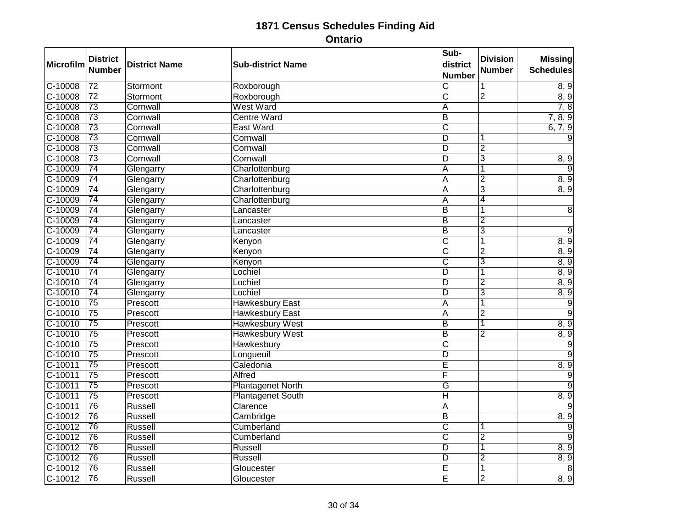| Microfilm | <b>District</b> | <b>District Name</b> | <b>Sub-district Name</b> | Sub-<br>district        | <b>Division</b> | <b>Missing</b>   |
|-----------|-----------------|----------------------|--------------------------|-------------------------|-----------------|------------------|
|           | <b>Number</b>   |                      |                          | <b>Number</b>           | <b>Number</b>   | <b>Schedules</b> |
| $C-10008$ | $\overline{72}$ | Stormont             | Roxborough               | $\overline{\mathsf{c}}$ | 1               | 8, 9             |
| $C-10008$ | $\overline{72}$ | Stormont             | Roxborough               | $\overline{\mathsf{C}}$ | $\overline{2}$  | 8, 9             |
| C-10008   | $\overline{73}$ | Cornwall             | <b>West Ward</b>         | $\overline{A}$          |                 | 7, 8             |
| $C-10008$ | $\overline{73}$ | Cornwall             | <b>Centre Ward</b>       | $\overline{B}$          |                 | 7, 8, 9          |
| C-10008   | $\overline{73}$ | Cornwall             | <b>East Ward</b>         | $\overline{\text{C}}$   |                 | 6, 7, 9          |
| $C-10008$ | $\overline{73}$ | Cornwall             | Cornwall                 | D                       |                 |                  |
| $C-10008$ | $\overline{73}$ | Cornwall             | Cornwall                 | D                       | $\overline{2}$  |                  |
| C-10008   | 73              | Cornwall             | Cornwall                 | D                       | $\overline{3}$  | 8,9              |
| $C-10009$ | $\overline{74}$ | Glengarry            | Charlottenburg           | A                       | 1               |                  |
| $C-10009$ | $\overline{74}$ | Glengarry            | Charlottenburg           | $\overline{\mathsf{A}}$ | $\overline{2}$  | 8, 9             |
| C-10009   | 74              | Glengarry            | Charlottenburg           | A                       | $\overline{3}$  | 8, 9             |
| $C-10009$ | 74              | Glengarry            | Charlottenburg           | $\overline{A}$          | 4               |                  |
| $C-10009$ | $\overline{74}$ | Glengarry            | Lancaster                | $\overline{B}$          | 1               | 8                |
| C-10009   | $\overline{74}$ | Glengarry            | Lancaster                | $\overline{B}$          | $\overline{2}$  |                  |
| $C-10009$ | $\overline{74}$ | Glengarry            | Lancaster                | $\overline{B}$          | $\overline{3}$  | 9                |
| C-10009   | $\overline{74}$ | Glengarry            | Kenyon                   | $\overline{\mathsf{c}}$ | 1               | 8, 9             |
| $C-10009$ | $\overline{74}$ | Glengarry            | Kenyon                   | $\overline{\text{c}}$   | $\overline{2}$  | 8, 9             |
| C-10009   | 74              | Glengarry            | Kenyon                   | $\overline{\text{C}}$   | 3               | 8, 9             |
| $C-10010$ | $\overline{74}$ | Glengarry            | Lochiel                  | D                       | 1               | 8, 9             |
| C-10010   | $\overline{74}$ | Glengarry            | Lochiel                  | ΙD                      | $\overline{2}$  | 8, 9             |
| C-10010   | $\overline{74}$ | Glengarry            | Lochiel                  | $\overline{D}$          | $\overline{3}$  | 8, 9             |
| $C-10010$ | $\overline{75}$ | Prescott             | <b>Hawkesbury East</b>   | A                       | $\overline{1}$  | $\overline{9}$   |
| $C-10010$ | $\overline{75}$ | Prescott             | <b>Hawkesbury East</b>   | $\overline{\mathsf{A}}$ | $\overline{2}$  | $\overline{9}$   |
| C-10010   | 75              | Prescott             | <b>Hawkesbury West</b>   | $\overline{B}$          | 1               | 8, 9             |
| $C-10010$ | $\overline{75}$ | Prescott             | <b>Hawkesbury West</b>   | $\overline{\mathsf{B}}$ | $\overline{2}$  | 8, 9             |
| $C-10010$ | $\overline{75}$ | Prescott             | Hawkesbury               | $\overline{\mathsf{c}}$ |                 | $\overline{9}$   |
| C-10010   | $\overline{75}$ | Prescott             | Longueuil                | D                       |                 | $\overline{9}$   |
| C-10011   | $\overline{75}$ | Prescott             | Caledonia                | Ē                       |                 | 8, 9             |
| $C-10011$ | $\overline{75}$ | Prescott             | Alfred                   | F                       |                 | $\overline{9}$   |
| $C-10011$ | $\overline{75}$ | Prescott             | <b>Plantagenet North</b> | $\overline{\mathsf{G}}$ |                 | 9                |
| $C-10011$ | 75              | Prescott             | <b>Plantagenet South</b> | $\overline{\mathsf{H}}$ |                 | 8, 9             |
| $C-10011$ | $\overline{76}$ | Russell              | Clarence                 | A                       |                 | 9                |
| $C-10012$ | 76              | <b>Russell</b>       | Cambridge                | $\overline{B}$          |                 | 8, 9             |
| $C-10012$ | 76              | Russell              | Cumberland               | $\overline{\text{c}}$   | 1               | $\overline{9}$   |
| $C-10012$ | 76              | Russell              | Cumberland               | $\overline{\text{c}}$   | $\overline{2}$  | $\overline{9}$   |
| $C-10012$ | $\overline{76}$ | <b>Russell</b>       | <b>Russell</b>           | ĪD                      | 1               | 8, 9             |
| $C-10012$ | 76              | Russell              | <b>Russell</b>           | D                       | $\overline{2}$  | 8, 9             |
| $C-10012$ | $\overline{76}$ | Russell              | Gloucester               | Ē                       | 1               | 8                |
| $C-10012$ | 76              | <b>Russell</b>       | Gloucester               | Ē                       | $\overline{2}$  | 8, 9             |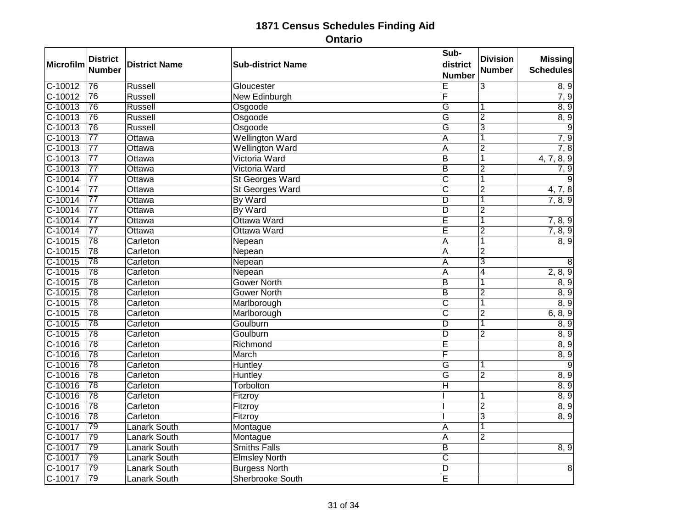| <b>Microfilm</b> | <b>District</b><br><b>Number</b> | <b>District Name</b> | <b>Sub-district Name</b> | Sub-<br>district<br><b>Number</b> | <b>Division</b><br><b>Number</b> | <b>Missing</b><br><b>Schedules</b> |
|------------------|----------------------------------|----------------------|--------------------------|-----------------------------------|----------------------------------|------------------------------------|
| $C-10012$        | 76                               | <b>Russell</b>       | Gloucester               | Ē                                 | $\overline{3}$                   | 8, 9                               |
| $C-10012$        | $\overline{76}$                  | Russell              | New Edinburgh            | F                                 |                                  | 7, 9                               |
| $C-10013$        | $\overline{76}$                  | Russell              | Osgoode                  | $\overline{\mathsf{G}}$           | 1                                | 8, 9                               |
| $C-10013$        | 76                               | <b>Russell</b>       | Osgoode                  | $\overline{\mathsf{G}}$           | $\overline{2}$                   | 8, 9                               |
| C-10013          | 76                               | Russell              | Osgoode                  | G                                 | 3                                | 9                                  |
| $C-10013$        | $\overline{77}$                  | Ottawa               | <b>Wellington Ward</b>   | A                                 | 1                                | 7, 9                               |
| $C-10013$        | $\overline{77}$                  | Ottawa               | <b>Wellington Ward</b>   | $\overline{\mathsf{A}}$           | $\overline{2}$                   | 7, 8                               |
| C-10013          | $\overline{77}$                  | Ottawa               | Victoria Ward            | $\overline{B}$                    | $\overline{\mathbf{1}}$          | 4, 7, 8, 9                         |
| $C-10013$        | $\overline{77}$                  | Ottawa               | Victoria Ward            | $\overline{B}$                    | $\overline{2}$                   | 7,9                                |
| $C-10014$        | $\overline{77}$                  | Ottawa               | <b>St Georges Ward</b>   | $\overline{\text{c}}$             | $\overline{\mathbf{1}}$          | 9                                  |
| $C-10014$        | $\overline{77}$                  | Ottawa               | <b>St Georges Ward</b>   | $\overline{\text{c}}$             | $\overline{2}$                   | 4, 7, 8                            |
| $C-10014$        | $\overline{77}$                  | Ottawa               | By Ward                  | $\overline{\mathsf{D}}$           | 1                                | 7, 8, 9                            |
| $C-10014$        | $\overline{77}$                  | Ottawa               | By Ward                  | $\overline{D}$                    | $\overline{2}$                   |                                    |
| $C-10014$        | $\overline{77}$                  | Ottawa               | Ottawa Ward              | Ē                                 | 1                                | 7, 8, 9                            |
| $C-10014$        | $\overline{77}$                  | Ottawa               | Ottawa Ward              | E                                 | $\overline{2}$                   | 7, 8, 9                            |
| $C-10015$        | $\overline{78}$                  | Carleton             | Nepean                   | $\overline{\mathsf{A}}$           | 1                                | 8, 9                               |
| $C-10015$        | $\overline{78}$                  | Carleton             | Nepean                   | $\overline{A}$                    | $\overline{2}$                   |                                    |
| C-10015          | 78                               | Carleton             | Nepean                   | A                                 | $\overline{3}$                   | 8                                  |
| $C-10015$        | $\overline{78}$                  | Carleton             | Nepean                   | A                                 | $\overline{4}$                   | 2, 8, 9                            |
| $C-10015$        | $\overline{78}$                  | Carleton             | <b>Gower North</b>       | $\overline{B}$                    | $\overline{\mathbf{1}}$          | 8, 9                               |
| C-10015          | 78                               | Carleton             | <b>Gower North</b>       | $\overline{B}$                    | $\overline{2}$                   | 8, 9                               |
| $C-10015$        | $\overline{78}$                  | Carleton             | Marlborough              | $\overline{\text{c}}$             | 1                                | 8, 9                               |
| $C-10015$        | $\overline{78}$                  | Carleton             | Marlborough              | $\overline{\mathsf{c}}$           | $\overline{2}$                   | 6, 8, 9                            |
| $C-10015$        | 78                               | Carleton             | Goulburn                 | $\overline{D}$                    | 1                                | 8, 9                               |
| $C-10015$        | $\overline{78}$                  | Carleton             | Goulburn                 | $\overline{\mathsf{D}}$           | $\overline{2}$                   | 8, 9                               |
| $C-10016$        | 78                               | Carleton             | Richmond                 | Ē                                 |                                  | 8, 9                               |
| $C-10016$        | 78                               | Carleton             | March                    | F                                 |                                  | 8, 9                               |
| $C-10016$        | $\overline{78}$                  | Carleton             | <b>Huntley</b>           | $\overline{\mathsf{G}}$           | 1                                | 9                                  |
| $C-10016$        | $\overline{78}$                  | Carleton             | Huntley                  | $\overline{\mathsf{G}}$           | $\overline{2}$                   | 8, 9                               |
| $C-10016$        | 78                               | Carleton             | Torbolton                | Η                                 |                                  | 8, 9                               |
| $C-10016$        | 78                               | Carleton             | Fitzroy                  |                                   | 1                                | 8, 9                               |
| $C-10016$        | $\overline{78}$                  | Carleton             | Fitzroy                  |                                   | $\overline{2}$                   | 8, 9                               |
| C-10016          | $\overline{78}$                  | Carleton             | Fitzroy                  |                                   | $\overline{3}$                   | 8, 9                               |
| C-10017          | 79                               | <b>Lanark South</b>  | Montague                 | A                                 | 1                                |                                    |
| C-10017          | 79                               | <b>Lanark South</b>  | Montague                 | A                                 | $\overline{2}$                   |                                    |
| C-10017          | 79                               | <b>Lanark South</b>  | <b>Smiths Falls</b>      | $\overline{B}$                    |                                  | 8, 9                               |
| $C-10017$        | 79                               | <b>Lanark South</b>  | <b>Elmsley North</b>     | $\overline{\mathsf{C}}$           |                                  |                                    |
| C-10017          | 79                               | <b>Lanark South</b>  | <b>Burgess North</b>     | $\overline{\mathsf{D}}$           |                                  | $\overline{8}$                     |
| $C-10017$        | 79                               | <b>Lanark South</b>  | <b>Sherbrooke South</b>  | Έ                                 |                                  |                                    |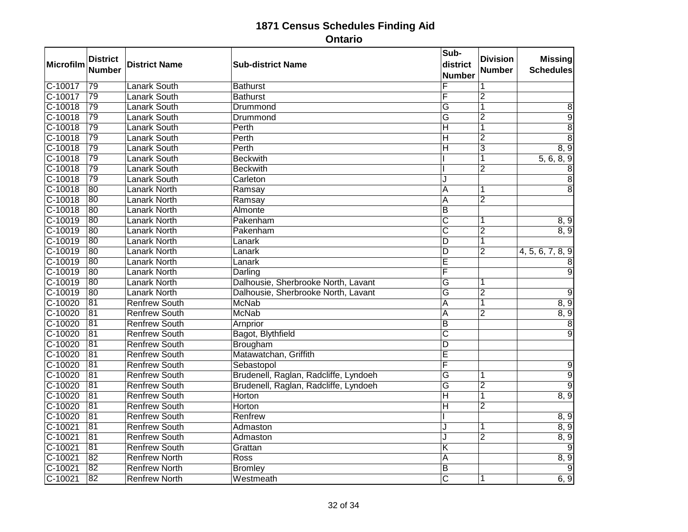| Microfilm | <b>District</b><br><b>Number</b> | <b>District Name</b> | <b>Sub-district Name</b>              | Sub-<br>district<br><b>Number</b> | <b>Division</b><br><b>Number</b> | <b>Missing</b><br><b>Schedules</b> |
|-----------|----------------------------------|----------------------|---------------------------------------|-----------------------------------|----------------------------------|------------------------------------|
| $C-10017$ | 79                               | <b>Lanark South</b>  | <b>Bathurst</b>                       | F                                 | 1                                |                                    |
| $C-10017$ | 79                               | <b>Lanark South</b>  | <b>Bathurst</b>                       | F                                 | $\overline{2}$                   |                                    |
| $C-10018$ | 79                               | <b>Lanark South</b>  | Drummond                              | $\overline{\mathsf{G}}$           | 1                                | 8                                  |
| $C-10018$ | 79                               | <b>Lanark South</b>  | Drummond                              | $\overline{\mathsf{G}}$           | $\overline{2}$                   | $\overline{9}$                     |
| $C-10018$ | 79                               | <b>Lanark South</b>  | Perth                                 | $\overline{H}$                    | 1                                | $\overline{8}$                     |
| $C-10018$ | $\overline{79}$                  | <b>Lanark South</b>  | Perth                                 | $\overline{H}$                    | $\overline{2}$                   | $\overline{8}$                     |
| $C-10018$ | 79                               | <b>Lanark South</b>  | Perth                                 | $\overline{H}$                    | $\overline{3}$                   | 8, 9                               |
| $C-10018$ | 79                               | <b>Lanark South</b>  | <b>Beckwith</b>                       |                                   | 1                                | 5, 6, 8, 9                         |
| $C-10018$ | 79                               | <b>Lanark South</b>  | <b>Beckwith</b>                       |                                   | $\overline{2}$                   | 8                                  |
| $C-10018$ | 79                               | <b>Lanark South</b>  | Carleton                              | J                                 |                                  | $\overline{8}$                     |
| C-10018   | 80                               | <b>Lanark North</b>  | Ramsay                                | A                                 | 1                                | $\overline{8}$                     |
| $C-10018$ | 80                               | <b>Lanark North</b>  | Ramsay                                | A                                 | $\overline{2}$                   |                                    |
| $C-10018$ | 80                               | Lanark North         | Almonte                               | $\overline{B}$                    |                                  |                                    |
| $C-10019$ | 80                               | <b>Lanark North</b>  | Pakenham                              | $\overline{\mathsf{C}}$           |                                  | 8, 9                               |
| $C-10019$ | 80                               | <b>Lanark North</b>  | Pakenham                              | $\overline{\text{c}}$             | $\overline{2}$                   | 8, 9                               |
| $C-10019$ | 80                               | <b>Lanark North</b>  | Lanark                                | $\overline{D}$                    | $\overline{1}$                   |                                    |
| $C-10019$ | 80                               | <b>Lanark North</b>  | Lanark                                | $\overline{D}$                    | $\overline{2}$                   | 4, 5, 6, 7, 8, 9                   |
| C-10019   | 80                               | <b>Lanark North</b>  | Lanark                                | Ē                                 |                                  |                                    |
| $C-10019$ | 80                               | <b>Lanark North</b>  | Darling                               | F                                 |                                  | 9                                  |
| $C-10019$ | 80                               | <b>Lanark North</b>  | Dalhousie, Sherbrooke North, Lavant   | $\overline{G}$                    | 1                                |                                    |
| $C-10019$ | 80                               | <b>Lanark North</b>  | Dalhousie, Sherbrooke North, Lavant   | Ġ                                 | $\overline{2}$                   | 9                                  |
| $C-10020$ | 81                               | <b>Renfrew South</b> | <b>McNab</b>                          | A                                 | 1                                | 8, 9                               |
| $C-10020$ | 81                               | <b>Renfrew South</b> | <b>McNab</b>                          | $\overline{A}$                    | $\overline{2}$                   | 8, 9                               |
| $C-10020$ | 81                               | <b>Renfrew South</b> | Arnprior                              | B                                 |                                  | 8                                  |
| $C-10020$ | $\overline{81}$                  | <b>Renfrew South</b> | Bagot, Blythfield                     | $\overline{\mathsf{c}}$           |                                  | $\mathbf{Q}$                       |
| $C-10020$ | $\overline{81}$                  | <b>Renfrew South</b> | Brougham                              | $\overline{D}$                    |                                  |                                    |
| C-10020   | 81                               | <b>Renfrew South</b> | Matawatchan, Griffith                 | Ē                                 |                                  |                                    |
| $C-10020$ | 81                               | <b>Renfrew South</b> | Sebastopol                            | F                                 |                                  | 9                                  |
| $C-10020$ | 81                               | <b>Renfrew South</b> | Brudenell, Raglan, Radcliffe, Lyndoeh | $\overline{G}$                    | 1                                | $\overline{9}$                     |
| $C-10020$ | $\overline{81}$                  | <b>Renfrew South</b> | Brudenell, Raglan, Radcliffe, Lyndoeh | $\overline{\mathsf{G}}$           | $\overline{2}$                   | $\overline{9}$                     |
| $C-10020$ | 81                               | <b>Renfrew South</b> | Horton                                | $\overline{H}$                    | $\overline{1}$                   | 8, 9                               |
| $C-10020$ | $\overline{81}$                  | <b>Renfrew South</b> | Horton                                | Η                                 | $\overline{2}$                   |                                    |
| $C-10020$ | 81                               | <b>Renfrew South</b> | Renfrew                               |                                   |                                  | 8, 9                               |
| $C-10021$ | 81                               | <b>Renfrew South</b> | Admaston                              | J                                 | 1                                | 8, 9                               |
| $C-10021$ | 81                               | <b>Renfrew South</b> | Admaston                              | J                                 | $\overline{2}$                   | 8, 9                               |
| $C-10021$ | $\overline{81}$                  | <b>Renfrew South</b> | Grattan                               | Κ                                 |                                  | 9                                  |
| $C-10021$ | 82                               | <b>Renfrew North</b> | Ross                                  | A                                 |                                  | 8, 9                               |
| $C-10021$ | $\overline{82}$                  | <b>Renfrew North</b> | <b>Bromley</b>                        | B                                 |                                  | 9                                  |
| $C-10021$ | 82                               | <b>Renfrew North</b> | Westmeath                             | $\overline{\mathsf{c}}$           | 1                                | 6, 9                               |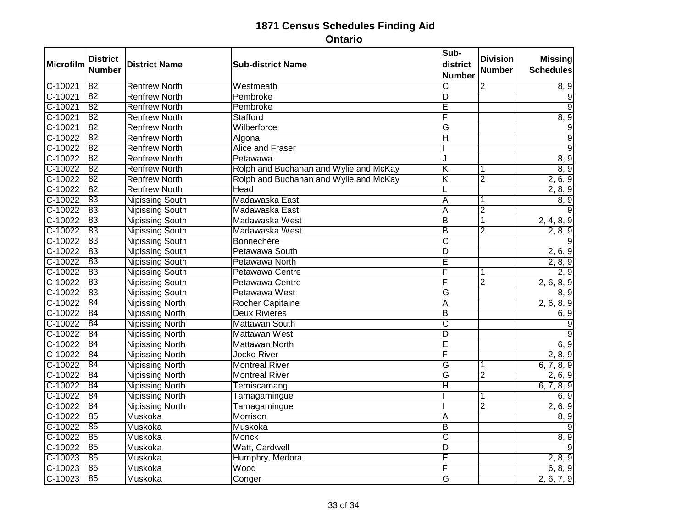| Microfilm | <b>District</b><br><b>Number</b> | <b>District Name</b>   | <b>Sub-district Name</b>               | Sub-<br>district<br><b>Number</b> | <b>Division</b><br><b>Number</b> | <b>Missing</b><br><b>Schedules</b> |
|-----------|----------------------------------|------------------------|----------------------------------------|-----------------------------------|----------------------------------|------------------------------------|
| $C-10021$ | $\overline{82}$                  | <b>Renfrew North</b>   | Westmeath                              | $\overline{\mathsf{c}}$           | $\overline{2}$                   | 8, 9                               |
| $C-10021$ | 82                               | <b>Renfrew North</b>   | Pembroke                               | D                                 |                                  | 9                                  |
| $C-10021$ | $\overline{82}$                  | <b>Renfrew North</b>   | Pembroke                               | $\overline{\mathsf{E}}$           |                                  |                                    |
| $C-10021$ | 82                               | <b>Renfrew North</b>   | Stafford                               | F                                 |                                  | 8, 9                               |
| C-10021   | 82                               | <b>Renfrew North</b>   | Wilberforce                            | G                                 |                                  | 9                                  |
| $C-10022$ | $\overline{82}$                  | <b>Renfrew North</b>   | Algona                                 | Н                                 |                                  | $\overline{9}$                     |
| $C-10022$ | 82                               | <b>Renfrew North</b>   | <b>Alice and Fraser</b>                |                                   |                                  | $\overline{9}$                     |
| C-10022   | 82                               | <b>Renfrew North</b>   | Petawawa                               | J                                 |                                  | 8, 9                               |
| $C-10022$ | $\overline{82}$                  | <b>Renfrew North</b>   | Rolph and Buchanan and Wylie and McKay | K                                 | 1                                | 8, 9                               |
| $C-10022$ | $\overline{82}$                  | <b>Renfrew North</b>   | Rolph and Buchanan and Wylie and McKay | $\overline{\mathsf{K}}$           | $\overline{2}$                   | 2, 6, 9                            |
| $C-10022$ | 82                               | <b>Renfrew North</b>   | Head                                   |                                   |                                  | 2, 8, 9                            |
| $C-10022$ | 83                               | <b>Nipissing South</b> | Madawaska East                         | $\overline{\mathsf{A}}$           | 1                                | 8, 9                               |
| $C-10022$ | 83                               | <b>Nipissing South</b> | Madawaska East                         | A                                 | $\overline{2}$                   |                                    |
| $C-10022$ | 83                               | <b>Nipissing South</b> | Madawaska West                         | B                                 | $\overline{1}$                   | 2, 4, 8, 9                         |
| $C-10022$ | 83                               | <b>Nipissing South</b> | Madawaska West                         | $\overline{\mathsf{B}}$           | $\overline{2}$                   | 2, 8, 9                            |
| $C-10022$ | 83                               | <b>Nipissing South</b> | Bonnechère                             | $\overline{\text{c}}$             |                                  |                                    |
| $C-10022$ | 83                               | <b>Nipissing South</b> | Petawawa South                         | $\overline{D}$                    |                                  | 2, 6, 9                            |
| C-10022   | 83                               | <b>Nipissing South</b> | Petawawa North                         | Ē                                 |                                  | 2, 8, 9                            |
| $C-10022$ | 83                               | <b>Nipissing South</b> | Petawawa Centre                        | F                                 |                                  | $\overline{2,9}$                   |
| C-10022   | 83                               | <b>Nipissing South</b> | Petawawa Centre                        | $\overline{\mathsf{F}}$           | $\overline{2}$                   | 2, 6, 8, 9                         |
| C-10022   | 83                               | <b>Nipissing South</b> | Petawawa West                          | G                                 |                                  | 8, 9                               |
| $C-10022$ | 84                               | <b>Nipissing North</b> | <b>Rocher Capitaine</b>                | $\overline{A}$                    |                                  | 2, 6, 8, 9                         |
| $C-10022$ | 84                               | <b>Nipissing North</b> | <b>Deux Rivieres</b>                   | $\overline{B}$                    |                                  | 6, 9                               |
| $C-10022$ | 84                               | <b>Nipissing North</b> | Mattawan South                         | $\overline{\text{c}}$             |                                  | 9                                  |
| $C-10022$ | 84                               | <b>Nipissing North</b> | <b>Mattawan West</b>                   | D                                 |                                  |                                    |
| $C-10022$ | 84                               | <b>Nipissing North</b> | <b>Mattawan North</b>                  | Ē                                 |                                  | 6, 9                               |
| $C-10022$ | 84                               | <b>Nipissing North</b> | Jocko River                            | F                                 |                                  | 2, 8, 9                            |
| $C-10022$ | $\overline{84}$                  | <b>Nipissing North</b> | <b>Montreal River</b>                  | $\overline{\mathsf{G}}$           | 1                                | 6, 7, 8, 9                         |
| $C-10022$ | 84                               | <b>Nipissing North</b> | <b>Montreal River</b>                  | $\overline{\mathsf{G}}$           | $\overline{2}$                   | 2, 6, 9                            |
| C-10022   | 84                               | <b>Nipissing North</b> | Temiscamang                            | $\overline{\mathsf{H}}$           |                                  | 6, 7, 8, 9                         |
| C-10022   | 84                               | <b>Nipissing North</b> | Tamagamingue                           |                                   |                                  | 6, 9                               |
| $C-10022$ | 84                               | <b>Nipissing North</b> | Tamagamingue                           |                                   | $\overline{2}$                   | 2, 6, 9                            |
| $C-10022$ | 85                               | <b>Muskoka</b>         | Morrison                               | A                                 |                                  | 8, 9                               |
| C-10022   | 85                               | Muskoka                | Muskoka                                | $\overline{\mathsf{B}}$           |                                  | 9                                  |
| $C-10022$ | 85                               | Muskoka                | <b>Monck</b>                           | $\overline{\mathsf{c}}$           |                                  | 8, 9                               |
| $C-10022$ | 85                               | Muskoka                | Watt, Cardwell                         | $\overline{D}$                    |                                  |                                    |
| C-10023   | 85                               | Muskoka                | Humphry, Medora                        | Ē                                 |                                  | 2, 8, 9                            |
| $C-10023$ | 85                               | Muskoka                | Wood                                   | F                                 |                                  | 6, 8, 9                            |
| $C-10023$ | 85                               | Muskoka                | Conger                                 | $\overline{G}$                    |                                  | 2, 6, 7, 9                         |